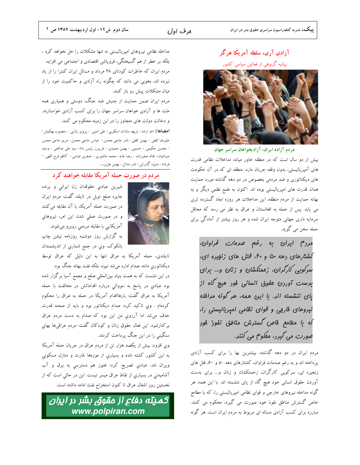ھرف اول

# آزادی آری، سلطه آمریکا هرگز بیانیه گروهی از فعالین سیاسی کشور



مردم آزاده ايران، آزاديخواهان سراسر جهان

بیش از دو سال است که در منطقه خاور میانه، مداخلات نظامی قدرت های آمپریالیستی، بدون وقفه جریان دارد. منطقه ای که در آن حکومت های دیکتاتوری و ضد مردمی بخصوص در دو دهه گذشته مورد حمایت همان قدرت های امپریالیستی بوده اند. اکنون به طمع نظمی دیگر و به بهانه حمایت از مردم منطقه، این مداخلات هر روزه ابعاد گسترده تری می یابد. پس از حمله به افغانستان و عراق به نظر می رسد که محافل سرمایه داری جهانی متوجه ایران شده و هر روز بیشتر از آمادگی برای حمله سخن مي گويد.

مرد<sup>م</sup> ایران به رغم صدم*ات فرا*وان، کشتارهای رهه ۵۰ و ۶۰، قتل های زنبیره ای، سرکوبی کارگران، زدمتکشان و زنان و… برای برست آوررن مقوق انسانی فور هیچ گاه از یای ننشسته انر. با این همه، هر گونه مرافله نیروهای فارمی و قوای نظامی امیریالیستی را، لَه یا مطامع فاص گسترش مناطق نفوز فور صورت مي گيرد، مفكوم مي كنند.

مردم ایران در دو دهه گذشته، بیشترین بها را برای کسب آزادی پرداخته اند و به رغم صدمات فراوان، کشتارهای دهه ۵۰ و ۶۰، قتل های زنجیره ای، سرکوبی کارگران، زحمتکشان و زنان و… برای بدست آوردن حقوق انسانی خود هیچ گاه از پای ننشسته اند. با این همه، هر گونه مداخله نیروهای خارجی و قوای نظامی امپریالیستی را، که با مطامع خاص گسترش مناطق نفوذ خود صورت می گیرد، محکوم می کنند. مبارزه برای کسب آزادی مساله ای مربوط به مردم ایران است. هر گونه

مداخله نظامی نیروهای امپریالیستی نه تنها مشکلات را حل نخواهد کرد ، بلکه بر خطر از هم گسیختگی، فروپاشی اقتصادی و اجتماعی می افزاید. مردم ایران که خاطرات کودتای ۲۸ مرداد و مسائل ایران کنترا را از یاد نبرده اند، بخوبی می دانند که چگونه راه آزادی و حاکمیت خود را از میان مشکلات پیش رو باز کنند.

مردم ایران ضمن حمایت از جنبش ضد جنگ، دوستی و همیاری همه ملت ها و آزادی خواهان سراسر جهان را برای کسب آزادی خواستارند. و دخالت دولت های متجاوز را در این زمینه محکوم می کنند.

**امضاها:** احد ارشد– نزیهه سادات اسکویی- علی امینی – پرویز بابایی – منصوره بهکیش– علیرضا ثقفی – بھمن ثقفی– نادر حاجی محسن– عباس حاجی محسن– مریم حاجی محسن - محسن حکیمی - حسینی - بهمن حمیدی - فریبرز رئیس دانا- سید علی صالحی - وحید صباغیان- هاله صفرزاده - رضا عابد- محمد عاشوری - صغری عباسی- کاظم فرج اللهی – فرشاد– منیژه گازرانی– نادر مدائن– بهمن هژیر،...

# مردم در صورت حمله آمریکا مقابله خواهند کرد



شيرين عبادي حقوقدان زن ايراني و برنده جایزه صلح نوبل در تایلند گفت: مردم ایران در صورت حمله آمریکا، با آن مقابله میکنند و در صورت عملی شدن این امر، نیروهای آمريكايي با مقابله مردمي روبرو مىشوند.

به گزارش روز دوشنبه روزنامه نیشن چاپ بانکوک، وي در جمع شماري از انديشمندان

تایلندی، حمله آمریکا به عراق تنها به این دلیل که عراق توسط دیکتاتوریِ مانند صدام اداره میشد نبود، بلکه نفت بهانه جنگ بود. در این نشست که به همت بنیاد بینالمللی صلح و مجمع آسیا برگزار شده بود عبادي در پاسخ به سووالي درباره اقداماتش در مخالفت با حمله آمریکا به عراق گفت: بارهااقدام آمریکا در حمله به عراق را محکوم کردهام . وي تاکيد کرد: صدام ديکتاتور بود و بايد از صحنه قدرت حذف میشد اما آرزوي من اين بود که صدام به دست مردم عراق

سنگینی را در این جنگ پرداخت کردند. وي افزود: بيش از يكصد هزار تن از مردم عراق در جريان حمله آمريكا به این کشور کشته شده و بسیاری از موزهها غارت و منازل مسکونی ویران شد. عبادی تصریح کرد: هنوز هم دسترسی به برق و آب آشامیدنی در بسیاری از نقاط عراق میسر نیست. این در حالی است که از نخستين روز اشغال عراق تا كنون استخراج نفت ادامه داشته است.

بركنارشود. اين فعال حقوق زنان و كودكان گفت: مردم عراقيها بهاي

كمىتە دفاع از مقوق ىشر در اىران www.polpiran.com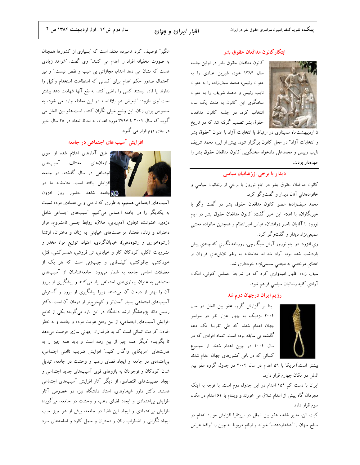### ابتكار كانون مدافعان حقوق بشر

كانون مدافعان حقوق بشر در اولين جلسه سال ۱۳۸۴ خود، شیرین عبادی را به عنوان رئيس، محمد سيفزاده را به عنوان نایب رئیس و محمد شریف را به عنوان سخنگوی این کانون به مدت یک سال انتخاب كرد. در جلسه كانون مدافعان حقوق بشر تصمیم گرفته شد که در تاریخ



# دیدار با برخی اززندانیان سیاسی

کانون مدافعان حقوق بشر در ایام نوروز با برخی از زندانیان سیاسی و خانوادههای آنان دیدار و گفتوگو کرد.

محمد سيف(اده؛ عضو كانون مدافعان حقوق بشر در گفت وگو با خبرنگاران، با اعلام این خبر گفت: کانون مدافعان حقوق بشر در ایام نوروز با آقایان ناصر زرافشان، عباس امیرانتظام و همچنین خانواده مجتبی سمیعي;ژاد دیدار و گفتوگو کرد.

وی افزود: در ایام نوروز آرش سیگارچی، روزنامه نگاری که چندی پیش بازداشت شده بود، آزاد شد اما متاسفانه به رغم تلاش های فراوان از اعطاي مرخصي به مجتبي سميعي نژاد خودداري شد.

سیف زاده اظهار امیدواری کرد که در شرایط حساس کنونی، امکان آزادي كليه زندانيان سياسي فراهم شود.

### رژیم ایران درجهان دوم شد



بنا بر گزارش گروه عفو بین الملل در سال ۲۰۰۴ نزدیک به چهار هزار نفر در سراسر جهان اعدام شدند که طی تقریبا یک دهه گذشته بی سابقه بوده است. تعداد افرادی که در سال ۲۰۰۴ در چین اعدام شدند از مجموع کسانی که در باقی کشورهای جهان اعدام شدند

بیشتر است.آمریکا با ۵۹ اعدام در سال ۲۰۰۴ در جدول گروه عفو بین الملل در مکان چهارم قرار دارد.

ایران با دست کم ۱۵۹ اعدام در این جدول دوم است. با توجه به اینکه مجرمان گاه پیش از اعدام شلاق می خورند و ویتنام با ۶۴ اعدام در مکان سوم قرار دارد

كيت الن، مدير شاخه عفو بين الملل در بريتانيا افزايش موارد اعدام در سطح جهان را "هشداردهنده" خواند و ارقام مربوط به چین را "واقعا هراس

انگیز ٌ توصیف کرد. نامبرده معتقد است که ″بسیاری از کشورها همچنان به صورت مخفیانه افراد را اعدام می کنند." وی گفت: "شواهد زیادی هست که نشان می دهد اعدام، مجازاتی بی عیب و نقص نیست." و نیز "احتمال صدور حكم اعدام براى كسانى كه استطاعت استخدام وكيل را ندارند یا قادر نیستند کسی را راضی کنند به نفع آنها شهادت دهد بیشتر است."وی افزود: "تبعیض هم بلافاصله در این معادله وارد می شود، به خصوص براي زنان. اين وضع خيلي نگران كننده است.عفو بين الملل مي گوید که سال ۲۰۰۴ با ۳۷۹۷ مورد اعدام، به لحاظ تعداد در ۲۵ سال اخیر در جای دوم قرار می گیرد.

افزایش آسیب های اجتماعی در جامعه



**ا اوس طبق آمارهای اعلام شده از سوی** سازمانهای مختلف آسیبهای اجتماعی در سال گذشته، در جامعه افزایش یافته است. متاسفانه ما در **للی استان** با استاهد حضور روز افزون

آسیبهای اجتماعی هستیم، به طوری که ناامنی و بیاعتمادی مردم نسبت به یکدیگر را در جامعه احساس میکنیم. آسیبهای اجتماعی شامل دزدی، خشونت، تجاوز، آدمربایی، طلاق، روابط جنسی نامشروع، فرار دختران و زنان، فحشا، مزاحمتهای خیابانی به زنان و دختران، ارتشا (رشوهخواری و رشوهدهی)، خیابانگردی، اعتیاد، توزیع مواد مخدر و مشروبات الکلی، کودکان کار و خیابانی، تن فروشی، همسرکشی، قتل، خودکشی، چاقوکشی، کیفقایی و جیبزنی است که هر یک از معضلات اساسی جامعه به شمار میرود. جامعهشناسان از آسیبهای اجتماعی به عنوان بیماریهای اجتماعی یاد میکنند و پیشگیری از بروز آن را بهتر از درمان آن میدانند؛ زیرا پیشگیری از بروز و گسترش آسیبهای اجتماعی بسیار آسانتر و کمخرجتر از درمان آن است. دکتر رییس دانا، پژوهشگر ارشد دانشگاه در این باره میگوید: یکی از نتایج افزایش آسیبهای اجتماعی، از بین رفتن هویت مردم و جامعه و به خطر افتادن کرامت انسانی است که به طرفداران جهانی سازی فرصت میدهد تا بگویند؛ "دیگر همه چیز از بین رفته است و باید همه چیز را به قدرتهاي آمريكايي واگذار كنيد." افزايش ضريب ناامني اجتماعي، بی اعتمادی در جامعه و ایجاد فضای رعب و وحشت در جامعه، تبدیل شدن کودکان و نوجوانان به بازوهای قوی آسیبهای جدید اجتماعی و ایجاد مصیبتهای اقتصادی، از دیگر آثار افزایش آسیبهای اجتماعی هستند. دکتر داور شیخاوندی، استاد دانشگاه نیز، در خصوص آثار افزایش بی|عتمادی و ایجاد فضای رعب و وحشت در جامعه، میگوید؛ افزایش بی|عتمادی و ایجاد این فضا در جامعه، بیش از هر چیز سبب ایجاد نگرانی و اضطراب زنان و دختران و حمل کارد و اسلحههای سرد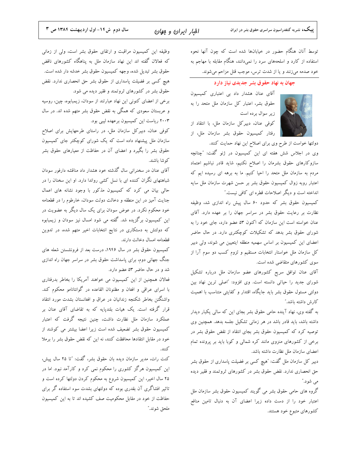توسط آنان هنگام حضور در خیابانها شده است که چون آنها نحوه استفاده از کارد و اسلحههای سرد را نمیدانند، هنگام مقابله با مهاجم به خود صدمه میزنند و یا از شدت ترس، موجب قتل مزاحم میشوند.

### جهان به نهاد حقوق بشر جدیدی نیاز دارد



آقای عنان هشدار داد بی اعتباری کمیسیون حقوق بشر، اعتبار كل سازمان ملل متحد را به زیر سوال برده است

كوفى عنان، دبيركل سازمان ملل، با انتقاد از رفتار كميسيون حقوق بشر سازمان ملل، از

دولتها خواست از طرح وى براى اصلاح اين نهاد حمايت كنند. وی در اجلاس شش هفته ای این کمیسیون در ژنو گفت: "چنانچه سازوكارهاى حقوق بشرمان را اصلاح نكنيم، شايد قادر نباشيم اعتماد مردم به سازمان ملل متحد را احیا کنیم. ما به برهه ای رسیده ایم که اعتبار روبه زوال كميسيون حقوق بشر بر حسن شهرت سازمان ملل سايه انداخته است و دیگر اصلاحات قطره ای کافی نیست."

کمیسیون حقوق بشر که حدود ۶۰ سال پیش راه اندازی شد، وظیفه نظارت بر رعایت حقوق بشر در سراسر جهان را بر عهده دارد. آقای عنان خواسته است این سازمان که اکنون ۵۳ عضو دارد، جای خود را به شورای حقوق بشر بدهد که تشکیلات کوچکتری دارد. در حال حاضر اعضای این کمیسیون بر اساس سهمیه منطقه ایتعیین می شوند، ولی دبیر کل سازمان ملل خواستار انتخابات مستقیم و لزوم کسب دو سوم آرا از سوی کشورهای متقاضی شده است.

آقای عنان توافق سریع کشورهای عضو سازمان ملل درباره تشکیل شورای جدید را حیاتی دانسته است. وی افزود: "اصلی ترین نهاد بین دولتی مسئول حقوق بشر باید جایگاه، اقتدار و کفایتی متناسب با اهمیت كارش داشته باشد."

به گفته وی، نهاد آینده حامی حقوق بشر بجای این که سالی یکبار دیدار داشته باشد، باید قادر باشد در هر زمانی تشکیل جلسه بدهد. همچنین وی توصیه کرد که کمیسیون حقوق بشر بجای انتقاد از نقض حقوق بشر در برخی از کشورهای منزوی مانند کره شمالی و کوبا باید بر پرونده تمام اعضای سازمان ملل نظارت داشته باشد.

دبیر کل سازمان ملل گفت: "هیچ کسی بر فضیلت پاسداری از حقوق بشر حق انحصاری ندارد. نقض حقوق بشر در کشورهای ثروتمند و فقیر دیده مي شود."

گروه های حامی حقوق بشر می گویند کمیسیون حقوق بشر سازمان ملل اعتبار خود را از دست داده زیرا اعضای آن به دنبال تامین منافع کشورهای متبوع خود هستند.

وظیفه این کمیسیون مراقبت و ارتقای حقوق بشر است، ولی از زمانی که فعالان گفته اند این نهاد سازمان ملل به پناهگاه کشورهای ناقض حقوق بشر تبدیل شده، وجهه کمیسیون حقوق بشر خدشه دار شده است. هیچ کسی بر فضیلت پاسداری از حقوق بشر حق انحصاری ندارد. نقض حقوق بشر در کشورهای ثروتمند و فقیر دیده می شود.

برخی از اعضای کنونی این نهاد عبارتند از سودان، زیمبابوه، چین، روسیه و عربستان سعودی که همگی به نقض حقوق بشر متهم شده اند. در سال ۲۰۰۳ ریاست این کمیسیون برعهده لیبی بود.

کوفی عنان، دبیرکل سازمان ملل، در راستای طرحهایش برای اصلاح سازمان ملل پیشنهاد داده است که یک شورای کوچکتر جای کمیسیون حقوق بشر را بگیرد و اعضای آن در حفاظت از معیارهای حقوق بشر كوشا باشند.

آقای عنان در سخنرانی سال گذشته خود هشدار داد مناقشه دارفور سودان شباهتهای نگران کننده ای با نسل کشی رواندا دارد. او این سخنان را در حالی بیان می کرد که کمیسیون مذکور با وجود نشانه های اعمال جنایت آمیز در این منطقه و دخالت دولت سودان، خارطوم را در قطعنامه خود محکوم نکرد. در عوض سودان برای یک سال دیگر به عضویت در این کمیسیون برگزیده شد. گفته می شود امسال نیز سودان و زیمبابوه که دولتش به دستکاری در نتایج انتخابات اخیر متهم شده، در تدوین قطعنامه امسال دخالت دارند.

کمیسیون حقوق بشر در سال ۱۹۴۶، درست بعد از فرونشستن شعله های جنگ جهانی دوم، برای پاسداشت حقوق بشر در سراسر جهان راه اندازی شد و در حال حاضر ۵۳ عضو دارد.

فعالان همچنین از این کمیسیون می خواهند آمریکا را بخاطر بدرفتاری با اسرای عراقی و افغان و مظنونان القاعده در گوانتانامو محکوم کند. واشنگتن بخاطر شكنجه زندانيان در عراق و افغانستان بشدت مورد انتقاد قرار گرفته است. یک هیات بلندپایه که به تقاضای آقای عنان بر عملکرد سازمان ملل نظارت داشت، چنین نتیجه گرفت که اعتبار كميسيون حقوق بشر تضعيف شده است زيرا اعضا بيشتر مي كوشند از خود در مقابل انتقادها محافظت كنند، نه اين كه نقض حقوق بشر را برملا كنند.

کنت رات، مدیر سازمان دیده بان حقوق بشر، گفت: "تا ۲۵ سال پیش، این کمیسیون هرگز کشوری را محکوم نمی کرد و کارآمد نبود. اما در ۲۵ سال اخیر، این کمیسیون شروع به محکوم کردن دولتها کرده است و تاثیر افشاگری آن بقدری بوده که دولتهای بشدت سوء استفاده گر برای حفاظت از خود در مقابل محکومیت صف کشیده اند تا به این کمیسیون ملحق شوند.″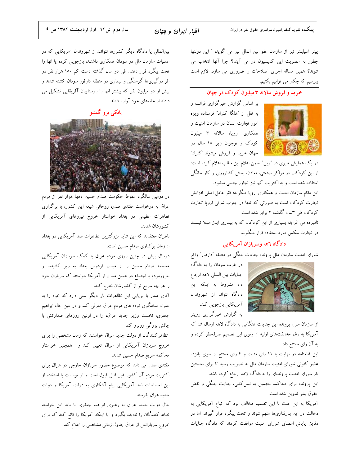افبار ایران و بوان

پیتر اسپلینتر نیز از سازمان عفو بین الملل نیز می گوید: " این دولتها چطور به عضویت این کمیسیون در می آیند؟ چرا آنها انتخاب می شوند؟ همین مساله اجرای اصلاحات را ضروری می سازد. لازم است بپرسیم که چکار می توانیم بکنیم.

### خرید و فروش سالانه ۳ میلیون کودک در جهان

بر اساس گزارش خبرگزاری فرانسه و به نقل از "هلگا کنراد" فرستاده ویژه امور تجارت انسان در سازمان امنیت و همکاری اروپا، سالانه ۳ میلیون کودک و نوجوان زیر ۱۸ سال در جهان خرید و فروش میشوند."کنراد"

در یک همایش خبری در "وین" ضمن اعلام این مطلب اعلام کرده است: از این کودکان در مراکز صنعتی، معادن، بخش کشاورزی و کار خانگی استفاده شده است و به اکثریت آنها نیز تجاوز جنسی میشود.

این مقام سازمان امنیت و همکاری اروپا میگوید: فقر عامل اصلی افزایش تجارت کودکان است به صورتی که تنها در جنوب شرقی اروپا تجارت کودکان طی ۳سال گذشته ۲ برابر شده است.

نامبرده می افزاید: بسیاری از این کودکان که به بیماری ایدز مبتلا نیستند در تجارت سکس مورد استفاده قرار میگیرند

## دادگاه لاهه وسربازان آمریکایی

شورای امنیت سازمان ملل پرونده جنایات جنگی در منطقه ″دارفور″ واقع



در غرب سودان را به دادگاه جنايات بين المللي لاهه ارجاع داد مشروط به اینکه این دادگاه نتواند از شهروندان آمریکایی بازجویی کند. به گزارش خبرگزاری رویتر

از سازمان ملل، پرونده این جنایات هنگامی به دادگاه لاهه ارسال شد که آمریکا به رغم مخالفتهای اولیه از وتوی این تصمیم صرفهنظر کرده و به آن رای ممتنع داد.

این قطعنامه در نهایت با ١١ رای مثبت و f رای ممتنع از سوی پانزده عضو کنونی شورای امنیت سازمان ملل به تصویب رسید تا برای نخستین بار شورای امنیت پروندهای را به دادگاه لاهه ارجاع کرده باشد.

این پرونده برای مجاکمه متهمین به نسل کشی، جنایت جنگی و نقض حقوق بشر تدوين شده است.

آمریکا به این علت با این تصمیم مخالف بود که اتباع آمریکایی به دخالت در این بدرفتاریها متهم شوند و تحت پیگرد قرار گیرند. اما در دقایق پایانی اعضای شورای امنیت موافقت کردند که دادگاه جنایات

بین|لمللی یا دادگاه دیگر کشورها نتوانند از شهروندان آمریکایی که در عملیات سازمان ملل در سودان همکاری داشتند، بازجویی کرده یا انها را تحت پیگرد قرار دهند. طی دو سال گذشته دست کم ۱۸۰ هزار نفر در اثر درگیریها گرسنگی و بیماری در منطقه دارفور سودان کشته شدند و بیش از دو میلیون نفر که بیشتر انها را روستاییان آفریقایی تشکیل می دادند از خانههای خود آواره شدند.



در دومین سالگرد سقوط حکومت صدام حسین دهها هزار نفر از مردم عراق به درخواست مقتدی صدر، روحانی شیعه این کشور، با برگزاری تظاهرات عظیمی در بغداد خواستار خروج نیروهای آمریکایی از كشورشان شدند.

ناظران معتقدند که این شاید بزرگترین تظاهرات ضد آمریکایی در بغداد از زمان بركناري صدام حسين است.

دوسال پیش در چنین روزی مردم عراق با کمک سربازان آمریکایی مجسمه صدام حسین را از میدان فردوس بغداد به زیر کشیدند و امروزمردم با اجتماع در همین میدان از آمریکا خواستند که سربازان خود را هر چه سریع تر از کشورشان خارج کند.

آقای صدر با برپایی این تظاهرات بار دیگر سعی دارد که خود را به عنوان سخنگوی توده های مردم عراق معرفی کند و در عین حال ابراهیم جعفری، نخست وزیر جدید عراق، را در اولین روزهای صدارتش با چالش بزرگی روبرو کند

تظاهرکنندگان از دولت جدید عراق خواستند که زمان مشخصی را برای خروج سربازان آمریکایی از عراق تعیین کند و همچنین خواستار محاكمه سريع صدام حسين شدند.

مقتدی صدر می داند که موضوع حضور سربازان خارجی در عراق برای اکثریت مردم آن کشور غیر قابل قبول است و او توانست با استفاده از این احساسات ضد آمریکایی پیام آشکاری به دولت آمریکا و دولت جديد عراق بفرستد.

حال دولت جدید عراق به رهبری ابراهیم جعفری یا باید این خواسته تظاهرکنندگان را نادیده بگیرد و یا اینکه آمریکا را قانع کند که برای خروج سربازانش از عراق جدول زمانی مشخصی را اعلام کند.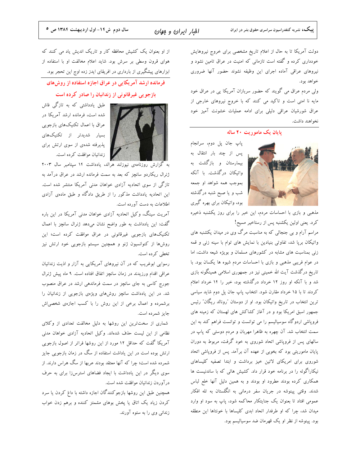دولت آمریکا تا به حال از اعلام تاریخ مشخصی برای خروج نیروهایش خودداری کرده و گفته است تازمانی که امنیت در عراق تامین نشود و نيروهاي عراقى آماده اجراى اين وظيفه نشوند حضور آنها ضرورى خواهد بود.

ولی مردم عراق می گویند که حضور سربازان آمریکا یی در عراق خود مایه نا امنی است و تاکید می کنند که با خروج نیروهای خارجی از عراق شورشیان عراقی دلیلی برای ادامه عملیات خشونت آمیز خود نخواهند داشت.

### یایان یک ماموریت ۲۰ ساله

پاپ جان پل دوم، سرانجام پس از چند بار انتقال به بیمارستان و بازگشت به واتیکان درگذشت. با آنکه بموجب همه شواهد او جمعه شب و یا صبح شنبه درگذشته بود، واتیکان برای بهره گیری

مذهبی و بازی با احساسات مردم، این خبر را برای روز یکشنبه ذخیره کرد. یعنی اولین یکشنبه پس از رستاخیر مسیح!

مراسم آرام و بی جنجالی که به مناسبت مرگ وی در میدان یکشنبه های واتیکان برپا شد، تفاوتی بنیادین با نمایش های توام با سینه زنی و قمه زنی بمناسبت های مشابه در کشورهای مسلمان و بویژه شیعه داشت، اما در عوام فریبی مذهبی و بازی با احساسات مردم شیوه ها یکسان بود. با تاریخ درگذشت آیت الله خمینی نیز در جمهوری اسلامی همینگونه بازی شد و با آنکه او روز ۱۲ خرداد درگذشته بود، خبر را ۱۴ خرداد اعلام کردند تا با ۱۵ خرداد مقارن شود. انتخاب پاپ جان پل دوم شاید سیاسی ترین انتخاب در تاریخ واتیکان بود. او از دوستان "رونالد ریگان" رئیس جمهور اسبق امریکا بود و در آغاز کشاکش های لهستان که زمینه های فروپاشی اردوگاه سوسیالیسم را می توانست و توانست فراهم کند به این سمت انتخاب شد. آن چهره به ظاهرا مهربان و مردم دوستی که پاپ در سالهای پس از فروپاشی اتحاد شوروی به خود گرفت، مربوط به دوران پایان ماموریتی بود که بخوبی از عهده آن برآمد. پس از فروپاشی اتحاد شوروی برای امریکای لاتین خیز برداشت و ابتدا تصفیه کلیساهای نیکاراگوئه را در برنامه خود قرار داد. کشیش هائی که با ساندنیست ها همکاری کرده بودند مطرود او بودند و به همین دلیل آنها خلع لباس شدند. وقتی پینوشه در جریان سفر درمانی به انگلستان به تله افکار عمومی افتاد تا بعنوان یک جنایتکار محاکمه شود، پاپ به سود او وارد میدان شد، چرا که او طرفدار اتحاد ابدی کلیساها با خونتاها این منطقه بود. پینوشه از نظر او یک قهرمان ضد سوسیالیسم بود.

از او بعنوان یک کشیش محافظه کار و تاریک اندیش یاد می کنند که هوای قرون وسطی بر سرش بود. شاید اعلام مخالفت او با استفاده از ابزارهای پیشگیری از بارداری در افریقای ایدز زده اوج این تحجر بود.

فرمانده ارشد آمریکایی در عراق اجازه استفاده از روشهای بازجویی غیرقانونی از زندانیان را صادر کرده است



طبق یادداشتی که به تازگی فاش شده است، فرمانده ارشد آمریکا در عراق با اعمال تکنیکهای بازجویی بسیار شدیدتر از تکنیکهای پذیرفته شدهی از سوی ارتش برای زندانیان موافقت کرده است.

به گزارش روزنامهی نیوزلند هرالد، یادداشت ۱۴ سپتامبر سال ۲۰۰۳ ژنرال ریکاردو سانچز که بعد به سمت فرمانده ارشد در عراق درآمد به تازگی از سوی اتحادیه آزادی خواهان مدنی آمریکا منتشر شده است. این اتحادیه یادداشت مذکور را از طریق دادگاه و طبق مادهی آزادی اطلاعات به دست آورده است.

آمریت سینگ، وکیل اتحادیه آزادی خواهان مدنی آمریکا در این باره گفت: این یادداشت به طور واضح نشان میدهد ژنرال سانچز با اعمال تکنیکهای بازجویی غیرقانونی در عراق موافقت کرده است؛ این روشها از کنوانسیون ژنو و همچنین سیستم بازجویی خود ارتش نیز تخطی کرده است.

رسوایی ابوغریب که در آن نیروهای آمریکایی به آزار و اذیت زندانیان عراقی اقدام ورزیدند در زمان سانچز اتفاق افتاده است. ۹ ماه پیش ژنرال جورج کاسی به جای سانچز در سمت فرماندهی ارشد در عراق منصوب شد. در این یادداشت سانچز روشهای ویژهی بازجویی از زندانیان را برشمرده و اعمال برخی از این روش را با کسب اجازهی شخصی اش جايز شمرده است.

شماری از سختترین این روشها به دلیل مخالفت تعدادی از وکلای نظامی از این لیست حذف شدهاند. وکیل اتحادیه آزادی خواهان مدنی آمریکا گفت که حداقل ۱۲ مورد از این روشها فراتر از اصول بازجویی ارتش بوده است در این یاداشت استفاده از سگ در زمان بازجویی جایز شمرده شده است؛ چرا که آنها معتقد بودند عربها از سگ هراس دارند. از سوی دیگر در این یادداشت با ایجاد فضاهای استرس(زا برای به حرف درآوردن زندانیان موافقت شده است.

همچنین طبق این روشها بازجوکنندگان اجازه داشته با داغ کردن یا سرد کردن زیاد یک اتاق یا پخش بوهای مشمئز کننده و برهم زدن خواب زندانی وی را به ستوه آورند.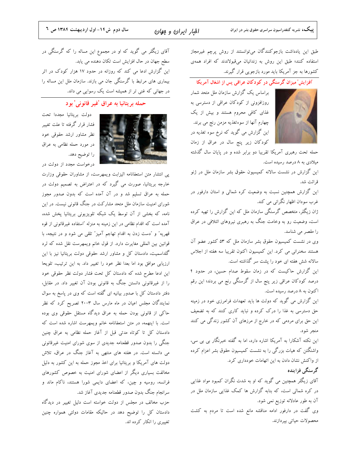افبار ايران و موان

طبق این یادداشت بازجوکنندگان میتوانستند از روش پرچم غیرمجاز استفاده كنند؛ طبق اين روش به زندانيان مىقبولاندند كه افراد همهى کشورها به جز آمریکا باید مورد بازجویی قرار گیرند.

### 'افزایش' میزان گرسنگی در کودکان عراقی پس از اشغال آمریکا

براساس یک گزارش سازمان ملل متحد شمار روزافزونی از کودکان عراقی از دسترسی به غذای کافی محروم هستند و بیش از یک چهارم آنها از سوءتغذیه مزمن رنج می برند. این گزارش می گوید که نرخ سوء تغذیه در کودکان زیر پنج سال در عراق از زمان

حمله تحت رهبری آمریکا تقریبا دو برابر شده و در پایان سال گذشته میلادی به ۸ درصد رسیده است.

این گزارش در نشست سالانه کمیسیون حقوق بشر سازمان ملل در ژنو قرائت شد.

این گزارش همچنین نسبت به وضعیت کره شمالی و استان دارفور در غرب سودان اظهار نگرانی می کند.

ژان زیگلر، متخصص گرسنگی سازمان ملل که این گزارش را تهیه کرده است، وضعیت رو به وخامت جنگ به رهبری نیروهای ائتلافی در عراق را مقصر می شناسد.

وی در نشست کمیسیون حقوق بشر سازمان ملل که ۵۳ کشور عضو آن هستند سخنرانی می کرد. این کمیسیون اکنون تقریبا سه هفته از اجلاس سالانه شش هفته ای خود را پشت سر گذاشته است.

این گزارش حاکیست که در زمان سقوط صدام حسین، در حدود ۴ درصد کودکان عراقی زیر پنج سال از گرسنگی رنج می بردند؛ این رقم اکنون به ۸ درصد رسیده است.

این گزارش می گوید که دولت ها باید تعهدات فرامرزی خود در زمینه حق دسترسی به غذا را درک کرده و نباید کاری کنند که به تضعیف این حق برای مردمی که در خارج از مرزهای آن کشور زندگی می کنند منجر شود.

این نکته آشکارا به آمریکا اشاره دارد، اما به گفته خبرنگار بی بی سی، واشنگتن که هیات بزرگی را به نشست کمیسیون حقوق بشر اعزام کرده از واکنش نشان دادن به این اتهامات خودداری کرد.

گر سنگی فزاینده

آقای زیگلر همچنین می گوید که او به شدت نگران کمبود مواد غذایی در کره شمالی است، که بنابه گزارش ها کمک غذایی سازمان ملل در آن به طور عادلانه توزیع نمی شود.

وی گفت در دارفور ادامه مناقشه مانع شده است تا مردم به کشت محصولات حياتي بيردازند.

آقای زیگلر می گوید که او در مجموع این مساله را که گرسنگی در سطح جهان در حال افزایش است تکان دهنده می یابد. این گزارش ادعا می کند که روزانه در حدود ۱۷ هزار کودک در اثر بیماری های مرتبط با گرسنگی جان می بازند. سازمان ملل این مساله را در جهانی که غنی تر از همیشه است یک رسوایی می داند.

### حمله بريتانيا به عراق 'غير قانوني' بو د



دولت بريتانيا مجددا تحت فشار قرار گرفته تا علت تغییر نظر مشاور ارشد حقوقی خود در مورد حمله نظامی به عراق را توضيح دهد.

درخواست مجدد از دولت در

پی انتشار متن استعفانامه الیزابت ویمهرست، از مشاوران حقوقی وزارت خارجه بریتانیا، صورت می گیرد که در اعتراض به تصمیم دولت در حمله به عراق تسلیم شد و در آن آمده است که بدون صدور مجوز شورای امنیت سازمان ملل متحد مشارکت در جنگ قانونی نیست. در این نامه، که بخشی از آن توسط یک شبکه تلویزیونی بریتانیا پخش شده، آمده است که اقدام نظامی در این زمینه به منزله "استفاده غیرقانونی از قوه قهریه" و "دست زدن به اقدام تهاجم آمیز" تلقی می شود و در نتیجه، با قوانین بین المللی مغایرت دارد. از قول خانم ویمهرست نقل شده که لرد گلداسمیت، دادستان کل و مشاور ارشد حقوقی دولت بریتانیا نیز با این ارزیابی موافق بود اما بعدا نظر خود را تغییر داد. به این ترتیب، تلویحا این ادعا مطرح شده که دادستان کل تحت فشار دولت نظر حقوقی خود را از غیرقانونی دانستن جنگ به قانونی بودن آن تغییر داد. در مقابل، دفتر دادستان کل با صدور بیانیه ای گفته است که وی در پاسخ به سوال نمایندگان مجلس اعیان در ماه مارس سال ۲۰۰۳ تصریح کرد که نظر حاکی از قانونی بودن حمله به عراق دیدگاه مستقل حقوقی وی بوده است. با اینهمه، در متن استعفانامه خانم ویمهرست اشاره شده است که دادستان کل تا کوتاه مدتی قبل از آغاز حمله نظامی به عراق چنین جنگی را بدون صدور قطعنامه جدیدی از سوی شورای امنیت غیرقانونی می دانسته است. در هفته های منتهی به آغاز جنگ در عراق، تلاش دولت های آمریکا و بریتانیا برای اخذ مجوز حمله به این کشور به دلیل مخالفت بسیاری دیگر از اعضای شورای امنیت به خصوص کشورهای فرانسه، روسیه و چین، که اعضای دایمی شورا هستند، ناکام ماند و سرانجام جنگ بدون صدور قطعنامه جدیدی آغاز شد.

حزب مخالف در مجلس از دولت خواسته است دلیل تغییر در دیدگاه دادستان کل را توضیح دهد در حالیکه مقامات دولتی همواره چنین تغییری را انکار کرده اند.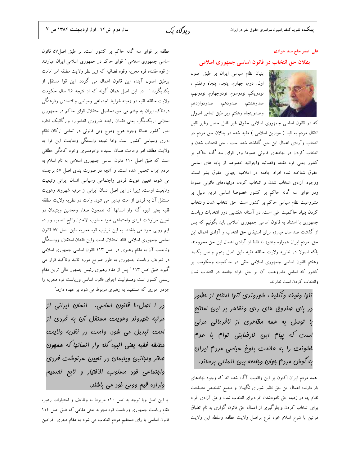#### علی اصغر حاج سید جوادی

#### بطلان حق انتخاب در قانون اساسی جمهوری اسلامی

اللوات بنيان نظام سياسي ايران بر طبق اصول اول، دوم، چهارم، پنجم، پنجاه وهفتم ، نودويكم، نودوسوم، نودوچهارم، نودونهم، صدوهشتم، صدودهم، صدودوازدهم فيستقيل وصدوينجاه وهفتم وبر طبق تمامى اصولى



که در قانون اساسی جمهوری اسلامی حقوق غیر قابل حصر وغیر قابل انتقال مردم به قید ( موازین اسلامی ) مقید شده در بطلان حق مردم در انتخاب وآزادی اعمال این حق گذاشته شده است . حق انتخاب شدن و انتخاب کردن در نهادهای قانونی عموما ودر قوای سه گانه حاکم بر كشور يعني قوه مقننه وقضائيه واجرائيه خصوصا از پايه هاى اساسى حقوق شناخته شده افراد جامعه در اعلاميه جهاني حقوق بشر است. ووجود آزادي انتخاب شدن و انتخاب كردن درنهادهاي قانوني عموما ودر قوای سه گانه حاکم بر کشور خصوصا اساسی ترین دلیل بر مشروعیت نظام سیاسی حاکم بر کشور است. حق انتخاب شدن وانتخاب کردن بنیاد حاکمیت ملی است. در آستانه هفتمین دور انتخابات ریاست جمهوری با استناد به قانون اساسی جمهوری اسلامی باید بگوئیم که پس از گذشت صد سال مبارزه برای استیفای حق انتخاب و آزادی اعمال این حق، مردم ایران همواره وهنوز نه فقط از آزادی اعمال این حق محرومند، بلكه اصولا در نظريه ولايت مطلقه فقيه طبق اصل پنجم واصل يكصد وهفتم قانون اساسی جمهوری اسلامی حقی در حاکمیت وحکومت بر کشور که اساس مشروعیت آن بر حق افراد جامعه در انتخاب شدن وانتخاب كردن است ندارند.

تنها وظيفه وتكليف شهرونري آنها امتناع از مفيور در یای مینروق های رای وتظاهر بر این امتناع با توسل به همه مظاهری از نافرمانی مرنی است که پیام این نارضایتی توام با عرم فشونت را به علامت بلوغ سیاسی مردم ایران به گوش مردم موان ومامعه بین المللی برسانر.

همه مردم ایران اکنون بر این واقعیت آگاه شده اند که وجود نهادهای باز دارنده اعمال این حق نظیر شورای نگهبان و مجمع تشخیص مصلحت نظام چه در زمینه حق نامزدشدن افرادبرای انتخاب شدن وحق آزادی افراد برای انتخاب کردن وجلوگیری از اعمال حق قانون گزاری به نام انطباق قوانين با شرع اسلام خود فرع براصل ولايت مطلقه وسلطه اين ولايت

مطلقه بر قوای سه گانه حاکم بر کشور است. بر طبق اصل۵۷ قانون اساسی جمهوری اسلامی " قوای حاکم در جمهوری اسلامی ایران عبارتند از قوه مقننه، قوه مجريه وقوه قضائيه كه زير نظر ولايت مطلقه امر امامت برطبق اصول آينده اين قانون اعمال مي گردد. اين قوا مستقل از یکدیگرند " در این اصل همان گونه که از نتیجه ۲۶ سال حکومت ولايت مطلقه فقيه در زمينه شرايط اجتماعي وسياسي واقتصادي وفرهنگي دردناک ایران به چشم می خوردحاصل استقلال قوای حاکم در جمهوری اسلامی ازیکدیگر، یعنی فقدان رابطه ضروری اندامواره وارگانیک اداره امور کشور همانا وجود هرج ومرج وبی قانونی در تمامی ارکان نظام اداری وسیاسی کشور است واما نتیجه وابستگی ومتابعت این قوا به ولايت مطلقه امر وامامت همان استبداد وخودسرى وخود كامگى مطلقى است که طبق اصل ۱۱۰ قانون اساسی جمهوری اسلامی به نام اسلام به مردم ایران تحمیل شده است. و آنچه در صورت بندی اصل ۵۷ برجسته می شود، تعیین هویت فردی واجتماعی وسیاسی انسان ایرانی وتبعیت وتابعیت اوست. زیرا در این اصل انسان ایرانی از مرتبه شهروند وهویت مستقل آن به فردی از امت تبدیل می شود. وامت در نظریه ولایت مطلقه فقیه یعنی انبوه گله وار انسانها که همچون صغار ومجانین ویتیمان در تعيين سرنوشت فردى واجتماعي خود مسلوب الاختياروتابع تصميم واراده قیم وولی خود می باشند. به این ترتیب قوه مجریه طبق اصل ۵۷ قانون اساسي جمهوري اسلامي فاقد استقلال است واين فقدان استقلال ووابستگي وتابعیت آن به مقام رهبری در اصل ۱۱۳ قانون اساسی جمهوری اسلامی در تعریف ریاست جمهوری به طور صریح مورد تائید وتاکید قرار می گیرد. طبق اصل ۱۱۳ ″ پس از مقام رهبری رئیس جمهور عالی ترین مقام رسمی کشور است ومسئولیت اجرای قانون اساسی وریاست قوه مجریه را جزدر اموری که مستقیما به رهبری مربوط می شود بر عهده دارد."

رر ا اصل ۱۱۰ قانون اساسی، انسان ایرانی از مرتبه شهرونر وهویت مستقل آن به فرری از امت تبریل می شور. وامت رر نظریه ولایت مطلقه فقيه يعنى انبوه گله وار انسانها كه همهون میغار وموانین ویتیمان در تعیین سرنوشت فرری وابتماعى فور مسلوب الافتي*ار و تابع تهد*ميم واراده قیع وولی فور می باشند.

با این اصل وبا توجه به اصل ١١٠ مربوط به وظایف و اختیارات رهبر، مقام ریاست جمهوری وریاست قوه مجریه یعنی مقامی که طبق اصل ۱۱۴ قانون اساسی با رای مستقیم مردم انتخاب می شود به مقام مجری ً فرامین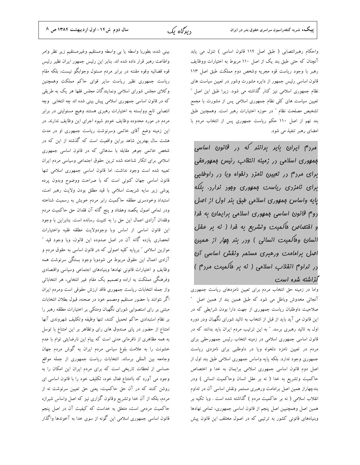سال دوم ش ١٤- اول ارديبهشت ١٣٨٤ ص ٨

بینی شده، بطوربا واسطه یا بی واسطه ومستقیم وغیرمستقیم زیر نظر وامر

دىدگاە ىك

واطاعت رهبر قرار داده شده اند. بنابر این رئیس جمهور ایران نظیر رئیس قوه قضائیه وقوه مقننه در برابر مردم مسئول وجوابگو نیست، بلکه مقام ریاست جمهوری نظیر ریاست سایر قوای حاکم مملکت وهمچنین وکلای مجلس شورای اسلامی ونمایندگان مجلس فقها هر یک به طریقی که در قانون اساسی جمهوری اسلامی پیش بینی شده اند چه انتخابی ًوچه انتصابی تابع ووابسته به اختیارات رهبری هستند وهیچ مسئولیتی در برابر مردم در مورد محدوده وظایف خودو شیوه اجرای این وظایف ندارند. در این زمینه وضع آقای خاتمی وسرنوشت ریاست جمهوری او در مدت هشت سال بهترین شاهد براین واقعیت است که گذشته از این که در شخص خاتمی جوهر مقابله با سدهائی که در قانون اساسی جمهوری اسلامی برای انکار شناخته شده ترین حقوق اجتماعی وسیاسی مردم ایران تعبیه شده است وجود نداشت. اما قانون اساسی جمهوری اسلامی تنها قانون اساسی جهان کنونی است که با صراحت ووضوح وبدون پرده پوشی زیر سایه شریعت اسلامی با قید مطلق بودن ولایت رهبر امت، استبداد وخودسرى مطلقه حاكميت رابر مردم خويش به رسميت شناخته ودر تمامی اصول یکصد وهفتاد و پنج گانه آن فقدان حق حاکمیت مردم وفقدان آزادی اعمال این حق را به تثبیت رسانده است. بنابراین با وجود این قانون اساسی از اساس وبا وجودولایت مطلقه فقیه واختیارات انحصاری یازده گانه آن در اصل صدوده این قانون، وبا وجود قید " موازین اسلامی " برپایه کلیه اصولی که در قانون اساسی به حقوق مردم و آزادی اعمال این حقوق مربوط می شودوبا وجود بستگی سرنوشت همه وظايف و اختيارات قانوني نهادها وبنيادهاى اجتماعي وسياسي واقتصادى وفرهنگی مملکت به اراده وتصمیم یک مقام غیر انتخابی، هر انتخاباتی واز جمله انتخابات رياست جمهورى فاقد ارزش حقوقى است ومردم ايران اگر نتوانند با حضور مستقیم ومصمم خود در صحنه، قبول بطلان انتخابات مبتنی بر رای استصوابی شورای نگهبان ومتکی بر اختیارات مطلقه رهبر را بر نظام استبدادى حاكم تحميل كنند، تنها وظيفه وتكليف شهروندى آنها امتناع از حضور در پای صندوق های رای وتظاهر بر این امتناع با توسل به همه مظاهری از نافرمانی مدنی است که پیام این نارضایتی توام با عدم خشونت را به علامت بلوغ سیاسی مردم ایران به گوش مردم جهان وجامعه بين المللي برساند. انتخابات رياست جمهوري از جمله مواقع حساسی از لحظات تاریخی است که برای مردم ایران این امکان را به وجود می آورد که باامتناع فعال خود، تکلیف خود را با قانون اساسی ای روشن کنند که در آن حق حاکمیت، یعنی حق تعیین سرنوشت نه از مردم، بلکه از آن خدا وتشریع وقانون گزاری نیز که اصل واساس شیرازه حاکمیت مردمی است، متعلق به خداست که کیفیت آن در اصل پنجم قانون اساسی جمهوری اسلامی این گونه از سوی خدا به آخوندها واگذار

واحكام رهبرانتصابي ( طبق اصل ١١۴ قانون اساسي ) تنزل مي يابد آنچنان که حتی طبق بند یک از اصل ۱۱۰ مربوط به اختیارات ووظایف رهبر با وجود رياست قوه مجريه وشخص دوم مملكت طبق اصل ١١٣ قانون اساسی رئیس جمهور از دایره مشورت وشور در تعیین سیاست های نظام جمهوری اسلامی نیز کنار گذاشته می شود. زیرا طبق این اصل " تعیین سیاست های کلی نظام جمهوری اسلامی پس از مشورت با مجمع تشخيص مصلحت نظام " در حوزه اختيارات رهبر است. وهمچنين طبق بند نهم از اصل ۱۱۰ حکم ریاست جمهوری پس از انتخاب مردم با امضای رهبر تنفیذ می شود.

مررم ایران بایر براننر که در قانون اساسی بمهوری اسلامی در زمینه انتقاب رئیس بمهوریقی برای مرزم در تعیین نامزر رلفواه ویا در راوطلبی برای نامزری ریاست بمهوری وبور نرارد. بلکه یایه واساس بمهوری اسلامی طبق بنر اول از اصل روم قانون اساسی ممهوری اسلامی برایمان به فرا و افتصاص ماکمیت وتشریع به فرا ( نه بر عقل انسان وهاکمیت انسانی ) ورر بنر پهار از همین اصل برامامت ورهبری مستمر ونقش اساسی آن رر تراو<sup>م</sup> انقلاب اسلامی ( نه بر م*اک*میت مرد<sup>م</sup> ) گزاشته شره است

واما در زمینه حق انتخاب مردم برای تعیین نامزدهای ریاست جمهوری آنجائی مخدوش وباطل می شود که طبق همین بند از همین اصل ″ صلاحیت داوطلبان ریاست جمهوری از جهت دارا بودن شرایطی که در این قانون می آید باید از قبل از انتخاب به تائید شورای نگهبان ودر دوره اول به تائید رهبری برسد. " به این ترتیب مردم ایران باید بدانند که در قانون اساسی جمهوری اسلامی در زمینه انتخاب رئیس جمهورحقی برای مردم در تعیین نامزد دلخواه ویا در داوطلبی برای نامزدی ریاست جمهوری وجود ندارد. بلکه پایه واساس جمهوری اسلامی طبق بند اول از اصل دوم قانون اساسی جمهوری اسلامی برایمان به خدا و اختصاص حاكميت وتشريع به خدا ( نه بر عقل انسان وحاكميت انساني ) ودر بندچهاراز همین اصل برامامت ورهبری مستمر ونقش اساسی آن در تداوم انقلاب اسلامی ( نه بر حاکمیت مردم ) گذاشته شده است . وبا تکیه بر همین اصل وهمچنیین اصل پنجم از قانون اساسی جمهوری، تمامی نهادها وبنیادهای قانونی کشور به ترتیبی که در اصول مختلف این قانون پیش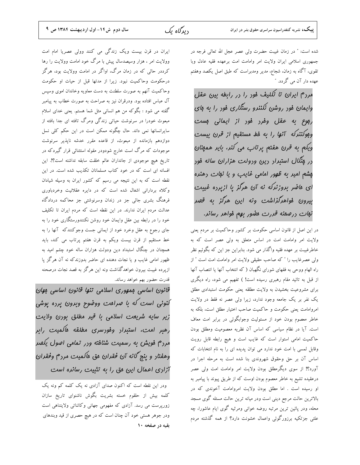دىدگاە ىك

ایران در قرن بیست ویک زندگی می کنند وولی عصریا امام امت وولایت امر ، هزار وسیصدسال پیش با مرگ خود امامت وولایت را رها کرددر حالی که در زمان مرگ، اواگر در امامت وولایت بود، هرگز درحکومت وحاکمیت نبود. زیرا از مدتها قبل از حیات او حکومت وحاکمیت آنهم به صورت سلطنت به دست معاویه وخاندان اموی وسپس آل عباس افتاده بود. ودرقران نیز به صراحت به صورت خطاب به پیامبر گفته می شود : بگوکه من هم انسانی مثل شما هستم. یعنی خدای اسلام مبعوث خودرا در سرنوشت حیاتی زندگی ومرگ تافته ای جدا بافته از سایرانسانها نمی داند. حال چگونه ممکن است در این حکم کلی نسل دوازدهم بازمانده از مبعوث، از قاعده مقرر خدشه ناپذیر سرنوشت موجودات که مرگ است خارج شودودر مقوله استثنائی قرار گیردکه در تاريخ هيچ موجودي از جانداران عالم خلقت سابقه نداشته است؟!. اين افسانه ای است که در خود کتاب مسلمانان تکذیب شده است. در این نقطه است که به این نتیجه می رسیم که کشور ایران به وسیله شیادان وكلاه برداراني اشغال شده است كه در دايره عقلانيت وخردباوري فرهنگ بشری جائی جز در زندان وسرنوشتی جز محاکمه دردادگاه عدالت مردم ایران ندارند. در این نقطه است که مردم ایران تا تکلیف خود را در رابطه بین عقل وایمان خود روشن نکنندورستگاری خود را به جای رجوع به عقل وخرد خود از ایمانی جست وجوکنندکه آنها را به خط مستقیم از قرن بیست ویکم به قرن هفتم پرتاب می کند، باید همچنان در چنگال استبداد دین ودولت هزاران ساله خود چشم امید به ظهور امامی غایب و یا نجات دهنده ای حاضر بدوزندکه نه آن هرگز یا ازپرده غیبت بیرون خواهدگذاشت ونه این هرگز به قصد نجات درصحنه قدرت حضور بهم خواهد رساند.

قانون اساسی بمهوری اسلامی تنها قانون اساسی بهان لنونی است که با صراحت ووضوح وبرون پرده پوشی زیر سایه شریعت اسلامی با قیر مطلق بورن ولایت رهبر امت، استبرار وفورسری مطلقه ه*اک*میت *ر*ابر مررم فویش به رسمیت شنافته ورر تمامی اصول یکصر وهفتار و ينج گانه آن فقدان مق ماكميت مررم وفقدان آزاری اعمال این مق را به تثبیت رسانره است

ودر این نقطه است که اکنون صدای آزادی نه یک کلمه کم ونه یک کلمه بیش از حلقوم خسته بشریت بگوش ناشنوای تاریخ سازان زورپرست می رسد. آزادی که مفهومی جهانی وکائناتی ولایتناهی است ودر جوهر هستی خود آن چنان است که در هیچ حصری از قید وبندهای بقیه در صفخه ۱۰

شده است: " در زمان غیبت حضرت ولی عصر عجل الله تعالی فرجه در جمهوری اسلامی ایران ولایت امر وامامت امت برعهده فقیه عادل وبا تقوی، آگاه به زمان، شجاع، مدیر ومدبراست که طبق اصل یکصد وهفتم عهده دار آن می گردد. ″

مردم ایران تا تکلیف فور را در رابطه بین عقل وایمان فور روشن نکنندو رستگاری فور را به فای ربوع به عقل وفرر فور از ایمانی بست وبوكنندكه آنها را به فط مستقيم از قرن بيست ویکم به قرن هفتم پرتاب می کند، باید همهنان <sub>د</sub>ر پ*نگال استبرا*ر رین ورولت هزا*ر*ان س*اله* فور یشم امیر به ظهور امامی غایب و یا نبات رهنره ای عاضر بروزنرکه نه آن هرگز یا ازیرده غیبت بیرون فواهرگزاشت ونه این هرگز به قهیر نبات درصمنه قررت مفلور بهم فواهر رساند.

در این اصل از قانون اساسی حکومت بر کشور وحاکمیت بر مردم یعنی ولایت امر وامامت امت در اساس متعلق به ولی عصر است که به خاطرغیبت بر عهده فقیه واگذار می شود. بنابراین جز این که بگوئیم نظر ولي عصرغايب را " كه صاحب حقيقي ولايت امر وامامت امت است " از راه الهام ووحی به فقهای شورای نگهبان ( که انتخاب آنها یا انتصاب آنها از قبل به تائید مقام رهبری رسیده است! ) تفهیم می شود، راه دیگری برای مشروعیت بخشیدن به ولایت مطلقه یعنی حکومت استبدادی مطلق یک نفر بر یک جامعه وجود ندارد، زیرا ولی عصر نه فقط در ولایت امروامامت یعنی حکومت و حاکمیت صاحب اختیار مطلق است، بلکه به خاطر معصوم بودن خود از مسئولیت وجوابگوئی در برابر امت معاف است. آیا در نظام سیاسی که اساس آن نظریه معصومیت ومطلق بودن حاکمیت امامی استوار است که غایب است و هیچ رابطه قابل رویت وقابل لمسی با امت خود ندارد می توان پدیده ای را به نام انتخابات که اساس آن بر حق وحقوق شهروندی بنا شده است به مرحله اجرا در آورد؟! از سوی دیگرمطلق بودن ولایت امر وامامت امت ولی عصر درعقیده تشیع به خاطر معصوم بودن اوست که از طریق پیوند با پیامبر به او رسیده است . اما مطلق بودن ولایت امروامامت آخوندی که در بالاترين حالت مرجع ديني است ودر ميانه ترين حالت مسئله گوي مسجد محله، ودر پائین ترین مرتبه روضه خوانی ومرثیه گوی ایام عاشورا، چه علتی جزتکیه برزورگوئی واعمال خشونت دارد؟ از همه گذشته مردم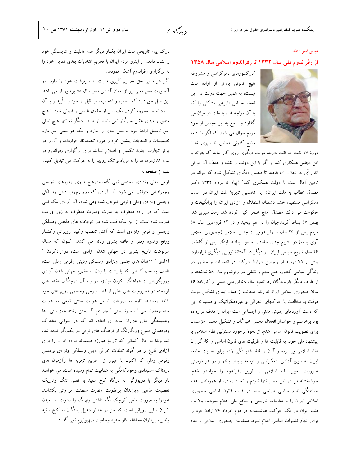$y_0$ لاه ۲ $y_0$ 

### عباس امیر انتظام

### از رفراندوم ملی سال ۱۳۳۲ تا رفراندوم اسلامی سال ۱۳۵۸



"درکشورهای دموکراسی و مشروطه هیچ قانونی بالاتر از اراده ملت نیست، به همین جهت دولت در این لحظه حساس تاریخی مشکلی را که با آن مواجه شده با ملت در میان می گذارد و راجع به این مجلس از خود مردم سؤال می شود که اگر با ادامهْ وضع کنونی مجلس تا سپری شدن

دورهٔ ۱۷ تقینه موافقت دارند، دولت دیگری روی کار بیاید که بتواند با این مجلس همکاری کند و اگر با این دولت و نقشه و هدف آن موافق اند رآی به انحلال آن بدهند تا مجلس دیگری تشکیل شود که بتواند در تامین آمال ملت با دولت همکاری کند" (پیام ۵ مرداد ۱۳۳۲ دکتر مصدق خطاب به ملت ایران) این نخستین تچربهٔ ملت ایران در اعمال دمکراسی مستقیم، خشم دشمنان استقلال و آزادی ایران را برانگیخت و حکومت ملی دکتر مصدق آماج خنجر کین کودتا شد. زمان سپری شد: بهمن ۵۷ بساط کودتاچیان را در هم پیجید و در ۱۲ فروردین سال ۵۸ مردم پس از ۲۶ سال با رفراندومی از جنس اسلامی (جمهوری اسلامی آری یا نه) در تشییع جنازه سلطنت حضور یافتند. اینک پس از گذشت ۲۶ سال تاریخ سیاسی ایران بار دیگر در آستانهٔ نوزایی دیگری قراردارد. بیش از ۷۵ درصد از واجدین شرایط شرکت در انتخابات و حضور در زندگی سیاسی کشور، هیج سهم و نقشی در رفراندوم سال ۵۸ نداشتند و از طرف دیگر بازماندگان رفراندوم سال ۵۸ ارزیابی مثبتی از کارنامهٔ ۲۶ سالهٔ جمهوری اسلامی ایران ندارند. اینجانب از همان ابتدای تشکیل دولت موقت به مخالفت با حرکتهای انحرافی و غیردمکراتیک و مستبدانه ایی که دست آوردهای جنبش مدنی و اجتماعی ملت ایران را هدف قرارداده بود برخاستم و خواستار انحلال مجلس خبرگان و تشکیل مجلس مؤسسان برای تصویب قانون اساسی شدم. از نحوهٔ برخورد مسئولین نظام اسلامی با پیشنهاد ملی خود، به قابلیت ها و ظرفیت های قانون اساسی و کارگزاران نظام اسلامی پی برده و آنان را فاقد شایستگی لازم برای هدایت جامعهْ ایران به سوی آزادی، دمکراسی و توسعه پایدار یافتم و در هر فرصتی ضرورت تغییر نظام اسلامی از طریق رفراندوم را خواستار شدم. خوشبختانه من در این مسیر تنها نبودم و تعداد زیادی از هموطنان، عدم هماهنگی نظام سیاسی طراحی شده در قالب قانون اساسی جمهوری اسلامی ایران را با مطالبات تاریخی و منافع ملی اعلام نمودند. بالاخره ملت ایران در یک حرکت هوشمندانه در دوم خرداد ۷۶ ارادهٔ خود را برای انجام تغییرات اساسی اعلام نمود. مسئولین جمهوری اسلامی با عدم

درک پیام تاریخی ملت ایران یکبار دیگر عدم قابلیت و شایستگی خود را نشان دادند. از اینرو مردم ایران با تحریم انتخابات بعدی تمایل خود را به برگزاری رفراندوم آشکار نمودند.

اگر هر نسلی حق تصمیم گیری نسبت به سرنوشت خود را دارد، در آنصورت نسل فعلی نیز از همان آزادی نسل سال ۵۸ برخوردار می باشد. این نسل حق دارد که تصمیم و انتخاب نسل قبل از خود را تأیید و یا آن را رد نماید. محروم کردن یک نسل از حقوق طبیعی و قانونی خود با هیچ منطق و مبنای عقلی سازگار نمی باشد. از طرف دیگر نه تنها هیچ نسلی حق تحمیل ارادهٔ خود به نسل بعدی را ندارد و بلکه هر نسلی حق دارد تصمیمات و انتخابات پیشین خود را مورد تجدیدنظر قرارداده و آن را در پرتو تجارب جدید تکمیل و اصلاح نماید. برای برگزاری رفراندوم در سال ۸۴ زمزمه ها را به فریاد و تک رویها را به حرکت ملی تبدیل کنیم.

### بقيه از صفحه ۹

قومی وملی ونژادی وجنسی نمی گنجدودرهیچ مرزی ازمرزهای تاریخی وجغرافیائی متوقف نمی شود. آن آزادی که درچارچوب دینی ومسلکی وجنسی ونژادی وملی وقومی تعریف شده ومی شود، آن آزادی سکه قلبی است كه در اراده معطوف به قدرت وقدرت معطوف به زور ورعب ضرب شده است. از این سکه قلب شده در خرابخانه های مذهبی ومسلکی وجنسی و قومی ونژادی است که آتش تعصب وکینه وویرانی وکشتار ورنج واندوه وفقر و فائقه بشرى زبانه مى كشد. اكنون كه مساله سرنوشت تاریخ بشری در جهانی شدن آزادی است، درآزادکردن " آزادی ″ اززندان های جنسی ونژادی ومسلکی ودینی وقومی وملی است، تاسف به حال کسانی که با پشت پا زدن به مفهوم جهانی شدن آزادی ورویگردانی از هماهنگ کردن مبارزه در راه آن درچنگال عقده های فروخته در محرومیت های ناشی از فشار روحی وجسمی رژیم های خود کامه ومستبد، تازه به صرافت تبدیل هویت سنتی قومی به هویت جدیدومدرن ملی ″ ناسیونالیستی ″ واز هم گسیختن رشته همزیستی ًها وهمبستگی های هزاران ساله ای افتاده اند که در میراثی مشترک ودرفضائی متنوع ورنگارنگ از فرهنگ های قومی در یکدیگر تنیده شده اند. وبدا به حال کسانی که تاریخ مبارزه صدساله مردم ایران را برای آزادی فارغ از هر گونه تعلقات خرافی دینی ومسلکی ونژادی وجنسی وقومی وملی که اکنون با عبور از آخرین تجربه ها وآزمون های دردناک استبدادی وخودکامگی به شفافیت تمام رسیده است، می خواهند بار دیگر با دریوزگی به درگاه کاخ سفید به قفس تنگ وتاریک تعصبات مذهبى ويازندان پرعفونت ونفرت سلطنت موروثى بكشانند. خودرا به صورت ماهی کوچک نگه داشتن ونهنگ را دعوت به بلعیدن کردن ، این رویائی است که جز در خاطر دخیل بستگان به کاخ سفید ونظريه پردازان محافظه كار جديد وحاميان صهيونيزم نمى گذرد.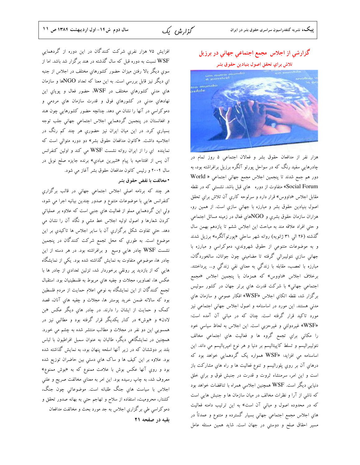گزارش یک

# گزارشي از اجلاس مجمع اجتماعي جهاني در برزيل تلاش براي تحقق اصول بنيادين حقوق بشر



هزار نفر از مدافعان حقوق بشر و فعالان اجتماعي ۵ روز تمام در چادرهایی سفید رنگ که در سواحل پورتو آلگره برزیل برافراشته بود، به دور هم جمع شدند تا پنجمين اجلاس مجمع جهاني اجتماعي « World Social Forum» متفاوت از دوره هاي قبل باشد. نشستی كه در نقطه مقابل اجلاس «داووس» قرار دارد و سرلوحه كاري آن تلاش براي تحقق اصول بنیادین حقوق بشر و مبارزه با جهانی سازي است. از همین رو، هزاران سازمان حقوق بشري و NGOهاي فعال در زمينه مسائل اجتماعي و حتى افراد علاقه مند به مباحث اين اجلاس ششم تا يازدهم بهمن سال گذشته (۲۶ الی ۳۱ ژانویه) روانه شهر ساحلی «پورتوآلگره» برزیل شدند و به موضوعات متنوعی از حقوق شهروندی، دموکراسی و مبارزه با جهانی سازی نئولیبرالی گرفته تا مضامینی چون جوانان، سالخوردگان، مبارزه با تعصب، مقابله با زندگی به معنای نفی زندگی و… پرداختند. برخلاف اجلاس «داووس» كه همزمان با پنجمين اجلاس «مجمع اجتماعی جهانی» با شرکت قدرت های برتر جهان در کشور سوئیس برگزار شد، نقطه اتکای اجلاس «WSF» افکار عمومي و سازمان هاي مدنی هستند. این مورد در اساسنامه و اصول اجلاس جهانی اجتماعی نیز مورد تاکید قرار گرفته است. چنان که در مبانی آن آمده است: «WSF» غيردولتي و غيرحزبي است. اين اجلاس به لحاظ سياسي خود را مكاني براي تجمع گروه ها و فعاليت هاي اجتماعي مخالف نئولیبرالیسم و تسلط کاپیتالیسم بر دنیا و هر نوع امپریالیسم می داند. این اساسنامه می افزاید: «WSF همواره یک گردهمایی خواهد بود که درهاي آن بر روي پلوراليسم و تنوع فعاليت ها و راه هاي مشاركت باز است و اين امر، سرمنشاء ثروت و قدرت در جنبش فوق و براي خلق دنیایی دیگر است. WSF همچنین اجلاسی همراه با تناقضات خواهد بود که ناشی از آرا و نظرات مخالف در میان سازمان ها و جنبش هایی است که در محدوده اصول و مبانی آن است» به این ترتیب دامنه فعالیت های اجلاس مجمع اجتماعی جهانی بسیار گسترده و متنوع و عمدتاً در مسیر احقاق صلح و دوستی در جهان است. شاید همین مسئله عامل

افزایش ۷۵ هزار نفری شرکت کنندگان در این دوره از گردهمایی WSF نسبت به دوره قبل که سال گذشته در هند برگزار شد باشد. اما از سوی دیگر بالا رفتن میزان حضور کشورهای مختلف در اجلاس از جنبه ای دیگر نیز قابل بررسی است. به این معنا که تعداد NGOها و سازمان های مدنی کشورهای مختلف در WSF، حضور فعال و پویاي این نهادهای مدنی در کشورهای فوق و قدرت سازمان های مردمی و دموکراسی در آنها را نشان می دهد. چنانچه حضور کشورهایی چون هند و افغانستان در پنجمین گردهمایی اجلاس اجتماعی جهانی جلب توجه بسیاری کرد. در این میان ایران نیز حضوری هر چند کم رنگ در اجلاسیه داشت. «کانون مدافعان حقوق بشر» دو دوره متوالی است که نماینده ای را از ایران روانه نشست WSF می کند و اولین کنفرانس آن پس از افتتاحیه با پیام «شیرین عبادي» برنده جایزه صلح نوبل در سال ۲۰۰۴ و رئیس کانون مدافعان حقوق بشر آغاز می شود.

### • مخالفت با نقض حقوق بشر

هر چند که برنامه اصلی اجلاس اجتماعی جهانی در قالب برگزاری كنفرانس هايي با موضوعات متنوع و صدور چندين بيانيه اجرا مي شود، ولی این گردهمایی مملو از فعالیت های جنبی است که علاوه بر عملیاتی کردن شعارها و اصول اولیه اجلاس خط مشی و نگاه آن را نشان می دهد. حتی تفاوت شکل برگزاری آن با سایر اجلاس ها تاکیدی بر این موضوع است. به طوری که محل تجمع شرکت کنندگان در پنجمین نشست WSF چادر هایی وسیع و برافراشته بود. در هر دسته از این چادر ها، موضوعی متفاوت به نمایش گذاشته شده بود. یکی از نمایشگاه هایی که از بازدید پر رونقی برخوردار شد، تزئین تعدادی از چادر ها با عكس ها، تصاوير، مجلات و چفيه هاي مربوط به فلسطينيان بود. استقبال تجمع کنندگان از این نمایشگاه به نوعی اعلام حمایت از مردم فلسطین بود كه سالانه ضمن خريد پوستر ها، مجلات و چفيه هاي آنان، قصد کمک و حمایت از ایشان را دارند. در چادر های دیگر عکس «بن لادن» و «بوش» در کنار یکدیگر قرار گرفته بود و مطالبی نیز در همسویی این دو نفر در مجلات و مطالب منتشر شده به چشم می خورد. همچنین در نمایشگاهی دیگر، طالبان به عنوان سمبل افراطیون با لباس بلند بر دوششان که در زیر آنها اسلحه پنهان بود، به نمایش گذاشته شده بود. علاوه بر این کیف ها و ساک های دستی بین حاضران توزیع شده بود و روي آنها عكس بوش با علامت ممنوع كه به «بوش ممنوع» معروف شد، به چاپ رسیده بود. این امر به معنای مخالفت صریح و علنی اجلاس با سیاست های جنگ طلبانه است. موضوعاتی چون جنگ، کشتار، محرومیت، استفاده از سلاح و تهاجم حتی به بهانه صدور تحقق و دموکراسی طی برگزاری اجلاس به جد مورد بحث و مخالفت مدافعان بقیه در صفحه ۲۱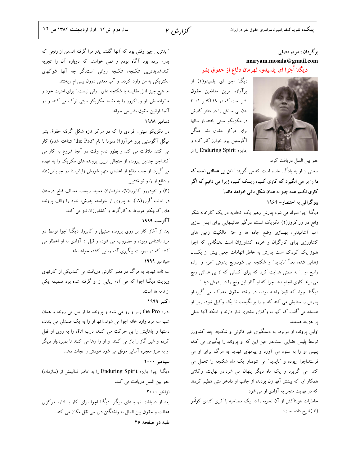گزارش ۲

### برگردان : مريم مصلي maryam.mosala@gmail.com دیگنا اَچَوا ای پلسیدو، قهرمان دفاع از حقوق بشر



دیگنا اچوا ای پلسیدو(۱) از يرآوازه ترين مدافعين حقوق بشر است که در ۱۹ اکتبر ۲۰۰۱ بدن بی جانش را در دفتر کارش در مکزیکو سیتی یافتند،او سالها برای مرکز حقوق بشر میگل آگوستین پرو خوارز کار کرد و جایزه Enduring Spirit را از

عفو بين الملل دريافت كرد. سخنی از او به یادگار مانده است که می گوید: ˚ این بی عدالتی ا**ست ک**ه ما را بر می انگیزد که کاری کنیم، ریسک کنیم، زیرا می دانیم که اگر کاری نکنیم همه چیز به همان شکل باقی خواهد ماند." بیو گرافی به اختصار – ۱۹۶۴

دیگنا اچوا متولد می شود.پدرش رهبر یک اتحادیه در یک کارخانه شکر واقع در وراکروز(۲) مکزیک است، درگیر فعالیتهایی برای ایمن سازی آب آشامیدنی، بهسازی وضع جاده ها و حق مالکیت زمین های کشاورزی برای کارگران و خرده کشاورزان است .هنگامی که اچوا هنوز یک کودک است پدرش به خاطر اتهامات جعلی بیش از یکسال زندانی شده، بعداً "ناپدید" و شکنجه می شود.رنج پدرش "عزم و اراده راسخ او را به سمتی هدایت کرد که برای کسانی که از بی عدالتی رنج می برند کاری انجام دهد چرا که او آثار این رنج را در پدرش دید."

دیگنا اچوا، که قبلا راهبه بوده، در رشته حقوق مدرک می گیرد.او پدرش را ستایش می کند که او را برانگیخت تا یک وکیل شود، زیرا او همیشه می گفت که آنها به وکلای بیشتری نیاز دارند و اینکه آنها خیلی پر هزينه هستند.

اولین پرونده او مربوط به دستگیری غیر قانونی و شکنجه چند کشاورز توسط پلیس قضایی است.در حین این که او پرونده را پیگیری می کند، پلیس او را به ستوه می آورد و پیامهای تهدید به مرگ برای او می فرستد.اچوا ربوده و "ناپدید" می شود.او یک ماه شکنجه را تحمل می کند، می گریزد و یک ماه دیگر پنهان می شود.در نهایت، وکلای همکار او، که بیشتر آنها زن بودند، از جانب او دادخواستی تنظیم کردند که در نهایت منجر به آزادی او می شود.

خاطرات هولناکش از آن تجربه را در یک مصاحبه با کری کندی کواُمو (۳)شرح داده است:

″ بدترین چیز وقتی بود که آنها گفتند پدر مرا گرفته اند.من از رنجی که پدرم برده بود آگاه بودم و نمی خواستم که دوباره آن را تجربه کند.شدیدترین شکنجه، شکنجه روانی است.گر چه آنها شوکهای الکتریکی به من وارد کردند و آب معدنی درون بینی ام ریختند، اما هیچ چیز قابل مقایسه با شکنجه های روانی نیست." برای امنیت خود و .<br>خانواده اش، او وراکروز را به مقصد مکزیکو سیتی ترک می کند، و در آنجا قوانين حقوق بشر مي خواند.

### دسامير ١٩٨٨

در مکزیکو سیتی، افرادی را که در مرکز تازه شکل گرفته حقوق بشر میگل آگوستین پرو خوآرز ا(عموما با نام "the Pro" شناخته شده) کار می کنند ملاقات می کند و بطور تمام وقت در آنجا شروع به کار می کند.اچوا چندین پرونده از جنجالی ترین پرونده های مکزیک را به عهده می گیرد، از جمله دفاع از اعضای متهم شورش زاپاتیستا در جیاپاس(۵)، و دفاع از رَدولفو مَنتييل

(۶) و تئودورو كابررا(۷)، طرفداران محيط زيست مخالف قطع درختان در ایالت گررو(۸ ). به پیروی از خواسته پدرش، خود را وقف پرونده های کوچکتر مربوط به کارگرها و کشاورزان نیز می کند.

#### آگوست ۱۹۹۹

بعد از آغاز کار بر روی پرونده منتییل و کابررا، دیگنا اچوا توسط دو مرد ناشناس ربوده و مضروب می شود، و قبل از آزادی به او اخطار می کنند که در صورت پیگیری آدم ربایی کشته خواهد شد.

### سيتامبر ١٩٩٩

سه نامه تهدید به مرگ در دفتر کارش دریافت می کند.یکی از کارتهای ویزیت دیگنا اچوا که طی آدم ربایی از او گرفته شده بود ضمیمه یکی از نامه ها است.

#### اكتبر ١٩٩٩

اداره the Pro زیر و رو می شود و پرونده ها از بین می روند، و همان شب سه مرد وارد خانه اچوا می شوند.آنها او را به یک صندلی می بندند، دستها و پاهایش را بی حرکت می کنند، درب اتاق را به روی او قفل کرده و شیر گاز را باز می کنند، و او را رها می کنند تا بمیرد.بار دیگر او به طرز معجزه آسایی موفق می شود خودش را نجات دهد.

### سيتامبر ٢٠٠٠

دیگنا اچوا جایزه Enduring Spirit را به خاطر فعالیتش از (سازمان) عفو بين الملل دريافت مي كند. اواخر ۲۰۰۰

بعد از دریافت تهدیدهای دیگر، دیگنا اچوا برای کار با اداره مرکزی عدالت و حقوق بین الملل به واشنگتن دی سی نقل مکان می کند.

بقیه در صفحه ۲۶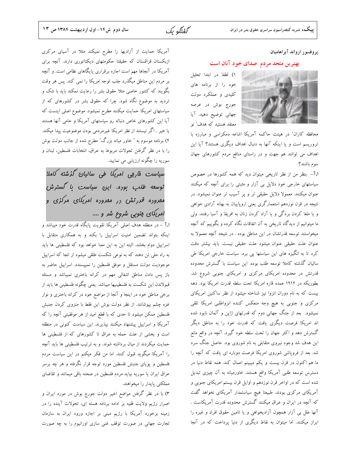گفتگه یک

پروفسور ارواند آبراهاميان

### بهترین متحد مردم صدای خود آنان است

١) لطفا در ابتدا تحليل خود را از برنامه های کلیدی و عملکرد دولت جورج بوش در عرصه جهانی توضیح دهید. آیا معتقد هستید که هدف″ نو

محافظه کاران" در هیئت حاکمه آمریکا اشاعه دمکراسی و مبارزه با تروریسم است و یا اینکه آنها به دنبال اهداف دیگری هستند؟ آیا این اهداف می توانند هم جهت و در راستای منافع مردم کشورهای جهان سوم باشند؟

1.1- بنظر من از نظر تاریخی میتوان دید که همه کشورها در خصوص سیاستهای خارجی خود دلایل بی آزار و مثبتی را برای آنچه که میکنند عنوان میکنند. معمولا دلایل حقیقی تر و پر آسیب تر عنوان نمیشود. در نتیجه در قرن نوزدهم استعمارگری یعنی اروپاییان به بهانه آزادی خواهی و یا ملغا کردن بردگی و یا آزاد کردن زنان به افریقا و آسیا رفتند. ولی ما میتوانیم از دیدگاه تاریخی به آن اتفاقات نگاه کرده و بگوییم که آنچه میخواستند توسعه قدرتشان در این مناطق بوده . در نتیجه آنچه معمولا به عنوان علت حقیقی عنوان میشود علت حقیقی نیست. باید بیشتر دقت کرد تا به انگیزه های این سیاستها پی برد. سیاست خارجی امریکا طی سالیان گذشته کاملا توسعه طلب بوده. این سیاست با گسترش محدوده قدرتش در محدوده امریکای مرکزی و امریکای جنوبی شروع شد. بطوریکه در ۱۹۱۴ عمده قاره امریکا تحت سلطه قدرت امریکا بود. دهه بیست که به نام دوران انزوا نیز شناخته میشود از نظر ساکنین امریکای مرکزی و جنوبی به هیچ وجه منعکس کننده انزواطلبی امریکا تلقی نمیشود. بعد از جنگ جهانی دوم که قدرتهای ژاپن و آلمان نابود شده اند امریکا فرصت دیگری یافت که قدرت خود را به مناطق دیگر گسترش دهد و اکثر جهان را تحت سلطه خود گیرد. آنچه در واقع مانع این هدف شد وجود نیروی متقابلی به نام شوروی بود. حاصل جنگ سرد شد. بعد از فروپاشی شوروی امریکا فرصت دوباره ای یافت که آنچه را ما هم اکنون در قرن بیست و یکم میبینم اعمال کند. همه نقاط دنیا در دسترس توسعه طلبی آمریکا واقع هستند. خاورمیانه به آن چیزی تبدیل شده است که در اواخر قرن نوزدهم و اوایل قرن بیستم امریکای جنوبی و آمریکای مرکزی بودند. طبیعتا هیچ سیاستمدار آمریکای نخواهد گفت که آنچه در ایران و عراق میکنند گسترش محدوده قدرت آمریکاست . آنها علل بی آزار همچون آزادیخواهی و یا تامین حقوق افراد و غیره را ابراز میکنند. اما میتوان به نقاط دیگری از دنیا پرداخت که در آنجا

آمریکا حمایت از آزادیها را مطرح نمیکند مثلا در آسیای مرکزی ازبکستان قزاقستان که حقیقتا حکومتهای دیکتاتوری دارند. آنچه برای آمریکا در آنجاها مهم است اجازه برقراری پایگاهای نظامی است. و آنچه بر مردم این مناطق میگذرد جلب توجه امریکا را نمی کند. پس هر وقت بگویند که کشور خاصی مثلا حقوق بشر را رعایت نمکند باید با شک و تردید به موضوع نگاه شود. چرا که حقوق بشر در کشورهای که از سیاستهای امریکا حمایت میکنند مطرح نمیشود. موضوع اصلی اینست که آیا این کشورهای خاص دنباله رو سیاستهای آمریکا و حامی آنها هستند یا خیر . اگر نیستند از نظر امریکا غیرمردمی بودن موضوعیت پیدا میکند. ۲) برنامه موسوم به ″ خاور میانه بزرگ″ مطرح شده از جانب دولت بوش را با در نظر گرفتن تحولات مربوط به عراق، انتخابات فلسطین، لبنان و سوریه را چگونه ارزیابی می نمایید.

سیاست فاربی امریکا طی سالیان گزشته کاملا توسعه طلب بوده. این سیاست با گسترش م*مر*وده *قرر تش در* ممروده امریکای مرکزی و امریکای منوبی شروع شر و ....

<mark>.آ</mark> – در منطقه هدف اصلی آمریکا تقویت پایگاه قدرت خود میباشد و اینکه بتواند تضمین امنیت اسراییل را بکند و به همکاری متقابل با اسراییل دوام بخشد. البته این به این معنا خواهد بود که فلسطینی ها باید به راه حلی تن دهند که به نوعی شکست طلقی میشود از انجا که اسراییل موجودیت دولت مستقل و موفق فلسطین را نمیپسندد. اسراییل حاضر به باز پس دادن مناطق اشغالی مهم در کرانه باختری نمیباشد و مسئله قبولاندن این شکست به فلسطینیها میباشد. یعنی چگونه فلسطینی ها باید از برخی مناطق خود در اینجا و آنجا از مواضع خود در کرانه باختری و نوار غزه چشم بپوشانند. از نظر دولت بوش این فقط با منزوی کردن جنبش فلسطین ممکن میشود تا حدی که با قطع امید از هر موفقیتی آنچه را که آمریکا و اسراییل پیشنهاد میکنند بپذیرند. این سیاست کنونی در منطقه است و بخشی از علت حمله به عراق تا کشورهای که از فلسطینی ها حمایت میکردند از میان برداشته شوند. و به ترتیب فلسطینی ها باید آنچه را آمریکا میگوید قبول کنند. اما من فکر میکنم در این سیاست مردم فلسطین و پویای جنبش فلسطین مورد توجه قرار نگرفته و هر چه برسر عراق ایران یا سوریه بیاید مردم فلسطین در صحنه باقی میمانند و تقاضای مملکتی پایدار را میخواهند.

۳) با در نظر گرفتن مواضع اخیر دولت جورج بوش در مورد ایران و اصرار رژیم ولایت فقیه بر ادامه برنامه هسته ای، تحولات آینده را در زمینه برخورد آمریکا با رژیم مبنی بر اجازه ورود ایران به سازمان تجارت جهانی در صورت توقف غنی سازی اورانیوم را به چه صورت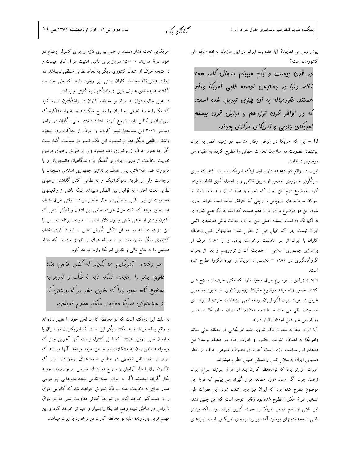پیش بینی می نمایید؟ آیا عضویت ایران در این سازمان به نفع منافع ملی كشورمان است؟

در قرن بیست و یکم میبینم اعمال کند. همه نقاط رنيا در دسترس توسعه طلبی آمريكا واقع هستنر. فاورمیانه به آن میزی تبریل شره است لّه در اواله قرن نوزدهم و اوایل قرن بیستم امریکای منوبی و آمریکای مرکزی بودند.

1.1 - این که امریکا در عوض رفتار مناسب در زمینه اتمی به ایران پیشنهاد عضویت در سازمان تجارت جهانی را مطرح کرده به عقیده من موضوعيت ندارد.

ایران در واقع دو دغدغه دارد. اول اینکه امریکا ضمانت کند که برای سرنگونی جمهوری اسلامی از طریق نظامی و یا اخلال گری اقدام نخواهد كرد. موضوع دوم اين است كه تحريمها عليه ايران بايد ملغا شوند تا جریان سرمایه های اروپایی و ژاپنی که متوقف مانده است بتواند جاری شود. این دو موضوع برای ایران مهم هستند که البته امریکا هیچ اشاره ای به آنها نکرده است. مسئله اصلی بین ایران و دولت بوش فعالیتهای اتمی ایران نیست چرا که خیلی قبل از مطرح شدن فعالیتهای اتمی محافظه کاران با ایران از سر مخالفت برخواسته بودند و از ۱۹۷۹ حرف از براندازی جمهوری اسلامی – حمایت آن از تروریسم و بعد از بحران گروگانگیری در ۱۹۸۰ – دشمنی با امریکا و غیره مکررا مطرح شده است.

شباهت زیادی با موضوع عراق وجود دارد که وقتی حرف از سلاح های کشتار جمعی زده میشد موضوع حقیقتا لزوم برکناری صدام بود. به همین طریق در مورد ایران اگر ایران برنامه اتمی نیزنداشت حرف از براندازی هم چنان باقی می ماند و بالنتیجه معتقدم که ایران و امریکا در مسیر رويارويي غير قابل اجتناب قرار دارند.

آیا ایران میتواند بعنوان یک نیروی ضد امریکایی در منطقه باقی بماند وامریکا به اهداف تقویت حضور و قدرت خود در منطقه برسد؟ من معتقدم این سیاست بازی است که برای مصرف عمومی حرف از خطر دستیابی ایران به سلاح اتمی و مسائل امنیتی مطرح میشوند.

حیرت آورتر بود که نومحافظه کاران بعد از عراق سرزده سراغ ایران نرفتند چون اگر اسناد مورد مطالعه قرار گیرند می بینیم که قویا این موضوع مطرح شده بود که ایران نیز باید اشغال شود. این نظرات طی تسخیر عراق مکررا مطرح شده بود وقابل توجه است که این چنین نشد. این ناشی از عدم تمایل امریکا یا جهت گیری ایران نبود. بلکه بیشتر ناشی از محدودیتهای بوجود آمده برای نیروهای امریکایی است. نیروهای

امریکایی تحت فشار هستند و حتی نیروی لازم را برای کنترل اوضاع در خود عراق ندارند. ۱۵۰۰۰۰ سرباز برای تامین امنیت عراق کافی نیست و در نتیجه حرف از اشغال کشوری دیگر به لحاظ نظامی منطقی نمیباشد. در دولت (امریکا) محافظه کاران سنتی نیز وجود دارند که طی چند ماه گذشته شنیده های خفیف تری از واشنگتون به گوش میرسانند.

در عین حال میتوان به اسناد نو محافظه کاران در واشنگتون اشاره کرد که مکررا حمله نظامی به ایران را مطرح میکردند و به راه مذاکره که اروپاییان و کالین پاول شروع کردند انتقاد داشتند. ولی ناگهان در اواخر دسامبر ۲۰۰۴ این سیاستها تغییر کردند و حرف از مذاکره زده میشود واشغال نظامی دیگر مطرح نمیشود این یک تغییر در سیاست گذاریست اگر چه هنوز حرف از براندازی زده میشود ولی از طریق راههای مرسوم تقویت مخالفت از درون ایران و گفتگو با دانشگاهیان دانشجویان و یا ماموران ضد اطلاعاتی. پس هدف براندازی جمهوری اسلامی همچنان پا برجاست ولی از طریق دموکراتیک و نه نظامی. کنار گذاشتن راههای نظامی بعلت احترام به قوانین بین المللی نمیباشد. بلکه ناشی از واقعیتهای محدویت توانایی نظامی و مالی در حال حاضر میباشد. وقتی عراق اشغال شد تصور میشد که نفت عراق هزینه نظامی این اشغال و لشکر کشی که اکنون بیشتر از ماهی شش بیلیون دلار است را خواهد پرداخت. پس با این هزینه ها که در محافل بانکی نگرانی هایی را ایجاد کرده اشغال کشوری دیگر به وسعت ایران مسئله عراق را ناچیز مینماید که فشار عظیمی را به منابع مالی و نظامی امریکا وارد خواهد کرد.

هر وقت آمریکایی ها بگوینر که کشور فاصی مثلا مقوق بشر را رعایت نمکنر بایر با شک و ترریر به موضوع نَلَاه شور. پرا که مقوق بشر در کشورهای که از سیاستهای امریکا ممایت میکنند مطرح نمیشود.

به علت این دونکته است که نو محافظه کاران لحن خود را تغییر داده اند و واقع بینانه تر شده اند. نکته دیگر این است که امریکاییان در عراق با مبارزان سنی روبرو هستند که قابل کنترل نیست آنها آخرین چیز که میخواهند دامن زدن به مشکلات در مناطق شیعه میباشد. آنها میدانند که ایران از نفوذ قابل توجهی در مناطق شیعه عراق برخوردار است که تاکنون برای ایجاد آرامش و ترویج فعالیتهای سیاسی در چارچوب جدید بکار گرفته میشدند. اگر به ایران حمله نظامی میشد مهرهایی چو موسی صدر عراق به مخالفت علیه امریکا تشویق خواهند شد که کابوس عراق را و حشتناکتر خواهد کرد. در شرایط کنونی مقاومت سنی ها در عراق ناآرامی در مناطق شیعه وضع امریکا را بسیار و خیم تر خواهد کرد و این مهمم ترین بازدارنده علیه نو محافظه کاران در برخورد با ایران میباشد.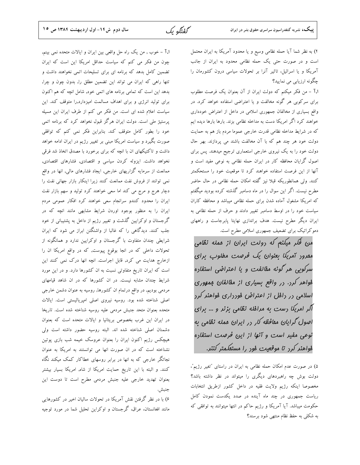گفتگه یک

ا.آ – خوب , من يک راه حل واقعي بين ايران و ايالات متحده نمي بينم, چون من فکر می کنم که سیاست حداقل امریکا این است که ایران تضمین کامل بدهد که برنامه ای برای تسلیحات اتمی نخواهند داشت و تتها راهی که ایران می تواند این تضمین مطلق را, بدون چون و چرا, بدهد این است که تمامی برنامه های اتمی خود, شامل انچه که هم اکنون برای تولید انرژی و برای اهداف مسالمت امیزدارد,را متوقف کند. این سیاست اعلام شده ای است. من فکر می کنم از طرف ایران این مسیله پرستیژ ملی است. دولت ایران هرگز قبول نخواهد کرد که برنامه اتمی خود را بطور كامل متوقف كند. بنابراين فكر نمى كنم كه توافقى صورت بگیرد و سیاست امریکا مبنی بر تغییر رژیم در ایران ادامه خواهد داشت و تاکتیکهای ان با انچه که برای برخورد با مصدق اتخاذ شد فرقی نخواهد داشت. ایزوله کردن سیاسی و اقتصادی, فشارهای اقتصادی, ممانعت از سرمایه گزاریهای خارجی, ایجاد فشارهای مالی, انها در واقع نمی توانند از فروش نفت ممانعت کنند زیرا اینکار بازار جهانی نفت را دچار هرج و مرج می کند اما سعی خواهند کرد تولید و سهم بازار نفت ایران را محدود کنندو سرانجام سعی خواهند کرد افکار عمومی مردم ایران را به منظور بوجود اوردن شرایط مشابهی مانند انچه که در گرجستان و اوکرایین گذشت و تغییر رژیم از داخل به پشتیبانی از خود جلب کنند. دیدگاهی را که غالبا از واشنگتن ابراز می شود که ایران شرایطی چندان متفاوت با گرجستان و اوکرایین ندارد و همانگونه از تحولات داخلی که در انجا بوقوع پیوست, که در واقع امریکا ان را ازخارج هدایت می کرد, قابل اجراست. انچه انها درک نمی کنند این است که ایران تاریخ متفاوتی نسبت به ان کشورها دارد. و در این مورد شرایط چندان مشابه نیست. در ان کشورها که در ان شاهد قیامهای مردمی بودیم, در واقع درتمام ان کشورها, روسیه به عنوان دشمن خارجی اصلی شناخته شده بود. روسیه نیروی اصلی امپریالیستی است. ایالات متحده بعنوان متحد جنبش مردمى عليه روسيه شناخته شده است. تاريخا در ایران این غرب بخصوص بریتانیا و ایالات متحده است که بعنوان دشمنان اصلی شناخته شده اند. البته روسیه حضور داشته است ولی هیچکس رژیم اکنون ایران را بعنوان عروسک خیمه شب بازی پوتین نشناخته است که در ان صورت انها می توانستند به امریکا به عنوان نجاتگر خارجی که به انها در برابر روسهای خطاکار کمک میکند نگاه کنند. و البته با این تاریخ حمایت امریکا از شاه, امریکا بسیار بیشتر بعنوان تهدید خارجی علیه جنبش مردمی مطرح است تا دوست این جنبش.

۶) با در نظر گرفتن نقش آمریکا در تحولات سالیان اخیر در کشورهایی مانند افغانستان، عراق، گرجستان و اوکراین تحلیل شما در مورد توجیه ۴) به نظر شما آیا حمله نظامی وسیع و یا محدود آمریکا به ایران محتمل است و در صورت حتی یک حمله نظامی محدود به ایران از جانب آمریکا و یا اسرائیل، تاثیر آنرا بر تحولات سیاسی درون کشورمان را چگونه ارزيابي مي نماييد؟

ا.آ - من فكر ميكنم كه دولت ايران از آن بعنوان يك فرصت مطلوب برای سرکوبی هر گونه مخالفت و یا اعتراضی استفاده خواهد کرد. در واقع بسیاری از مخالفان جمهوری اسلامی در داخل از اعتراض خودداری خواهند کرد اگر امریکا دست به مداخله نظامی بزند. بارها بارها دیده ایم که در شرایط مداخله نظامی قدرت خارجی عموما مردم باز هم به حمایت دولت خود هر چند هم كه با آن مخالفت باشند مى پردازند. بهر حال دولت خود را به یک نیروی خارجی استعماری ترجیح میدهند. پس برای اصول گرایان محافظه کار در ایران حمله نظامی به نوعی مفید است و آنها از این فرصت استفاده خواهند کرد تا موقعیت خود را مستحکمتر کنند. ولی همانطوریکه قبلا نیز گفته امکان حمله نظامی در حال حاضر مطرح نیست. اگر این سوال را در ماه دسامبر گذشته کرده بودید میگفتم که امریکا مشغول آماده شدن برای حمله نظامی میباشد و محافظه کاران سیاست خود را در اوسط دسامبر تغییر دادند و حرف از حمله نظامی به ایران دیگر مطرح نیست. هدف براندازی نهایتا پابرجاست و راههای دموکراتیک برای تضعیف جمهوری اسلامی مطرح است.

من قُلر میکنم که دولت ایران از عمله نظامی ممرور آمریکا بعنوان یک فرصت مطلوب برای سرکوبی هر گونه مقالفت و یا اعتراضی استفاره فواهر کرد. در واقع بسیاری از مفالفان ممهوری اسلامی در دافل از اعتراض فورداری فواهنر کرد آلر امریکا رست به مرافله نظامی بزنر و ... برای اصول گرایان مقافظه کار در ایران عمله نظامی به نوعی مفیر است و آنها از این فرصت استفاره فواهنر کرد تا موقعیت فور را مستفکمتر کننر.

۵) در صورت عدم امکان حمله نظامی به ایران در راستای "تغیر رژیم"، دولت بوش چه راهبردهای دیگری را میتواند در نظر داشته باشد؟ مخصوصا اينكه رژيم ولايت فقيه در داخل كشور ازطريق انتخابات ریاست جمهوری در چند ماه آینده در صدد یکدست نمودن کامل حکومت میباشد. آیا آمریکا و رژیم حاکم در انتها میتوانند به توافقی که به شکلی به حفظ نظام منتهی شود برسند؟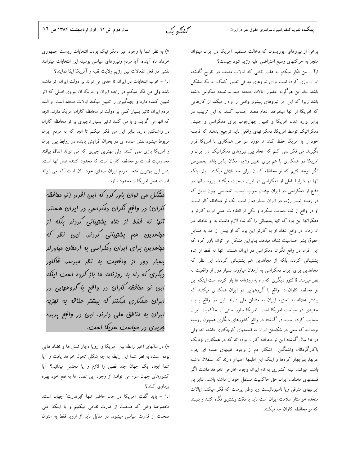گفتگه یک

برخی از نیروهای اپوزیسون که دخالت مستقیم آمریکا در ایران میتواند منجر به حرکتهای وسیع اعتراضی علیه رژیم شود چیست؟

ا.آ – من فکر میکنم به علت نقشی که ایالات متحده در تاریخ گذشته ایران بازی کرده است برای نیروهای مترقی تصور کمک امریکا مشکل باشد. بنابراین هرگونه حضور ایالات متحده میتواند نتیجه معکوس داشته باشد زیرا که این امر نیروهای پیشرو واقعی را وادار میکند از کارهایی که امریکا از انها میخواهد انجام دهند اجتناب کنند. به این تربیب در برابر وارد شدن امریکا و تعیین چهارچوب برای دمکراسی و جنبش دمکراتیک توسط امریکا, دمکراتهای واقعی باید ترجیح بدهند که فاصله خود را با امریکا حفظ کنند تا مورد سو ظن همکاری با امریکا قرار نگیرند. من فکر نمی کنم که اتحاد بین نیروهای دمکراتیک در ایران و امریکا در همکاری با هم برای تغییر رژیم امکان پذیر باشد بخصوص اگر توجه کنیم که نو محافظه کاران برای چه تلاش میکنند. اول اینکه انها در شرایط فعلی از دمکراسی در ایران صحبت میکنند. پرونده انها در دفاع از دمکراسی در ایران چندان خوب نیست. اشخاصی چون لدین که در زمینه تغییر رژبم در ایران بسیار فعال است یک نو محافظه کار است. او در واقع از شاه حمایت میکرد و یکی از انتقادات اصلی او به کارتر و دمکراتها این بود که انها پشتیبانی را که شاه لازم داشت به او ندادند. در ان زمان در واقع انتقاد او به کارتر این بود که او بیش از حد به مسایل حقوق بشر حساسیت نشان میدهد. بنابراین مشکل می توان باور کرد که این افراد در واقع نگران دمکراسی در ایران هستند. انها نه فقط از شاه پشتیبانی کردند بلکه از مجاهدین هم پشتیبانی کردند. این نظر که مجاهدین برای ایران دمکراسی به ارمغان میاورند بسیار دور از واقعیت به نظر میرسد. فاکتور دیگری که راه به روزنامه ها باز کرده است اینکه این نو محافظه کاران در واقع با گروههایی در ایران همکاری میکنند که بیشتر علاقه به تجزیه ایران به مناطق ملی دارند. این در واقع پدیده جدیدی در سیاست امریکا است. امریکا بطور سنتی از حاکمیت ایران حمایت کرده است. در گذشته در واقع کشورهای دیگری همچون روسیه بوده اند که سعی در شکستن ایران به قسمتهای کوچکتری داشته اند. ولی در ۱۵ سال گذشته این نو محافظه کاران بوده اند که در همکاری نزدیک باکارگردانان واشنگتن , اشکارا دم از وجود اقلیتهای عمده ای چون عربها, بلوچهاو كردها و اينكه اين اقليتها احتياج دارند كه استقلال داشته باشند میزنند. البته کشوری به نام ایران وجود خارجی نخواهد داشت اگر قسمتهای مختلف ایران حق حاکمیت مستقل خود را داشته باشند. بنابراین ایرانیهای مترقی ویا ناسیونالیست ویا وطن پرست که فکر میکنند ایالات متحده خواستار سلامت ايران است بايد با دقت بيشترى نگاه كنند و ببينند که نو محافظه کاران چه میکنند.

۷) به نظر شما با وجود غیر دمکراتیک بودن انتخابات ریاست جمهوری خرداد ماه آینده، آیا مردم ونیروهای سیاسی بوسیله این انتخابات میتوانند نقشى در فعل انفعالات بين رژيم ولايت فقيه و آمريكا ايفا نمايند؟ ا.آ – خوب انتخابات در ایران تا حدی می نواند بر دولت ایران اثر داشته باشد ولی من فکر میکنم در رابطه ایران و امریکا ان نیروی اصلی که اثر تعیین کننده دارد و جهتگیری را تعیین میکند ایالات متحده است. و البته مردم ایران تاثیر بسیار کمی بر دولت نو محافظه کاران امریکا دارند. انجه که انها می گویند و یا می کنند تاثیر بسیار ناچیزی بر نو محافظه کاران در واشنكتن دارد. بنابر اين من فكر ميكنم تا انجا كه به مردم ايران مربوط میشود نقش عمده ای در بحران افزایش یابنده در روابط بین ایران و امریکا بازی نمی کنند. ولی بهترین چیزی که می تواند اتقاق بیافتد محدودیت قدرت نو محافظه کاران است که محدود کننده عمل انها است. بنابر این بهترین متحد مردم ایران صدای خود انان است که می تواند قدرت عمل امريكا را محدود سازد.

مشکل می توان باور کرد که این افراد (نو مفافظه کاران) در واقع نگران دمکراسی در ایران هستند. آنها نه فقط از شاه پشتیبانی کردنر بلکه از مڢ*اهرین* هم پشتی*بانی کر<sub>د</sub>نر. این نظر که* مهاهرین برای ایران دمکراسی به ارمغان میاورند بسیار رور از واقعیت به نظر میرسر. فاکتور دیگری که راه به روزنامه ها باز کرده است اینکه این نو مقافظه کاران در واقع با گروههایی در ایران هم*کاری میکننر که بیشتر ع*لاقه به تهزیه ایران به مناطق ملی دارند. این در واقع پریده مریری در سیاست امریکا است.

۸) در سالهای اخیر رابطه بین آمریکا و اروپا دچار تنش ها و تضاد هایی بوده است، به نظر شما این رابطه به چه شکلی تحول خواهد یافت و آیا شما ایجاد یک جهان چند قطبی را لازم و یا محتمل میدانید؟ آیا كشورهاي جهان سوم مي توانند از وجود اين تضاد ها به نفع خود بهره بر داری کنند؟

ا.آ – باید گفت آمریکا در حال حاضر تنها "ابرقدرت" جهان است. مخصوصا وقتی که صحبت از قدرت نظامی میکنیم و یا اینکه حتی صحبت از قدرت سیاسی میشود. در مقابل باید از اروپا فقط به عنوان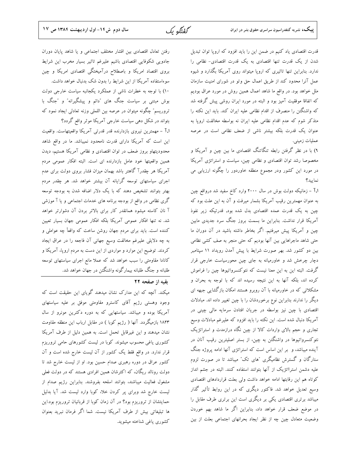قدرت اقتصادی یاد کنیم در ضمن این را باید افزود که اروپا توان تبدیل شدن از یک قدرت تنها اقتصادی به یک قدرت اقتصادی- نظامی را ندارد. بنابراین تنها تاثیری که ارویا میتواند روی آمریکا بگذارد و شیوه عمل آنرا محدود کند از طریق اعمال حق وتو در شورای امنیت سازمان ملل خواهد بود. در واقع ما شاهد اعمال همین روش در مورد عراق بودیم که اتفاقا موفقیت آمیز بود و البته در مورد ایران روشی پیش گرفته شد که واشنگتن را منصرف از اقدام نظامی علیه ایران کند. باید این نکته را متذکر شوم که عدم اقدام نظامی علیه ایران نه بواسطه مخالفت اروپا به عنوان یک قدرت بلکه بیشتر ناشی از ضعف نظامی است در عرصه

۹) با در نظر گرفتن رابطه تنگاتنگ اقتصادی ما بین چین و آمریکا و مخصوصا رشد توان اقتصادى و نظامى چين، سياست و استراتژى آمريكا در مورد این کشور ودر مجموع منطقه خاوردور را چگونه ارزیابی می نماسد؟

عمليات زميني.

ا.آ – زمانیکه دولت بوش در سال ۲۰۰۰ وارد کاخ سفید شد درواقع چین به عنوان مهمترین رقیب آمریکا بشمار میرفت و آن به این علت بود که .<br>چین به یک قدرت عمده اقتصادی بدل شده بود, قدرتیکه زیر نفوذ آمریکا قرار نداشت. بنابراین ما بسمت بروز جنگ سرد جدیدی مابین چین و آمریکا پیش میرفتیم. اگر بخاطر داشته باشید در آن دوران ما حتی شاهد ماجراهایی بین آنها بودیم که حتی منجر به صف کشی نظامی بین دو کشور شد. بهر صورت شرایط با پیش آمدن رویداد ۱۱ سپتامبر دچار چرخش شد و خاورمیانه به جای چین محورسیاست خارجی قرار گرفت. البته این به این معنا نیست که نئوکنسرواتیوها چین را فراموش کرده اند، بلکه آنها به این نتیجه رسیده اند که با توجه به بحران و مشکلاتی که در خاورمیانه با آن روبرو هستند امکان بازگشایی جبهه ای دیگر را ندارند بنابراین نوع برخوردشان را با چین تغییر داده اند. مبادلات اقتصادی با چین نیز بواسطه در جریان افتادن سرمایه مالی چینی در آمریکا دنبال شده است. این نکته را باید افزود که علیرغم مبادلات وسیع تجاری و حجم بالای واردات کالا از چین نگاه درازمدت و استراتژیک نئوکنسرواتیوها در واشنگتن به چین، از بستر اصلیترین رقیب آنان در آینده میباشد، و بر این اساس است که استراتژی آنها ادامه پروژه جنگ ستارگان و گسترش نظامیگری "های تک" میباشد تا در صورت لزوم علیه دشمن استرااتژیک از آنها بتوانند استفاده کنند. البته در جشم انداز كوتاه هم اين رقابتها ادامه خواهد داشت ولي بعلت قراردادهاى اقتصادى وسیع تعدیل خواهد شد. فاکتور دیگری که در این روابط تأثیر گذار میباشد برتری اقتصادی یکی بر دیگری است این برتری طرف مقابل را در موضع ضعف قرار خواهد داد، بنابراین اگر ما شاهد بهم خوردن وضعیت متعادل چین چه از نظر ایجاد بحرانهای اجتماعی بعلت از بین

رفتن تعادل اقتصادى بين اقشار مختلف اجتماعى ويا شاهد پايان دوران جادویی شکوفایی اقتصادی باشیم علیرغم تاثیر بسیار مخرب این شرایط بروی اقتصاد امریکا و باصطلاح درآمیختگی اقتصادی امریکا و چین سوءاستفاده آمریکا از این شرایط را بدون شک بدنبال خواهد داشت.

۱۰) با توجه به خطرات ناشی از عملکرد یکجانبه سیاست خارجی دولت بوش مبتنی بر سیاست جنگ های "دائم و پیشگیرانه" و "جنگ با تروریسم" چگونه میتوان در عرصه بین اللملی وزنه تعادلی ایجاد نمود که

بتواند در شکل دهی سیاست خارجی آمریکا موثر واقع گردد؟ ا.آ - مهمترین نیروی بازدارنده قدر قدرتی آمریکا واقعیتهاست. واقعیت این است که آمریکا دارای قدرت نامحدود نمیباشد. ما در واقع شاهد محدودیتهاو بروز ضعف در توان اقتصادی و نظامی آمریکا هستیم، دیدن همین واقعیتها خود عامل بازدارنده ای است. البته افکار عمومی مردم آمریکا هر چقدرآ گاهتر باشد بهمان میزان فشار بروی دولت برای عدم اجرای سیاستهای توسعه گرایانه آن بیشتر خواهد شد. هر چقدر مردم بهتر بتوانند تشخیص دهند که با یک دلار اضافه شدن به بودجه توسعه گری نظامی در واقع از بودجه برنامه های خدمات اجتماعی و یا آ موزشی آ نان کاسته میشود همانقدر کار برای بالاتر بردن آن دشوارتر خواهد شد. نه تنها افکار عمومی آمریکا بلکه افکار عمومی جهان بسیار تعیین کننده است. باید برای مردم جهان روشن ساخت که واقعأ چه عواملی و به چه دلایلی علیرغم مخالفت وسیع جهانی آن فاجعه را در عراق ایجاد کردند. توضیح این موارد و مواردی از این دست به مردم اروپا، آمریکا و کانادا مقاومتی را سبب خواهد شد که عملا مانع اجرای سیاستهای توسعه طلبانه و جنگ طلبانه بیمارگونه واشنگتن در جهان خواهد شد.

### تقيه از صفحه ٢٢

میکند. آنچه که این مدارک نشان میدهند گویای این حقیقت است که وجود وهستی رژیم آقای کاسترو مقاومتی موفق بر علیه سیاستهای آمریکا بوده و میباشد. سیاستهایی که به دوره دکترین مونرو از سال ۱۸۲۳ بازمیگردد. آنها ( رژیم کوبا ) در مقابل ارباب این منطقه مقاومت نشان میدهند و این غیرقابل تحمل است. به همین دلیل از طرف آمریکا کشوری یاغی محسوب میشوند. کوبا در لیست کشورهای حامی تروریزم قرار ندارد. در واقع فقط یک کشور از آن لیست خارج شده است و آن کشور عراق در دوره رهبری صدام حسین بود. او از لیست خارج شد تا دولت رونالد ریگان، که اکثرشان همین افرادی هستند که در دولت فعلی مشغول فعالیت میباشند، بتوانند اسلحه بفروشند. بنابراین رژیم صدام از لیست خارج شد وبرای پر کردن خلا، کوبا وارد لیست شد. آیا بدلیل حمایتشان از تروریزم بود؟ در آن زمان کوبا از قربانیان تروریزم بود.این ها تبلیغاتی بیش از طرف آمریکا نیست. شما اگر فرمان نبرید بعنوان كشورى ياغى شناخته ميشويد.

**پییک،** نشریه کنفدراسیون سراسری حقوق بشر در ایران

گفتگه یک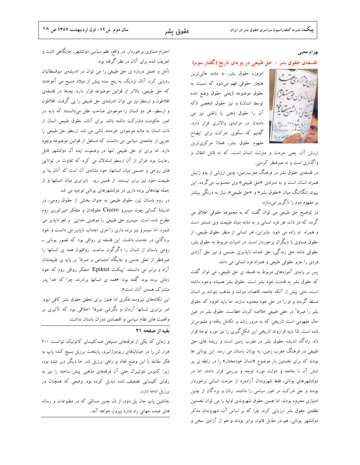#### بهرام محبى

### فلسفهى حقوق بشر – حق طبیعی در پویهى تاریخ (گفتار سوم)

امروزه حقوق بشر، به مثابه عالی ترین هنجار حقوقی فهم میشود که نسبت به حقوق موضوعه (يعنى حقوق وضع شده توسط انسان) و نیز حقوق شخصی (که آن را حقوق ذهنی یا باطنی نیز می نامند)، در مرتبهی والاتری قرار دارد. گفتیم که سکوی حرکت برای ایضاح مفهوم حقوق بشر، همانا مركزيترين



ارزش آن، یعنی حرمت و منزلت انسان است، که نه قابل انتقال و واگذاری است و نه صرفنظر کردنی.

در فلسفهی حقوق بشر در فرهنگ مغربزمین، چنین ارزشی از بدو زایش همراه انسان است و به منزلهی «حق طبیعی» وی محسوب میگردد. این پیوند تنگاتنگ میان «حقوق بشر» و «حق طبیعی»، نیاز به درنگی بیشتر بر مفهوم دوم را ناگزیر میسازد.

در توضیح حق طبیعی می توان گفت که به مجموعه حقوقی اطلاق می گردد که در ذات هر فرد انسانی و به مثابه بنیاد طبیعت وی مستتر است و همراه او زاده می شود. بنابراین، هر انسانی از منظر حقوق طبیعی، از حقوق مساوی با دیگران برخوردار است. در ادبیات مربوط به حقوق بشر، حقوقی مانند حق زندگی، حق خدشه ناپذیری جسمی و نیز حق آزادی فردي را جزو حقوقي طبيعي و همزاد فرد انساني مي دانند.

پس بر پایهی آموزههای مربوط به فلسفه ی حق طبیعی، می توان گفت که حقوق بشر به قدمت خود بشر است. حقوق بشر همیشه وجود داشته است، حتى پيش از آنكه جامعه، اقتصاد، دولت و مذهب بتوانند بر انسان مسلط گردند و او را در حق خود محدود سازند. اما باید افزود که حقوق بشر را صرفا" در حقی طبیعی خلاصه کردن خطاست. حقوق بشر در عین حال مفهومی است تاریخی که به مرور رشد و تکامل یافته و ملموس<mark>تر</mark> شده است. لذا باید فراروند تاریخی این شکل گیری را نیز مورد توجه قرار داد. زادگاه اندیشه حقوق بشر در مغرب زمین است و ریشه های حق طبیعی در فرهنگ مغرب زمین، به یونان باستان می رسد. این یونانی ها بودند که برای نخستین بار موضوع «انسان خودمختار» را در رابطه ی پر تنش آن با جامعه و دولت مورد توجه و بررسی قرار دادند. اما در دولتشهرهای یونانی، فقط شهروندان آزادمرد از حرمت انسانی برخوردار بودند و حق شرکت در امور سیاسی را داشتند. زنان و بردگان از چنین امتیازی محروم بودند. اما همین حقوق شهروندی اولیه را می توان نخستین نطفهی حقوق بشر ارزیابی کرد، چرا که بر اساس آن، شهروندان مذکر دولتشهر یونانی، هم در مقابل قانون برابر بودند و هم از آزادی سخن و

احترام مساوی برخوردار. در واقع، نظم سیاسی دولتشهر، جایگاهی ثابت و تعریف شده برای آنان در نظر گرفته بود.

تأمل و تعمق درباره ی حق طبیعی را می توان در اندیشهی سوفسطائیان ردیابی کرد. آنان نزدیک به پنج سده پیش از میلاد مسیح می آموختند که حق طبیعی، بالاتر از قوانین موضوعه قرار دارد. بعدها در فلسفهی افلاطون و ارسطو نیز می توان اندیشهی حق طبیعی را پی گرفت. افلاطون و ارسطو، هر دو انسان را موجودی صاحب عقل میدانستند که باید در امور حکومت مشارکت داشته باشد. برای آنان، حقوق طبیعی انسان از ذات انسان به مثابه موجودی خردمند ناشی می شد. ارسطو حق طبیعی را جزیی از جامعهی سیاسی می دانست که مستقل از قوانین موضوعه وجود دارد. اما برای او حق طبیعی تنها در وضعیت ایده آل دولتشهر قابل رعایت بود. فراتر از آن ارسطو استدلال می کرد که تفاوت در توانایی های روحی و جسمی میان انسانها، خود نشانهی آن است که آنان بنا بر طبیعت خود نیز برابر نیستند. از همین رو، نابرابری میان انسانها و از جمله نهادهای برده داری در دولتشهرهای یونانی توجیه می شد.

در روم باستان نیز، حقوق طبیعی به عنوان بخشی از حقوق رومی، در اندیشهٔ کسانی چون سیسرو Cicero حقوقدان و متفکر امپراتوری روم مطرح شده است. سیسرو حق طبیعی را موهبتی خدایی ًو لغو ناپذیر می شمرد. اما سیسرو نیز برده داری را امری اجتناب ناپذیر می دانست و خود بردگانی در خدمت داشت. این فلسفه ی رواقی بود که تصور یونانی ــ رومی باستان از انسان را دگرگون ساخت. رواقیون همه ی انسانها را صرفنظر از تعلق جنسی و جایگاه اجتماعی و صرفا" بر پایه ی طبیعتشان آزاد و برابر می دانستند. اپیکتت Epiktet متفکر رواقی روم که خود زمانی برده بود، گفته بود: «همه ی انسانها برادرند، چرا که خدا پدر مشترک همهی آنان است».

این تکانههای نیرومند فکری اما هنوز برای تحقق حقوق بشر کافی نبود. امر برابری انسانها آرمان و نگرشی صرفا" اخلاقی بود که تأثیری بر واقعیت های نظام سیاسی و اقتصادی دوران باستان نداشت.

### بقيه از صفحه ٢١

و زمانی که یکی از فرقههای مسیحی ضدکلیسای کاتولیک توانست ٢٠٠ هزار تن را در خیابانهای ریودوژانیرو، پایتخت برزیل بسیج کند؛ پاپ به فکر مقابله با این وضع افتاد و راهی برزیل شد. اما دیگر دیر شده بود، زیرا کابوس نئولیبرال حتی آن فرقههای مذهبی پیش ساخته را نیز به رقبای کلیسایی تضعیف شده تبدیل کرده بود. وضعی که همچنان در برزيل ادامه دارد.

جانشین پاپ جان پل دوم، از دل چنین مسائلی که در مطبوعات و رسانه های عمده جهانی راه ندارد بیرون خواهد آمد.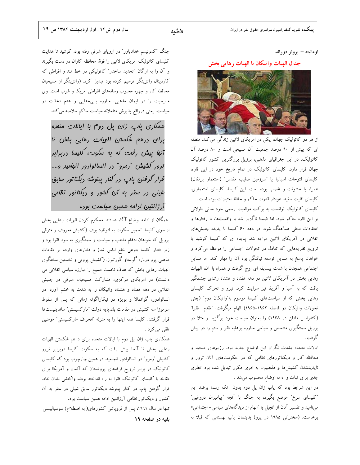اومانيته – برونو دوراند

### جدال الهيات واتيكان با الهيات رهايي بخش



از هر دو کاتولیک جهان، یکی در امریکای لاتین زندگی می کند. منطقه ای که بیش از ۹۰ درصد جمعیت آن مسیحی است و ۸۰ درصد آن کاتولیک. در این جغرافیای مذهبی، برزیل بزرگترین کشور کاتولیک جهان قرار دارد. کلیسای کاتولیک در تمام تاریخ خود در این قاره، كليساى فتوحات اسپانيا يا "سرزمين صليب مقدس" (استعمار پرتقال) همراه با خشونت و غصب بوده است. این کلیسا، کلیسای استعماری، كليساى اقليت سفيد، هوادار قدرت حاكم و حافظ امتيازات بوده است.

کلیسای کاتولیک توانست به برکت موقعیت رسمی خود مدتی طولانی بر این قاره حاکم شود. اما ضمنا ناگزیر شد با واقعیتها، با رفتارها و اعتقادات محلی همآهنگ شود. در دهه ۶۰ کلیسا با پدیده جنبشهای انقلابی در آمریکای لاتین مواجه شد. پدیده ای که کلیسا کوشید با ترویج نظریههایی که تعادل در تحولات اجتماعی را موعظه می کرد و خواهان پاسخ به مسایل توسعه نیافتگی بود آن را مهار کند. اما مسایل اجتماعی همچنان با شدت بیسابقه ای اوج گرفت و همراه با آن، الهیات رهایی بخش در آمریکای لاتین در دهه هفتاد و هشتاد رشدی چشمگیر یافت که به آسیا و آفریقا نیز سرایت کرد. نیرو و تحرک کلیسای رهایی بخش که از سیاستهای کلیسا موسوم به″واتیکان دوم″ (یعنی تحولات واتیکان در فاصله ۱۹۶۲–۱۹۶۵) الهام میگرفت، ″تقدم ًفقرا″ (کنفرانس مادلن در ۱۹۶۸) را بعنوان سیاست خود برگزید و مثلا در برزیل سمتگیری مشخص و سیاسی مبارزه برعلیه فقر و ستم را در پیش گر فت.

ایالات متحده بشدت نگران این اوضاع جدید بود. رژیمهای مستبد و محافظه کار و دیکتاتورهای نظامی که در حکومتهای آنان ترور و ناپدیدشدن کشیشها و مذهبیون به امری مکرر تبدیل شده بود خطری جدی برای ثبات و ادامه اوضاع محسوب میشد .

در این شرایط بود که پاپ ژان پل دوم بدون آنکه رسما برضد این "کلیسای سرخ" موضع بگیرد، به جنگ با آنچه "پیامبران دروغین" میiامید و تفسیر آنان از انجیل با "الهام از دیدگاههای سیاسی- اجتماعی» برخاست. (سخنرانی ۱۹۸۵ در پرو) بدینسان پاپ لهستانی که قبلا به

جنگ "کمونیسم خداناباور" در اروپای شرقی رفته بود، کوشید تا هدایت کلیسای کاتولیک امریکای لاتین را فوق محافظه کاران در دست بگیرند و آن را به ارگان "تجدید ساختار" کاتولیکی در خط تند و افراطی که کاردینال راتزینگر ترسیم کرده بود تبدیل کرد. (راتزینگر از مسیحیان محافظه کار و چهره محبوب رسانههای افراطی امریکا و غرب است. وی مسیحیت را در ایمان مذهبی، مبارزه بابیخدایی و عدم دخالت در سیاست، یعنی درواقع پذیرش منفعلانه سیاست حاکم خلاصه می کند.

ھم*کاری پاپ ژان پل دو*م با ایالات متمرہ برای ررهم شُلستن الهِیات رهایی بِفْش تا آنها پیش رفت که به سکوت کلیسا دربرابر ترور کشیش "رمرو" در السالوادور انبامیر و.... قرار گرفتن پاپ در کنار پینوشه دیکتاتور سابق شیلی در سفر به آن کشور و دیکتاتور نظامی آر ژانتین ارامه همین سیاست بود.

همگان از ادامه اوضاع آگاه هستند. محکوم کردن الهیات رهایی بخش از سوی کلیسا، تحمیل سکوت به لئونارد بوف (کشیش معروف و مترقی برزیل که خواهان ادغام مذهب و سیاست و سمتگیری به سود فقرا بود و زیر فشار کلیسا بنوعی خلع لباس شد) و فشارهای وارده بر مقامات مذهبی پرو درباره گوستاو گورتیرز. (کشیش پرویی و نخستین سخنگوی الهیات رهایی بخش که هدف نخست مسیح را مبارزه سیاسی انقلابی می دانست) در امریکای مرکزی، مشارکت مسیحیان مترقی در جنبش انقلابی در دهه هفتاد و هشتاد واتیکان را به شدت به خشم آورد: در السالوادور، گواتمالا و بویژه در نیکاراگوئه زمانی که پس از سقوط سوموزا سه كشيش در مقامات بلندپايه دولت "ماركسيستى" ساندينيستها قرار گرفتند. کلیسا همه اینها را به منزله "انحراف مارکسیستی" مومنین تلقى مى كرد .

همکاری پاپ ژان پل دوم با ایالات متحده برای درهم شکستن الهیات رهایی بخش تا آنجا پیش رفت که به سکوت کلیسا دربرابر ترور کشیش "رمرو" در السالوادور انجامید. در همین چارچوب بود که کلیسای کاتولیک در برابر ترویج فرقههای پروتستان که آلمان و آمریکا برای مقابله با کلیسای کاتولیک فقرا به راه انداخته بودند واکنشی نشان نداد. قرار گرفتن پاپ در کنار پینوشه دیکتاتور سابق شیلی در سفر به آن کشور و دیکتاتور نظامی آرژانتین ادامه همین سیاست بود. تنها در سال ۱۹۹۱، پس از فروپاشی کشورهای( به اصطلاح) سوسیالیستی

بقیه در صفحه ۱۹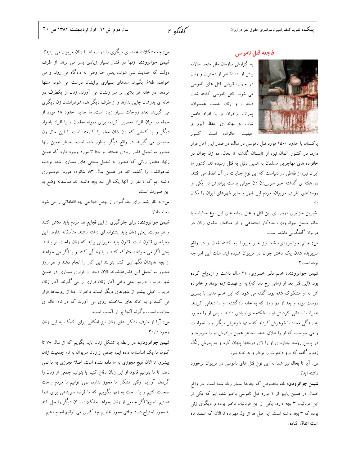گفتگه ۲

#### فاجعه قتل ناموسى

به گزارش سازمان ملل متحد سالانه بیش از ۵۰۰۰ نفر از دختران و زنان در جهان، قربانی قتل های ناموسی می شوند. قتل ناموسی کشته شدن دختران و زنان بدست همسران، یدران، برادران و یا افراد فامیل شان، به بهانه ي حفظ آبرو و حيثيت خانواده است. كشور



پاکستان با حدود ۱۵۰۰ مورد قتل ناموسی در سال، در صدر این آمار قرار دارد. در کشور آلمان نیز، از تابستان گذشته تا بحال، ده زن جوان در خانواده های مهاجرین مسلمان به همین دلیل به قتل رسیده اند. کشور ما ایران نیز، از نقاطی در دنیاست که این نوع جنایات در آن اتفاق می افتند. در هفته ی گذشته خبر سربریدن زن جوانی بدست برادرش در یکی از روستاهای اطراف مریوان، مردم این شهر و سایر شهرهای ایران را تکان داد.

شیرین جزایری درباره ی این قتل و علل ریشه های این نوع جنایات با خانم شیمن جوانرودی، مددکار اجتماعی و از مدافعان حقوق زنان در مریوان گفتگویی داشته است.

س: خانم جوانمرودی، شما نیز خبر مربوط به کشته شدن و در واقع سربریده شدن یک دختر جوان در مریوان شنیده اید. علت این امر چه بوده است؟

شیمن جوانرودی: خانم دلبر خسروی، ۲۱ سال داشت و ازدواج کرده بود. (این قتل بعد از زمانی رخ داد که) به او تهمت زده بودند و خانواده اش به او مشکوک شده بود. گفته می شود که این خانم مدتی با پسری دوست بوده و بعد از دو روز که به خانه بازگشته، او را زندانی کردند. همراه با زندانی کردنش او را شکنجه ی زیادی دادند. سپس او را مجبور به زندگی مجدد با شوهرش کردند که منتها شوهرش دیگر او را نخواست و می خواست که او را طلاق بدهد. بخاطر همین برادرش او را سربرید و در پایین روستا جنازه ی او را لای درختها پنهان کرد و به پدرش زنگ زده و گفته که برو دخترت را بردار و به خانه ببر.

س: آیا تا بحال نیز شما به این نوع قتل های ناموسی در مریوان برخورد داشته اید؟

شیمن جوانرودی: بله، بخصوص که جدیدا بسیار زیاد شده است. در واقع امسال در همین پاییز از ۴ مورد قتل ناموسی باخبر شده ایم که یکی از این قربانیان ۳ بچه دارد. یکی از این قربانیان دختر بوده و دیگری زنی بوده که ۳ بچه داشته است. این قتل ها از اول مهرماه تا الان که اسفند ماه است اتفاق افتاده.

س: چه مشکلات عمده ی دیگری را در ارتباط با زنان مریوان می بینید؟ شیمن جوانرودی: زنها در فشار بسیار زیادی بسر می برند. از طرف دولت که حمایت نمی شوند، یعنی حتا وقتی به دادگاه می روند و می خواهند طلاق بگیرند سدهای بسیاری برایشان درست می شود. منتها مردها، در خانه هر بلایی بر سر زنشان می آورند. زنان از یکطرف در خانه ی پدرشان جایی ندارند و از طرف دیگر هم، شوهرانشان زن دیگری می گیرند. تعدد زوجات بسیار زیاد است. ما جدیدا حدود ۱۸ مورد از جمله در میان افراد تحصیل کرده، برای نمونه معلمان و یا افراد باسواد دیگر و یا کسانی که زن شان معلم یا کارمند است با این حال زن جدیدی می گیرند. در واقع دیگر اینطور شده است. بخاطر همین زنها مجبور به تحمل فشار زیادی هستند. و حتا ۳ مورد وجود دارد که همین زنها، منظور زنانی که مجبور به تحمل سختی های بسیاری شده بودند، شوهرانشان را کشته اند. در همین سال ۸۳ شانزده مورد خودسوزی داشته ایم که ۴ نفر از آنها یک الی سه بچه داشته اند. متأسفانه وضع به اين صورت است.

س: به نظر شما برای جلوگیری از چنین فجایعی چه اقداماتی را می شود انجام داد؟

**شیمن جوانرودی:** برای جلوگیری از این فجایع هم مردم باید تلاش کنند و هم دولت. یعنی زنان باید پشتوانه ای داشته باشند. متأسفانه ندارند. این وظیفه ی قانون است. قانون باید تغییراتی بیابد که زنان راحت تر باشند. یعنی اگر می خواهند متارکه کنند و یا زندگی کنند و یا اگر می خواهند از بچه هایشان نگهداری کنند بتوانند این کار را انجام دهند و هر روز مجبور به تحمل این فشارهانشوند. الان دختران فراری بسیاری در همین شهر مریوان داریم. یعنی وقتی آمار زنان فراری را می گیرند، آمار زنان مریوان خیلی بیشتر از شهرهای دیگر است. دختران حتا از روستاها فرار می کنند و به خانه های سلامت، روی می آورند که در نام خانه ی سلامت است، وگرنه آنجا پر از آسیب است.

س: آیا از طرف تشکل های زنان نیز امکانی برای کمک به این زنان وجود دارد؟

شیمن جوانرودی: در رابطه با تشکل زنان باید بگویم که از سال ۷۸ تا کنون ما یک اساسنامه داده ایم، جمعی از زنان مریوان به نام جمعیت زنان پیشرو. تا الان هیچ مجوزی به ما داده نشده است. اصلا مجوزی به ما نمی دهند تا ما بتوانیم قانونا از این زنان دفاع کنیم یا بتوانیم جمعی از زنان را گردهم آوریم. وقتی تشکل ما مجوز ندارد، نمی توانیم با مردم راحت صحبت کنیم و یا راحت به زنها بگوییم که ما فرضا سرپناهی برای شما هستیم. اصولا اگر جمعی از زنان بخواهد مشکلات زنان دیگر را حل کند به مجوز احتیاج دارد. وقتی مجوز نداریم چه کاری می توانیم انجام دهیم.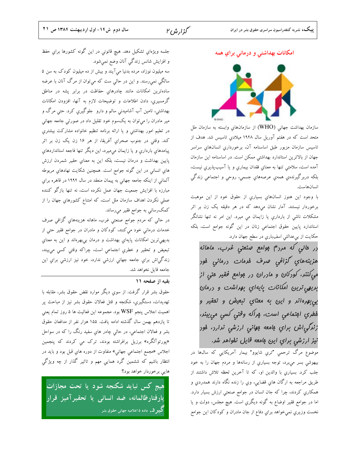امكانات بهداشتى و درماني براي همه



سازمان بهداشت جهانی (WHO) از سازمانهای وابسته به سازمان ملل متحد است که در هفتم آوریل سال ۱۹۴۸ میلادیِ تاسیس شد. هدف از تاسيس سازمان مزبور طبق اساسنامه آن، برخورداري انسانهاي سراسر جهان از بالاترین استاندارد بهداشتی ممکن است. در اساسنامه این سازمان آمده است، سلامتي تنها به معناي فقدان بيماري و يا آسيب پذيري نيست، بلکه دربرگيرندهي همهي عرصههاي جسمي، روحي و اجتماعي زندگي انسان هاست.

با وجود اين هنوز انسانهاي بسياري از حقوق خود از اين موهبت برخوردار نیستند. آمار نشان میدهد که در هر دقیقه یک زن بر اثر مشکلات ناشی از بارداری یا زایمان می میرد. این امر نه تنها نشانگر استاندارد پايين حقوق اجتماعي زنان در اين گونه جوامع است، بلكه حکایت از بیعدالتی اسفباری در سطح جهان دارد.

رر مالی که مررم بوامع صنعتی غرب، ماهانه هزينههاي *گزافى مىر*ف فرم*ات <sub>در</sub>مانى* فور می کنند، کودکان و مادران در بوامع فقیر متی از بريهي ترين امكانات پايهاي بهراشت و ررمان بي بهره انر و اين به معناي تبعيض و تمقير و فطري اڢتماعي است، ڥراكه وقتي كسي مي بيند، زنرگي اش براي ڢامعه مِهاني ارزشي ندارد، هور نیز ارزشی براي اين ڢامعه قايل نفواهر شر.

موضوع مرگ ترحمی "تري شايوو" بيمار آمريکايی که سال&ا در بیهوشی بسر میبرد، توجه بسیاری از رسانهها و مردم جهان را به خود جلب كرد. بسياري با والدين او، كه تا آخرين لحظه تلاش داشتند از طريق مراجعه به ارگان هاي قضايي، وي را زنده نگاه دارند همدردي و همکاریِ کردند، چرا که جان انسان در جوامع صنعتی ارزش بسیار دارد. اما در جوامع فقير اوضاع به گونه ديگري است. هيچ مجلس، دولت و يا نخست وزیری نمیخواهد برای دفاع از جان مادران و کودکان این جوامع

جلسه ویژهای تشکیل دهد. هیچ قانونی در این گونه کشورها برای حفظ و افزايش شانس زندگي آنان وضع نمي شود. سه میلیون نوزاد، مرده بدنیا میآیند و بیش از ده میلیون کودک به سن ۵

سالگی نمی رسند. و این در حالی ست که میتوان از مرگ آنان با عرضه سادهترین امکانات مانند چادرهای حفاظت در برابر پشه در مناطق گرمسیری، دادن اطلاعات و توضیحات لازم به آنها، افزودن امکانات بهداشتی، تامین آب آشامیدنی سالم و دارو جلوگیری کرد. حتی مرگ و میر مادران را میتوان به یکسوم خود تقلیل داد در صورتی جامعه جهانی در تعلیم امور بهداشتی و یا ارائه برنامه تنظیم خانواده مشارکت بیشتری کند. وقتی در جنوب صحرای آفریقا، از هر ۱۶ زن یک زن بر اثر پیامدهاي بارداري و یا زایمان ميميرد، این دیگر تنها فاجعه استانداردهای پایین بهداشت و درمان نیست، بلکه این به معنای حقیر شمردن ارزش هاي انساني در اين گونه جوامع است. همچنين شکايت نهادهاي مربوطه آلمانی از اینکه جامعه جهانی به پیمان منعقد در سال ۱۹۹۴ در قاهره برای مبارزه با افزایش جمعیت جهان عمل نکرده است، نه تنها بازگو کننده عملی نکردن اهداف سازمان ملل است، که امتناع کشورهای جهان را از کمک٫سانی به جوامع فقیر می٫ساند.

در حالي كه مردم جوامع صنعتي غرب، ماهانه هزينههاي گزافي صرف خدمات درمانی خود میکنند، کودکان و مادران در جوامع فقیر حتی از بديهي ترين امكانات پايهاي بهداشت و درمان بيبهرهاند و اين به معناي تبعیض و تحقیر و خطري اجتماعي است، چراكه وقتي كسي مي بيند، زندگیاش براي جامعه جهانی ارزشی ندارد، خود نيز ارزشی براي اين جامعه قايل نخواهد شد.

### بقيه از صفحه ١١

حقوق بشر قرار گرفت. از سوی دیگر موارد نقض حقوق بشر، مقابله با تهدیدات، دستگیری، شکنجه و قتل فعالان حقوق بشر نیز از مباحث پر اهميت اجلاس پنجم WSF بود. مجموعه اين فعاليت ها ۵ روز تمام يعني تا یازدهم بهمن سال گذشته ادامه یافت. ۱۵۵ هزار نفر از مدافعان حقوق بشر و فعالان اجتماعی، در حالی چادر هاي سفيد رنگ را که در سواحل «پورتوآلگره» برزیل برافراشته بودند، ترک می کردند که پنجمین اجلاس «مجمع اجتماعي جهاني» متفاوت از دوره هاي قبل بود و بايد در انتظار باشیم که ششمین گرد همایی مهم و تاثیر گذار از چه ویژگی هایی برخوردار خواهد بود؟

هیچ کس نباید شکنجه شود یا تحت مجازات یارفتارظالمانه، ضد انسانی یا تحقیرآمیز قرار **گیر د.** ماده ۵ اعلامیه جهانی حقوق بشر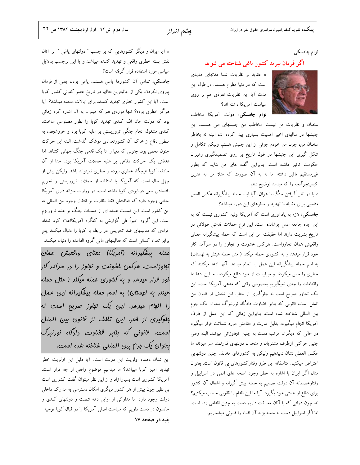### نوام چامسکی

### اگر فرمان نبرید کشور یاغی شناخته می شوید

× عقاید و نظریات شما مدتهای مدیدی است که در دنیا مطرح هستند. در طول این مدت آیا این نظریات نفوذی هم بر روی سیاست آمریکا داشته اند؟



نوام چامسکی: دولت آمریکا مخاطب

سخنان و نظریات من نیست. مخاطب من جنبشهای ملی هستند. این جنبشها در سالهای اخیر اهمیت بسیاری پیدا کرده اند، البته نه بخاطر سخنان من، چون من خودم جزئي از اين جنبش هستم. وليكن تكامل و شکل گیری این جنبشها در طول تاریخ بر روی تصمیمگیری رهبران حکومت تاثیر داشته است. بنابراین گفته های من شاید که بطور غیرمستقیم تاثیر داشته اما نه به آن صورت که مثلا من به هنری کیسینجرآنچه را که میداند توضیح دهم.

× با در نظر گرفتن جنگ با عراق، آیا ایده حمله پیشگیرانه عکس العمل مناسبی برای مقابله با تهدید و خطرهای این دوره میباشد؟

**چامسکی:** لازم به یادآوری است که آمریکا اولین کشوری نیست که به این ایده جامعه عمل پوشانده است. این نوع حملات قدمتی طولانی در تاریخ بشریت دارند اما حقیقت امر این است که حمله پیشگیرانه معنای واقعیش همان تجاوزاست. هرکس خشونت و تجاوز را در سرآمد کار خود قرار میدهد و به کشوری حمله میکند ( مثل حمله هیتلر به لهستان) به اسم حمله پیشگیرانه این عمل را انجام میدهد. آنها ادعا میکنند که خطری را حس میکردند و میبایست از خود دفاع میکردند. ما این ادعا ها واقدامات را جدی نمیگیریم بخصوص وقتی که مدعی آمریکا است. این یک تجاوز صریح است نه جلوگیری از خطر. این تخلف از قانون بین الملل است، قانونی که بنابر قضاوت دادگاه نورنبرگ بعنوان یک جرم بین المللی شناخته شده است. بنابراین زمانی که این عمل از طرف آمریکا انجام میگیرد، بدلیل قدرت و مقامش مورد شماتت قرار میگیرد در حالی که دیگران مرتب دست به چنین تجاوزاتی میزنند. البته وقتی چنین حرکتی ازطرف مشتریان و متحدان دولتهای قدرتمند سر میزند، ما عکس العملی نشان نمیدهیم ولیکن به کشورهای مخالف چنین دولتهایی اعتراض میکنیم. متاسفانه این طرز رفتارکشورهای بی قانون است. بعنوان مثال اگر ایران با اشاره به خطر وجود اسلحه های اتمی در اسراییل و رفتارخصمانه آن دولت تصمیم به حمله پیش گیرانه و اشغال آن کشور برای دفاع از هستی خود بگیرد، آیا ما این اقدام را قانونی حساب میکنیم؟ نه، چون دولتی که با آنان مخالفت داریم دست به چنین اقدامی زده است. اما اگر اسراییل دست به حمله بزند آن اقدام را قانونی میشماریم.

× آیا ایران و دیگر کشورهایی که بر چسب " دولتهای یاغی " بر آنان نقش بسته خطری واقعی و تهدید کننده میباشند و یا این برچسب بدلایل سیاسی مورد استفاده قرار گرفته است؟

چامسکی: تمامی آن کشورها یاغی هستند. یاغی بودن یعنی از فرمان پیروی نکردن. یکی از جالبترین مثالها در تاریخ عصر کنونی کشور کوبا است. آیا این کشور خطری تهدید کنننده برای ایالات متحده میباشد؟ آیا هرگز خطری بوده؟ تنها موردی هم که میتوان به آن اشاره کرد زمانی بود که دولت جان اف کندی تهدید کوبا را بطور مصنوعی ساخت. کندی مشغول انجام جنگی تروریستی بر علیه کوبا بود و خروشچف به منطور دفاع از خاک آن کشورتعدادی موشک گذاشت. البته این حرکت جنون محض بود. جنونی که دنیا را تا یک قدمی جنگ جهانی کشاند. اما هدفش یک حرکت دفاعی بر علیه حملات آمریکا بود. جدا از آن حادثه، کوبا هیچگاه خطری نبوده و خطری نمیتواند باشد. ولیکن بیش از چهل سال است که آمریکا با استفاده از حملات تروریستی و تحریم اقتصادی سعی درنابودی کوبا داشته است. در وزارت خزانه داری آمریکا بخشي وجود دارد كه فعاليتش فقط نظارت بر انتقال وجوه بين المللي به این کشور است. این قسمت عمده ای از عملیات جنگ بر علیه تروریزم است. این گروه اخیراً طی گزارشی به کنگره آمریکااعلام کرد تعداد افرادی که فعالیتهای ضد تحریمی در رابطه با کوبا را دنبال میکنند پنج برابر تعداد کسانی است که فعالیتهای مالی گروه القاعده را دنبال میکنند.

همله پیشگیرانه (آمریکا) معنای واقعیش همان تهاوزاست. هرکس فشونت و تهاوز را در سرآمد کار فور قرار میرهر و به کشوری عمله میکنر ( مثل عمله هیتلر به لهستان) به اسم ممله پیشگیرانه این عمل را انهام میرهر. این یک تهاوز صریح است نه بِلوَّلْيِرِي از فَطر. اين تفلف از قانون بين الملل است، قانونی که بنابر قفیاوت دادگاه نورنبرگ بعنوان یک مِرم بین المللی شنافته شره است.

این نشان دهنده اولویت این دولت است. آیا دلیل این اولویت خطر تهدید آمیز کوبا میباشد؟ ما میدانیم موضوع واقعی از چه قرار است. آمریکا کشوری است بسیارآزاد و از این نظر میتوان گفت کشوری است بی نظیر چون بیش از هر کشور دیگری امکان دسترسی به مدارک داخلی دولت وجود دارد. ما مدارکی از اوایل دهه شصت و دولتهای کندی و جانسون در دست داریم که سیاست اصلی آمریکا را در قبال کوبا توجیه بقیه در صفحه ۱۷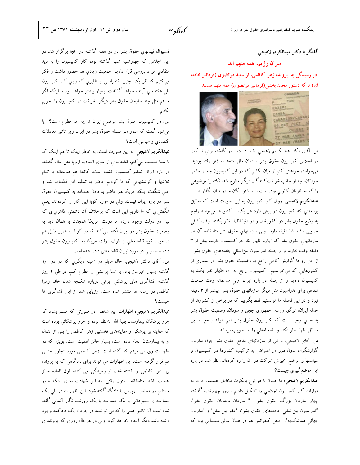### گفتگو با دکتر عبدالکریم لاهیجی

سران رژیم، همه متهم اند

در رسیدگی به پرونده زهرا کاظمی، از سعید مرتضوی (فرمانبر خامنه ای) تا که دستور محمد بخشی(فرمانبر مرتضوی) همه متهم هستند



س: آقاي دکتر عبدالکريم لاهيجي، شما در دو روز گذشته براي شرکت در اجلاس كميسيون حقوق بشر سازمان ملل متحد به ژنو رفته بوديد. میخواستم خواهش کنم از میان نکاتی که در این کمیسیون چه از جانب خودتان، چه از جانب شرکت کنندگان دیگر مطرح شد، نکته یا موضوعی را که به نظرتان کانونی بوده است را با شنوندگان ما در میان بگذارید. عبدالکریم لاهیجی: روال کار کمیسیون به این صورت است که مطابق برنامهایِ که کمیسیون در پیش دارد هر یک از کشورها میتوانند راجع به وضع حقوق بشر در كشورشان و در دنيا اظهار نظر بكنند، وقت كافي هم بین ۱۰ تا ۱۵ دقیقه دارند. ولی سازمانهای حقوق بشر متاسفانه، آن هم سازمانهای حقوق بشر که اجازه اظهار نظر در کمیسیون دارند، بیش از ۳ دقيقه وقت ندارند و از جمله فدراسيون بين|لمللي جامعههاي حقوق بشر . از این رو ما گزارش کاملی راجع به وضعیت حقوق بشر در بسیاري از كشورهايي كه ميخواستيم كميسيون راجع به آن اظهار نظر بكند به کمیسیون دادیم و از جمله در باره ایران. ولی متاسفانه وقت صحبت شفاهی برای فدراسیون مثل دیگر سازمانهایِ حقوق بشر بیشتر از ۳ دقیقه نبود و در این فاصله ما توانستیم فقط بگوییم که در برخی از کشورها از جمله ایران، توگو، روسه، جمهوری چچن و سودان، وضعیت حقوق بشر به حدي وخيم است كه كميسيون حقوق بشر نمي تواند راجع به اين مسائل اظهار نظر نكند و قطعنامهاي را به تصويب نرساند.

س: آقاي لاهيجي، برخي از سازمانهاي مدافع حقوق بشر چون سازمان گزارشگران بدون مرز در اعتراض به ترکیب کشورها در کمیسیون و سیاستها و مواضع اخیرش شرکت در آن را رد کردهاند. نظر شما در باره اين موضع گيري چيست؟

عبدالکریم لاهیجی: ما اصولا با هر نوع بایکوت مخالف هستیم، اما ما به موازات کار کمیسیون اجلاسی را تشکیل دادیم ، روز چهارشنبه گذشته چهار سازمان بزرگ حقوق بشر " سازمان دیدهبان حقوق بشر"، "فدراسيون بين|لمللي جامعههاي حقوق بشر"، "عفو بين|لملل" و "سازمان جهانی ضدشکنجه". محل کنفرانس هم در همان سالن سینمایی بود که

فستیوال فیلمهای حقوق بشر در دو هفته گذشته در آنجا برگزار شد. در این اجلاس که چهارشنبه شب گذشته بود، کار کمیسیون را به دید انتقادی مورد بررسی قرار دادیم. جمعیت زیادی هم حضور داشت و فکر می کنیم که اثر یک چنین کنفرانسی و تاثیری که روی کار کمیسیون طی هفتههای آینده خواهد گذاشت، بسیار بیشتر خواهد بود تا اینکه اگر ما هم مثل چند سازمان حقوق بشر دیگر شرکت در کمیسیون را تحریم بكنيم.

س: در کمیسیون حقوق بشر موضوع ایران تا چه حد مطرح است؟ آیا میشود گفت که هنوز هم مسئله حقوق بشر در ایران زیر تاثیر معادلات اقتصادي و سياسي است؟

عبدالکریم لاهیجی: به این صورت است، به خاطر اینکه تا هم اینک که با شما صحبت می کنم، قطعنامهای از سوی اتحادیه اروپا مثل سال گذشته در باره ایران تسلیم کمیسیون نشده است. کانادا هم متاسفانه با تمام تلاشها و کوششهایی که ما کردیم حاضر به تسلیم این قطعنامه نشد و حتی شگفت اینکه امریکا هم حاضر به دادن قطعنامه به کمیسیون حقوق بشر در باره ایران نیست، ولی در مورد کوبا این کار را کردهاند. یعنی شگفتی|ی که ما داریم این است که برخلاف آن دشمنی ظاهریٍ|ی که بین دو دولت وجود دارد، اما دولت امریکا همچنان با همان دید به وضعیت حقوق بشر در ایران نگاه نمی کند که در کوبا. به همین دلیل هم در مورد كوبا قطعنامهاي از طرف دولت امريكا به كميسيون حقوق بشر داده شده، ولی در مورد ایران قطعنامهای داده نشده است.

س: آقای دکتر لاهیجی، حال مایلم در زمینه دیگری که در دو روز گذشته بسیار خبرساز بوده با شما پرسشی را مطرح کنم. در طی ۲ روز گذشته افشاگری های پزشکی ایرانی درباره شکنجه شدن خانم زهرا کاظمی در رسانه ها منتشر شده است. ارزیابی شما از این افشاگری ها چیست؟

**عبدالکریم لاهیجی:** اظهارات این شخص در صورتی که مسلم بشود که جزو پزشکان بیمارستان بقیهٔ الله الاعظم بوده و جزو پزشکانی بوده است که معاینه ی پزشکی و معاینههای نخستین زهرا کاظمی را پس از انتقال او به بیمارستان انجام داده است، بسیار حائز اهمیت است. بویژه که در اظهارات وی من دیدم که گفته است، زهرا کاظمی مورد تجاوز جنسی هم قرار گرفته است. این اظهارات می تواند برای دادگاهی که به پرونده ی زهرا کاظمی و کشته شدن او رسیدگی می کند، فوق العاده حائز اهمیت باشد. متاسفانه، اکنون وقتی که این شهادت بجای اینکه بطور مستقیم در محضر بازپرس یا دادگاه گفته شود، این اظهارات در طی یک مصاحبه ی مطبوعاتی یا یک مصاحبه با یک روزنامه نگار آلمانی گفته شده است آن تاثیر اصلی را که می توانسته در جریان یک محاکمه وجود داشته باشد دیگر ایجاد نخواهد کرد. ولی در هرحال روزی که پرونده ی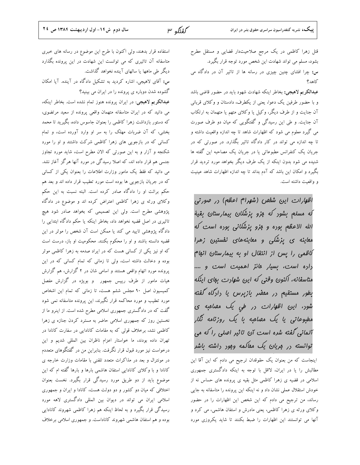$\mu$  مُعْتَلُه ٣

قتل زهرا کاظمی در یک مرجع صلاحیتدار قضایی و مستقل مطرح بشود، مسلم می تواند شهادت این شخص مورد توجه قرار بگیرد. س: چرا افشای چنین چیزی در رسانه ها از تاثیر آن در دادگاه می كاهد؟

عبدالکریم لاهیجی: بخاطر اینکه شهادت شهود باید در حضور قاضی باشد و با حضور طرفین یک دعوا، یعنی از یکطرف، دادستان و وکلای قربانی آن جنایت و از طرف دیگر، وکیل یا وکلای متهم یا متهمان به ارتکاب آن جنایت. و طی این رسیدگی و گفتگویی که میان دو طرف صورت می گیرد معلوم می شود که اظهارات شاهد تا چه اندازه واقعیت داشته و تا چه اندازه می تواند در کار دادگاه تاثیر بگذارد. در صورتی که در جریان یک کنفرانس مطبوعاتی یا در جریان یک مصاحبه این گفته ها شنیده می شود بدون اینکه از یک طرف دیگر بخواهد مورد تردید قرار بگیرد و امکان این باشد که آدم بداند تا چه اندازه اظهارات شاهد عینیت و واقعیت داشته است.

اظهارات این شفص (شهرام اعظم) در صورتی لَه مسلم بِشور که مِزو یزشُکان بیمارستان بقیهٔ الله الاعظم بوده و مِزو پزشکانی بوده است که معاینه ی پزشکی و معاینههای نفستین زهرا لاظمی را پس از انتقال او به بیمارستان انبا<sup>م</sup> راره ا*ست، بسیار هائز اهمیت است و ....* متاسفانه، اکنون وقتی که این شهارت بهای اینکه بطور مستقیم در ممضر بازیرس یا دادگاه گفته شور، این اظهارات در طی یک مهنامیه ی مطبوعاتی یا یک مصاحبه یا یک روزنامه نگار آلمانی گفته شده است آن تاثیر اصلی را که می توانسته در مریان یک مقالمه وجود داشته باشد

اینجاست که من بعنوان یک حقوقدان ترجیح می دادم که این آقا این مطالبش را یا در ایران، لااقل با توجه به اینکه دادگستری جمهوری اسلامی در قضیه ی زهرا کاظمی مثل بقیه ی پرونده های حساس نه از خودش استقلال عملی نشان داد و نه اینکه این پرونده را متاسفانه به جایی رساند، من ترجیح می دادم که این شخص این اظهارات را در حضور وکلای ورثه ی زهرا کاظمی، یعنی مادرش و استفان هاشمی، می کرد و آنها می توانستند این اظهارات را ضبط بکنند تا شاید یکروزی مورد

استفاده قرار بدهند، ولي اكنون با طرح اين موضوع در رسانه هاى خبرى متاسفانه آن تاثیری که می توانست این شهادت در این پرونده بگذارد دیگر طی ماهها یا سالهای آینده نخواهد گذاشت. س: آقای لاهیجی، اشاره کردید به تشکیل دادگاه در آینده. آیا امکان

گشوده شدن دوباره ی پرونده را در ایران می بینید؟ عبدالکریم لاهیجی: در ایران پرونده هنوز تمام نشده است. بخاطر اینکه، می دانید که در ایران متاسفانه متهمان واقعی پرونده از سعید مرتضوی، که دستور بازداشت زهرا کاظمی را بعنوان جاسوس داده، بگیرید تا محمد بخشی، که آن ضربات مهلک را به سر او وارد آورده است، و تمام کسانی که در بازجویی های زهرا کاظمی شرکت داشتند و او را مورد شکنجه و آزار و به این صورتی که الان مطرح است، شاید مورد تجاوز جنسی هم قرار داده اند، که اصلا رسیدگی در مورد آنها هرگز آغاز نشد. می دانید که فقط یک مامور وزارت اطلاعات را بعنوان یکی از کسانی که در جریان بازجویی ها بوده است مورد تعقیب قرار داده اند و بعد هم حکم برائت او را دادگاه صادر کرده است. البته نسبت به این حکم وکلای ورثه ی زهرا کاظمی اعتراض کرده اند و موضوع در دادگاه پژوهشی مطرح است. ولی این تصمیمی که بخواهد صادر شود هیچ تاثیری در اصل قضیه نخواهد داد، بخاطر اینکه یا حکم دادگاه ابتدایی را دادگاه پژوهشی تایید می کند یا ممکن است آن شخص را موثر در این قضیه دانسته باشند و او را محکوم بکنند. محکومیت او باز، درست است که او نیز یکی از کسانی هست که در ایراد صدمه به زهرا کاظمی موثر بوده و دخالت داشته است، ولی تا زمانی که تمام کسانی که در این پرونده مورد اتهام واقعی هستند و اسامی شان در ۲ گزارش، هم گزارش هیات مامور از طرف رییس جمهور ً و بویژه در گزارش مفصل کمیسیون اصل ۹۰ مجلس ششم هست، تا زمانی که تمام این اشخاص مورد تعقیب و مورد محاکمه قرار نگیرند، این پرونده متاسفانه نمی شود گفت که در دادگستری جمهوری اسلامی مطرح شده است. از اینرو ما از نخستین روز که جمهوری اسلامی حاضر به مسترد کردن جنازه ی زهرا کاظمی نشد، برخلاف قولی که به مقامات کانادایی در سفارت کانادا در تهران داده بودند، ما خواستار اعزام ناظران بين المللي شديم و اين درخواست نیز مورد قبول قرار نگرفت. بنابراین من در گفتگوهای متعددم در مونترال و بعد در مذاکرات متعدد تلفنی با مقامات وزارت خارجه ی کانادا و با وکلای کانادایی استفان هاشمی بارها و بارها گفته ام که این موضوع باید از دو طریق مورد رسیدگی قرار بگیرد. نخست بعنوان اختلافی که میان دو کشور و دو دولت هست، کانادا و ایران و جمهوری اسلامی ایران می تواند در دیوان بین المللی دادگستری لاهه مورد رسیدگی قرار بگیرد و به لحاظ اینکه هم زهرا کاظمی شهروند کانادایی بوده و هم استفان هاشمی شهروند کاناداست. و جمهوری اسلامی برخلاف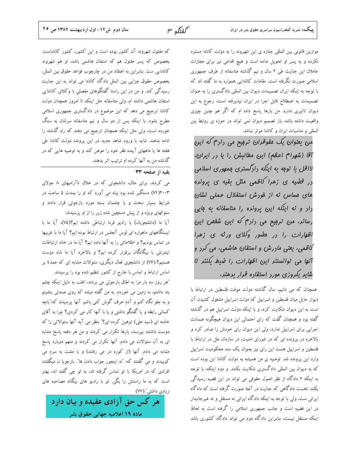$\mu$  مُعْتَلُه ٣

موازین قانونی بین المللی جنازه ی این شهروند را به دولت کانادا مسترد نکرده و به پسر او تحویل نداده است و هیچ اقدامی نیز برای مجازات عاملان این جنایت طی ۲ سال و نیم گذشته متاسفانه از طرف جمهوری اسلامی صورت نگرفته است. مقامات کانادایی همواره به ما گفته اند که با توجه به اینکه ایران تصمیمات دیوان بین المللی دادگستری را به عنوان تصمیمات به اصطلاح قابل اجرا در ایران نپذیرفته است، رجوع به این دیوان تاثیری ندارد. من بارها پاسخ داده ام که اگر هم چنین چیزی واقعیت داشته باشد، باز تصمیم دیوان نمی تواند در حوزه ی روابط بین المللي و مناسبات ايران و كانادا موثر نباشد.

من بعنوان یک مقوقران ترمیح می رارم که این آقا (شهرام اعظم) این مطالبش را یا در ایران، لااقل با توجه به اینکه رارگستری جمهوری اسلامی <sub>د</sub>ر قفسه ی زهرا کاظمی مثل بقیه ی پرونده های مساس نه از فورش استقلال عملی نشان رار و نه اینکه این پرونره را متاسفانه به بایی رس*انر،* من ترمیح می رار<sup>م</sup> که این شف*ص این* اظهارات را در مفتور وکلای ورثه ی زهرا گاظمی، یعنی ماررش و استفان هاشمی، می کرد و آنها می توانستنر این اظهارات را ضبط بکننر تا شایر یکروزی مورد استفاده قرار برهنر،

همچنان که می دانیم، سال گذشته دولت موقت فلسطین در ارتباط با دیوار حایل میان فلسطین و اسراییل که دولت اسراییل مشغول کشیدن آن است به این دیوان شکایت کرد، و با اینکه دولت اسراییل هم در گذشته گفته بود و همچنان گفت که رای احتمالی این دیوان هیچگونه ضمانت اجرایی برای اسراییل ندارد، ولی این دیوان رای خودش را صادر کرد و بالاخره در پرونده ای که در شورای امنیت، در سازمان ملل در ارتباط با فلسطین و اسراییل هست این رای نیز بعنوان یک سند محکومیت اسراییل وارد این پرونده شد. توصیه ی من همیشه به دولت کانادا این بوده است که به دیوان بین المللی دادگستری شکایت بکنند. و دوم اینکه، با توجه به اینکه ۲ دادگاه از نظر اصول حقوقی می تواند در این قضیه رسیدگی بکند. نخست دادگاهی که جنایت در آنجا صورت گرفته است که دادگاه ایرانی ست، ولی با توجه به اینکه دادگاه ایرانی نه مستقل و نه غیرجانبدار در این قضیه است و جانب جمهوری اسلامی را گرفته است به لحاظ اینکه مستقل نیست، بنابراین دادگاه دوم می تواند دادگاه کشوری باشد

که مقتول شهروند آن کشور بوده است و این کشور، کشور کاناداست. بخصوص که پسر مقتول هم که استفان هاشمی باشد، او هم شهروند كانادايي ست. بنابراين به اعتقاد من در چارچوب قواعد حقوق بين الملل، بخصوص حقوق جزایی بین الملل دادگاه کانادا می تواند به این جنایت رسیدگی کند. و من در این راستا گفتگوهای مفصلی با وکلای کانادایی استفان هاشمی داشته ام، ولی متاسفانه مثل اینکه تا امروز همچنان دولت کانادا ترجیج می دهد که این موضوع در دادگستری جمهوری اسلامی مطرح بشود. با اینکه پس از دو سال و نیم متاسفانه سرشان به سنگ خورده است، ولی مثل اینکه همچنان ترجیح می دهند که راه گذشته را ادامه بدهند. شاید با ورود شاهد جدید در این پرونده دولت کانادا طی هفته ها یا ماههای آینده نظر خود را عوض کند و به توصیه هایی که در گذشته من به آنها کرده ام ترتیب اثر بدهند.

### بقيه از صفحه ٣٣

می کردند. برای مثال، دانشجوئی که در خلال ناآرامیهای ۸ جولای ۰۰۳(۷۴) دستگیر شده بود بیاد می آورد که او را بمدت ۵ ساعت در شرایط بسیار سخت و با چشمان بسته مورد بازجوئی قرار دادند و سئوالهای ویژه و از پیش دستچین شده زیر را از او پرسیدند:

آيا ما (دانشجويان) با راديو فردا ارتباطي داشته ايم؟(٧٥)، آيا ما با ایستگاههای ماهواره ای لوس آنجلس در ارتباط بوده ایم؟ آیا ما با غربیها در تماس بودیم؟ و اطلاعاتی را به آنها داده ایم؟ آیا ما در خانه ارتباطات اینترنتی با بیگانگان برقرار کرده ایم؟ و بالاخره آیا ما شاه دوست هستیم؟.(۷۶) از دانشجوی فعال دیگری، سئوالات مشابه ای که عمدتا بر اساس ارتباط و تماس با خارج از کشور تنظیم شده بود را پرسیدند.

"هر روز سه بار مرا به اطاق بازجوئی می بردند، اغلب به دلیل اینکه چشم بند داشتم، به زمین می خوردم. به من گفته میشد که روی صندلی بنشینم و به جلو نگاه کنم و آدم حرف گوش کنی باشم. آنها پرسیدند که:"باچه کسانی رابطه و یا گفتگو داشتی و یا با آنها کار می کردی؟ چرا به آقای خامنه ای (سید علی) توهین کرده ای؟" بنظر می آید آنها سئوالاتی را که دوست داشتند بپرسند، بارها تکرار می کردند و من هر دفعه پاسخ مشابه ای به آن سئوالات می دادم. آنها تکرار می کردند و منهم دوباره پاسخ مشابه می دادم. آنها (از کوره در می رفتند) و با مشت به سرم می کوبیدند و می گفتند که: "نه اینجور جواب دادن ها". بازجویا ن میگفتند افرادی که در امریکا با تو تماس گرفته اند، به تو چی گفته اند، بهتر است که به ما راستش را بگی. تو با رادیو های بیگانه مصاحبه های زیادی داشتی".(۷۷)

هر کس حق آزادی عقیده و بیان دارد ماده ۱۹ آعلامیه جهانی حقوق بشر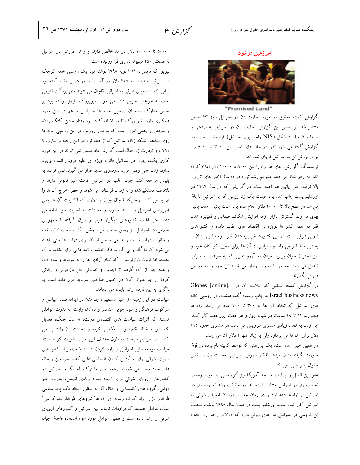گزارش ۳

سرزمین موعود



#### "Promised Land"

گزارش کمیته تحقیق در مورد تجارت زن در اسرائیل روز ۲۳ مارس منتشر شد. بر اساس این گزارش تجارت زن در اسرائیل به صنعتی با سرمايه ۵ ميليارد شكل (NIS واحد پول اسرائيل) فراروئيده است. در گزارش گفته می شود تنها در سال های اخیر بین ۳۰۰۰ تا ۵۰۰۰ زن برای فروش تن به اسرائیل قاچاق شده اند.

نویسندگان گزارش, بهای هر زن را بین ۸۰۰۰ تا ۱۰۰۰۰ دلار اعلام کرده اند. این رقم نشان می دهد علیرغم رشد تورم در ده سال اخیر بهای تن زن بالا نرفته، حتی پائین هم آمده است. در گزارشی که در سال ۱۹۹۷ در اورشلیم پست چاپ شده بود، قیمت یک زن روسی که به اسرائیل قاچاق می شد در سطح بالا تا ۲۰۰۰۰ دلار اعلام شده بود. علت پائین آمدن پائین بهای تن زن، گسترش بازار آزاد، افزایش شکاف طبقاتی و فمینیزه شدن فقر در همه کشورها بویژه در اقتصاد های عقب مانده و کشورهای اروپی شرقی است. در این کشورها فمینیزه شدن فقر انبوه میلیونی زنان را به زیر خط فقر می راند و بسیاری از آن ها برای تامین کودکان خود و نیز دختران جوان برای رسیدن به آرزو هایی که به سرعت به سراب تبدیل می شود، مجبور یا به زور وادار می شوند تن خود را به معرض فروش بگذارند.

در گزارش کمیته تحقیق که خلاصه آن در .Globes [online], Israel business news به چاپ رسیده گفته میشود، در روسیی خانه های اسرائیل که تعداد آن ها به ۳۰۰ تا ۴۰۰ عدد می رسد، زن ها مجبورند ۱۴ تا ۱۸ ساعت در شبانه روز و هر هفت روز هفته کار کنند. این زنان به تعداد زیادی مشتری سرویس می دهند،هر مشتری حدود ۱۱۵ دلار برای آن ها می پردازد ولی به زنان تنها ۴ دلار آن می رسد.

در همین خبر آمده است: یک پژوهش که توسط کمیته نام برده در فوق صورت گرفته نشان میدهد افکار عمومی اسرائیل ،تجارت زن را نقض حقوق بشر تلقى نمى كند.

عفو بین الملل و وزارت خارجه آمریکا نیز گزارشاتی در مورد وسعت تجارت زن در اسرائیل منتشر کرده اند. در حقیقت رشد تجارت زن در اسرائیل از اواسط دهه نود و در زمان جذب یهودیان اروپای شرقی به اسرائیل آغاز شده است. اورشلیم پست در همان سال ۱۹۹۸ نوشت صنعت تن فروشی در اسرائیل به حدی رونق دارد که دلالان از هر زن حدود

۵۰۰۰۰ تا ۱۰۰۰۰۰ دلار درآمد خالص دارند و و تن فروشی در اسرائیل به صنعتی ۴۵۰ میلیون دلاری فرا روئیده است.

نیویورک تایمز در۱۱ ژانویه ۱۹۹۸ نوشته بود یک روسپی خانه کوچک در اسرائیل ماهیانه ۲۱۵۰۰۰ دلار در آمد دارد. در همین مقاله آمده بود زنانی که از اروپای شرقی به اسرائیل قاچاق می شوند مثل بردگان قدیمی لخت به خریدار تحویل داده می شوند. نیویورک تایمز نوشته بود بر اساس مدارک صاحبان روسپی خانه ها و پلیس با هم در این مورد همکاری دارند. نیویورک تایمز اضافه کرده بود رفتار خشن، کتک زدن، و بدرفتاری جنسی امری است که به طور روزمره در این روسپی خانه ها روی میدهد. شبکه زنان اسرائیل که از دهه نود در این رابطه و مبارزه با دلالان و تجارت زن فعال است گزارش داد پلیس نمی تواند در این مورد کاری بکند، چون در اسرائیل قانون ویژه ای علیه فروش انسان وجود ندارد، زنان حتی وقتی مورد بدرفتاری شدید قرار می گیرند نمی توانند به پلیس مراجعه کنند چون اغلب در اسرائیل اقامت غیر قانونی دارند و بلافاصله دستگیرشده و به زندان فرستاده می شوند و خطر اخراج آن ها را تهدید می کند درحالیکه قاچاق چیان و دلالان که اکثریت آن ها پاس شهروندی اسرائیل را دارند مصون از مجازات به فعالیت خود ادامه می دهند. مثل اغلب کشورهای دیگراز غرب و شرق گرفته تا جمهوری اسلامی، در اسرائیل نیز رونق صنعت تن فروشی، یک سیاست تنظیم شده و مطلوب دولت نیست و بدنامی حاصل از آن برای دولت ها حتی باعث می شود آن ها گاه و بی گاه به فکر تنظیم برنامه هایی برای مقابله با آن بیفتند. اما قانون بازارنولیبرال که تمام آزادی ها را به سرمایه و سود داده و همه چیز از آدم گرفته تا اجناس و خدماتی مثل بازجویی و زندانی كردن را به عنوان كالا در اختيار صاحب سرمايه قرار داده است به ناگزیر به این فاجعه رشد یابنده می انجامد.

سیاست در این زمینه اثر غیر مستقیم دارد. مثلا در ایران فساد سیاسی و سرکوب فرهنگی و سود جویبی عناصر و دلالان وابسته به قدرت عواملی هستند که اثرات سیاست های اقتصادی دولت، ۸ سال جنگ، تعدیل اقتصادی و فساد اقتصادی را تکمیل کرده و تجارت زن راتشدید می کنند. در اسرائیل سیاست به طرق مختلف این امر را تقویت کرده است. سیاست توسعه طلبی اسرائیل و وارد کردن ۸۰۰۰۰۰ مهاجر از کشورهای اروپای شرقی برای جاگزین کردن فلسطینی هایی که از سرزمین و خانه های خود رانده می شوند، برنامه های مشترک آمریکا و اسرائیل در کشورهای اروپای شرقی برای ایجاد تعداد زیادی انجمن، سازمان غیر دولتی، گروه های کلیسیایی و امثال آن به منظور ایجاد یک پایه سیاسی طرفدار بازار آزاد که نام رسانه ای آن ها″ نیروهای طرفدار دموکراسی″ است، عواملی هستند که مراودات ناسالم بین اسرائیل و کشورهای اروپای شرقی را رشد داده است و همین عوامل مورد سوء استفاده قاچاق چیان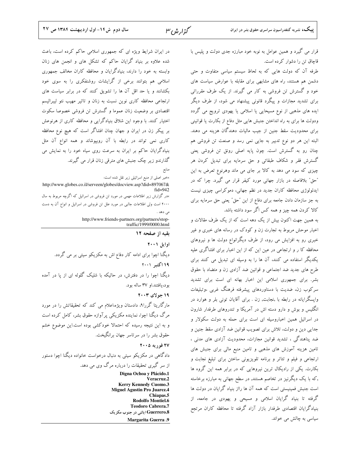قرار می گیرد و همین عوامل به نوبه خود مبارزه جدی دولت و پلیس با قاچاق تن را دشوار کرده است.

طرفه آن که دولت هایی که به لحاظ سیستم سیاسی متفاوت و حتی دشمن هم هستند، راه های مشابهی برای مقابله با عوارض سیاست های خود و گسترش تن فروشی به کار می گیرند. از یک طرف مقرراتی برای تشدید مجازات و پیگرد قانونی پیشنهاد می شود، از طرف دیگر ایده های مذهبی از نوع مسیحایی یا اسلامی یا یهودی ترویج می گردد ودولت ها برای به راه انداختن جنبش هایی مثل دفاع از بکارت یا قوانینی برای محدودیت سقط جنین از جیب مالیات دهندگان هزینه می دهند. البته این هر دو نوع تدبیر به جایی نمی رسد و صنعت تن فروشی هم چنان رو به گسترش است. چون پایه اصلی رونق تن فروشی یعنی گسترش فقر و شکاف طبقاتی و حق سرمایه برای تبدیل کردن هر چیزی که سود می دهد به کالا بر جای می ماند وهرنوع تعرض به این "حق" بلافاصله در بازار جهانی مورد کیفر قرار می گیرد. چرا که در ایدئولوژی محافظه کاران جدید در نظم جهانی، دموکراسی چیزی نیست به جز سازمان دادن جامعه برای دفاع از این "حق" یعنی حق سرمایه برای کالا کردن همه چیز و همه کس اگر سود داشته باشد.

به همین جهت اکنون بیش از یک دهه است که از یک طرف مقالات و اخبار موحش مربوط به تجارت زن و کودک در رسانه های خبری و غیر خبری رو به افزایش می رود، از طرف دیگرانواع دولت ها و نیروهای محافظه کا ر و ارتجاعی در عین این که از این اخبار برای افشاگری علیه یکدیگر استفاده می کنند، آن ها را به وسیله ای تبدیل می کنند برای طرح های جدید ضد اجتماعی و قوانین ضد آزادی زن و متضاد با حقوق بشر. برای جمهوری اسلامی این اخبار بهانه ای است برای تشدید سرکوب زن، ضدیت با دستاوردهای پیشرفته فرهنگ غربی ،وتبلیغات وایسگرایانه در رابطه با ,نجابت, زن . برای آقایان تونی بلر و هوارد در انگلیس و بوش و دارو دسته اش در آمریکا و تندروهای طرفدار شارون در اسرائیل همین اخباروسیله ای است برای حمله به دولت سکولار و جدایی دین و دولت، تلاش برای تصویب قوانین ضد آزادی سقط جنین و ضد پناهندگی ، تشدید قوانین مجازات، محدودیت آزادی های مدنی ، تامین هزینه آموزش های مذهبی و تامین منبع مالی برای جنبش های ارتجاعی و فیلم و تئاتر و برنامه تلویزیونی ساختن برای تبلیغ نجابت و بکارت. یکی از رادیکال ترین نیروهایی که در برابر همه این گروه ها ٫که با یک دیگرنیز در تخاصم هستند, در سطح جهانی به مبارزه برخاسته است جنبش فمینیستی است که همه آن ها رااز بنیاد گرایان در دولت ها گرفته تا بنیاد گرایان اسلامی و مسیحی و یهودی در جامعه، از بنیادگرایان اقتصادی طرفدار بازار آزاد گرفته تا محافظه کاران مرتجع سیاسی به چالش می خواند.

در ایران شرایط ویژه ای که جمهوری اسلامی حاکم کرده است، باعث شده علاوه بر بنیاد گرایان حاکم که تشکل های و انجمن های زنان وابسته به خود را دارند، بنیادگرایان و محافظه کاران مخالف جمهوری اسلامی هم بتوانند برخی از گرایشات روشنفکری را به سوی خود بکشانند و یا حد اقل آن ها را تشویق کنند که در برابر سیاست های ارتجاعی محافظه کاری نوین نسبت به زنان و تاثیر مهیب نئو لیبرالیسم اقتصادی بر وضعیت زنان عموما و گسترش تن فروشی خصوصا سکوت اختیار کنند. با وجود این شلاق بنیادگرایی و محافظه کاری از هرنوعش بر پیکر زن در ایران و جهان چنان افشاگر است که هیچ نوع محافظه کاری نمی تواند در رابطه با آن روبپوشاند و همه انواع آن مثل بنیادگرایان حاکم بر ایران به سرعت روی سیاه خود را به نمایش می گذارندو زیر چک جنبش های مترقی زنان قرار می گیرند.

«خبر اصلی از منبع اسرائیلی زیر نقل شده است: http://www.globes.co.il/serveen/globes/docview.asp?did=897067& ×در گزارش زیر اطلاعات مهمی در مورد تن فروشی در اسرائیل که اگرچه مربوط به سال ۲۰۰۰ است ولی اطلاعات جالبی در مورد علل تن فروشی در اسرائیل و انواع آن به دست بل دهد . http://www.friends-partners.org/partners/stoptraffic/1999/0000.html بقیه از صفحه ۱۲

اوايل ٢٠٠١

دیگنا اچوا برای ادامه کار دفاع اش به مکزیکو سیتی بر می گردد. ١٩ اکتبر ٢٠٠١ دیگنا اچوا را در دفترش، در حالیکه با شلیک گلوله ای از یا در آمده بود،يافتند.او ٣٧ ساله بود.

 $Y \cdot Y$  جو لای ۲۰۰۳

مارگاریتا گررا۹، دادستان ویژه،اعلام می کند که تحقیقاتش را در مورد مرگ دیگنا اچوا، نماینده مکزیکی پرآوازه حقوق بشر، کامل کرده است و به این نتیجه رسیده که احتمالا خودکشی بوده است.این موضوع خشم حقوق بشر را در سرتاسر جهان برانگیخت.

۲۷ فوریه ۲۰۰۵

دادگاهی در مکزیکو سیتی به دنبال درخواست خانواده دیگنا اچوا دستور از سر گیری تحقیقات را درباره مرگ وی می دهد.

> Digna Ochoa y Plácido.1 Veracruz.2 **Kerry Kennedy Cuomo.3 Miguel Agustin Pro Juarez.4** Chiapas.5 Rodolfo Montiel.6 **Teodoro Cabrera.7** Guerrero.8 ایالتی در جنوب مکزیک **Margarita Guerra .9**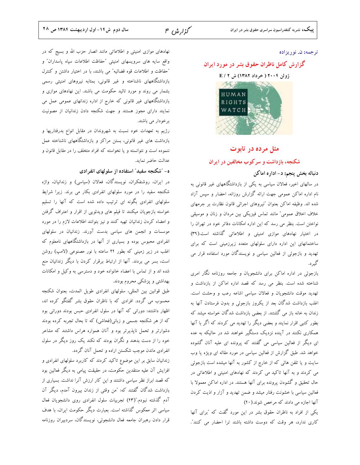گزار ش<sup>م ع</sup>ل

### ترجمه: ن. نوريزاده

### گزارش کامل ناظران حقوق بشر در مورد ایران

ژوئن ۲۰۰۴ ( خرداد ۱۳۸۲) ش E / ۲



### مثل مرده در تابوت

شکنجه، بازداشت و سرکوب مخالفین در ایران

### دنباله بخش پنجم: د- اداره اماکن

در سالهای اخیر، فعالان سیاسی به یکی از بازداشتگاههای غیر قانونی به نام اداره اماکن عمومی جهت ارائه گزارش روزانه، احضار و سپس آزاد شده اند. وظیفه اماکن بعنوان "نیروهای اجرائی قانون نظارت بر جرمهای خلاف اخلاق عمومی" مانند تماس فیزیکی بین مردان و زنان و موسیقی نواختن است. بنظر می رسد که این اداره امکانات دفاتر خود در تهران را در اختیار نهادهای موازی امنیتی و اطلاعاتی گذاشته است.(۳۹) ساختمانهای این اداره دارای سلولهای متعدد زیرزمینی است که برای تهدید و بازجوئی از فعالین سیاسی و نویسندگان مورد استفاده قرار می گېر د.

بازجوئی در اداره اماکن برای دانشجویان و جامعه روزنامه نگار امری شناخته شده است. بنظر می رسد که قصد اداره اماکن از بازداشت و تهدید موقت دانشجویان و فعالان سیاسی اشاعه رعب و وحشت است. اغلب بازداشت شدگان بعد از یکروز بازجوئی و بدون فرستادن آنها به زندان به خانه باز می گشتند. از بعضی بازداشت شدگان خواسته میشد که بطور کتبی اقرار نمایند و بعضی دیگر را تهدید می کردند که اگر با آنها همکاری نکنند در آینده نزدیک دستگیر خواهند شد در حالیکه به عده ای دیگر از فعالین سیاسی می گفتند که پرونده ای علیه آنان گشوده خواهد شد. طبق گزارش از فعالین سیاسی در مورد مقاله ای ویژه یا وب سایت و یا تلفن هائی که از خارج از کشور به آنها میشده است بازجوئی می کردند و به آنها تاکید می کردند که نهادهای امنیتی و اطلاعاتی در حال تحقیق و گشودن پرونده برای آنها هستند. در اداره اماکن معمولا با فعالین سیاسی با خشونت رفتار میشد و ضمن تهدید و آزار و اذیت کردن آنها اجازه می دادند که مرخص شوند.(۴۰)

یکی از افراد به ناظران حقوق بشر در این مورد گفت که "برای آنها كارى ندارد، هر وقت كه دوست داشته باشند ترا احضار مى كنند".

نهادهای موازی امنیتی و اطلاعاتی مانند انصار حزب الله و بسیج که در واقع سایه های سرویسهای امنیتی "حفاظت اطلاعات سپاه پاسداران" و "حفاظت و اطلاعات قوه قضائيه" مي باشند، با در اختيار داشتن و كنترل بازداشتگاههای ناشناخته و غیر قانونی، بمثابه نیروهای امنیتی رسمی بشمار می روند و مورد تائید حکومت می باشند. این نهادهای موازی و بازداشتگاههای غیر قانونی که خارج از اداره زندانهای عمومی عمل می نمایند دارای مجوز هستند و جهت شکنجه دادن زندانیان از مصونیت برخودار مي باشند.

رژیم به تعهدات خود نسبت به شهروندان در مقابل انواع بدرفتاریها و بازداشت های غیر قانونی، بستن مراکز و بازداشتگاههای ناشناخته عمل ننموده است و نتوانسته و یا نخواسته که افراد متخلف را در مقابل قانون و عدالت حاضر نمايد.

### ه- "شکنجه سفید" استفاده از سلولهای انفرادی

در ایران، روشنفکران، نویسندگان، فعالان (سیاسی) و زندانیان، واژه شکنجه سفید را در مورد سلولهای انفرادی بکار می برند. زیرا شرایط سلولهای انفرادی بگونه ای ترتیب داده شده است که آنها را تسلیم خواسته بازجویان میکنند تا فیلم های ویدئویی از اقرار و اعتراف گرفتن و امضاء كردن زندانيان تهيه كنند و نيز بتوانند اطلاعات لازم را در مورد موسسات و انجمن های سیاسی بدست آورند. زندانیان در سلولهای انفرادی محبوس بوده و بسیاری از آنها در بازداشتگاههای نامعلوم که اغلب در زیر زمینی که بطور ۲۴ ساعته با نور مصنوعی (لامپ) روشن است، بسر می بردند. آنها از ارتباط برقرار کردن با دیگر زندانیان منع شده اند و از تماس با اعضاء خانواده خود و دسترسی به وکیل و امکانات بهداشتی و پزشکی محروم بودند.

طبق قوانين بين المللي، سلولهاي انفرادي طويل المدت، بعنوان شكنجه محسوب می گردد. افرادی که با ناظران حقوق بشر گفتگو کرده اند، اظهار داشتند: دورانی که آنها در سلول انفرادی حبس بودند دورانی بود که از هر شکنجه جسمی و زبانی(فحاشی) که تا بحال تجربه کرده بودند دشوارتر و تحمل ناپذیرتر بود و آنان همواره هراس داشتند که مشاعر خود را از دست بدهند و نگران بودند که نکند یک روز دیگر در سلول انفرادی ماندن موجب شکستن اراده و تحمل آنان گردد.

زندانیان سابق بر این موضوع تاکید کردند که کاربرد سلولهای انفرادی و افزایش آن علیه منتقدین حکومت، در حقیقت پیامی به دیگر فعالین بود که قصد ابراز نظر سیاسی داشتند و این کار ارزش آنرا نداشت. بسیاری از بازداشت شدگان گفتند که: "من وقتی از زندان بیرون آمدم، دیگر آن آدم گذشته نبودم."(۴۳) تجربیات سلول انفرادی روی دانشجویان فعال سیاسی اثر معکوس گذاشته است. بعبارت دیگر حکومت ایران، با هدف قرار دادن رهبران جامعه فعال دانشجوئي، نويسندگان، سردبيران روزنامه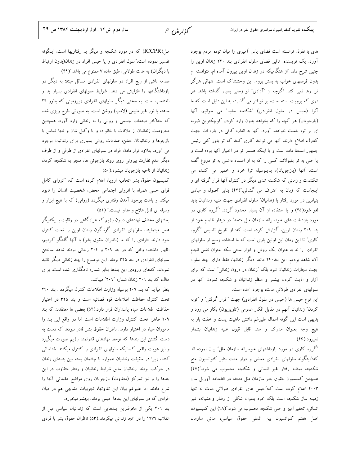های با نفوذ، توانسته است فضای یاس آمیزی را میان توده مردم بوجود آورد. یک نویسنده، تاثیر فضای سلول انفرادی بند ۲۴۰ زندان اوین را چنین شرح داد: "از هنگامیکه در زندان اوین بیرون آمده ام، نتوانسته ام بدون قرصهای خواب به بستر بروم. این وحشتناک است. تنهائی هرگز ترا رها نمی کند. اگرچه از "آزادی" تو زمانی بسیار گذشته باشد. هر دری که برویت بسته است، بر تو اثر می گذارد، به این دلیل است که ما آنرا (حبس در سلول انفرادی) "شكنجه سفيد" مي خوانيم. آنها (بازجویان) هر آنچه را که بخواهد بدون وارد کردن کوچکترین ضربه ای بر تو، بدست خواهند آورد. آنها به اندازه کافی در باره ات جهت کنترل، اطلاع دارند. آنها می توانند کاری کنند که تو باور کنی رئیس جمهور استعفا داده است و یا اینکه همسر تو در اختیار آنها بوده است و یا حتی به تو بقبولانند کسی را که به او اعتماد داشتی به تو دروغ گفته است. آنها (بازجویان)، بدینوسیله ترا خرد و خمیر می کنند، می شکنندت و زمانی که شکسته شدی دیگر در کنترل آنها قرار گرفته ای و اینجاست که زبان به اعتراف می گشائی."(۴۴) بنابر "اصول و مبادی بنیادین در مورد رفتار با زندانیان" سلول انفرادی جهت تنبیه زندانیان باید لغو شود(۴۵) و یا استفاده از آن بسیار محدود گردد. "گروه کاری در مورد بازداشت های خودسرانه سازمان ملل متحد" در دیدار ناتمام خود از بند ۲۰۹ زندان اوین، گزارش کرده است که: از تاریخ تاسیس "گروه کاری" تا این زمان این اولین باری است که ما استفاده وسیع از سلولهای انفرادی را نه به عنوان یک روش و ابزار سنتی بلکه بعنوان نفس انجام آن، شاهد بودیم. این بند۲۴۰ مانند دیگر زندانها، فقط دارای چند سلول جهت مجازات زندانیان نبود بلکه "زندان در درون زندانی" است که برای آزار و اذیت کردن بیشتر و منظم زندانیان و شکنجه نمودن آنها در سلولهای انفرادی طولانی مدت، بوجود آمده است.

این نوع حبس ها (حبس در سلول انفرادی) جهت "اقرار گرفتن" و "توبه كردن" زندانيان آنهم در مقابل افكار عمومي (تلويزيون) بكار مي رود و بدیهی است این گونه اعمال علیرغم داشتن ماهیت پست و خفت بار به هیچ وجه بعنوان مدرک و سند قابل قبول علیه زندانیان بشمار نميرود.(۴۶)

"گروه کاری در مورد بازداشتهای خوسرانه سازمان ملل" بیان نموده اند که:"اینگونه سلولهای انفرادی محض و دراز مدت بنابر کنوانسیون منع شکنجه، بمثابه رفتار غیر انسانی و شکنجه محسوب می شود."(۴۷) همچنین کمیسیون حقوق بشر سازمان ملل متحد، در قطعنامه آوریل سال ۲۰۰۳ اعلام کرده است که:"حبس های انفرادی طولانی مدت نه تنها زمینه ساز شکنجه است بلکه خود بعنوان شکلی از رفتار وحشیانه، غیر انسانی، تحقیرآمیز و حتی شکنجه محسوب می شود."(۴۸) این کمیسیون، اصل هفتم كنوانسيون بين المللي حقوق سياسي، مدنى سازمان

ملل(ICCPR) که در مورد شکنجه و دیگر بد رفتاریها است، اینگونه تفسیر نموده است:"سلول انفرادی و یا حبس افراد در زندان(بدون ارتباط با دیگران) به مدت طولانی، طبق ماده ۷ ممنوع می باشد."(۴۹) صدمه ناشی از رنج افراد در سلولهای انفرادی مسائل مبتلا به دیگر در بازداشتگاهها را افزایش می دهد. شرایط سلولهای انفرادی بسیار بد و نامناسب است. به سخنی دیگر سلولهای انفرادی زیرزمینی که بطور ۲۴

ساعته با نور غیر طبیعی (لامپ) روشن است، به صورتی طرح ریزی شده که حداکثر صدمات جسمی و روانی را به زندانی وارد آورد. همچنین محرومیت زندانیان از ملاقات با خانواده و یا وکیل شان و تنها تماس با بازجوها و زندانبانان خشن، صدمات روانی بسیاری برای زندانیان بوجود می آورد. بعلاوه قرار دادن افراد در سلولهای انفرادی از طرفی و از طرف دیگر عدم نظارت بیرونی روی روند بازجوئی ها، منجر به شکنجه کردن زندانیان از ناحیه بازجویان میشود.(۵۰)

كميسيون حقوق بشر اتحاديه اروپا، اعلام كرده است كه: "انزواى كامل قوای حسی همراه با انزوای اجتماعی محض، شخصیت انسان را نابود میکند و باعث بوجود آمدن رفتاری میگردد (روانی) که با هیچ ابزار و وسیله ای قابل علاج و مداوا نیست." (۵۱)

بخشهای مختلف نهادهای درون رژیم که هرازگاهی در رقابت با یکدیگر عمل مینمایند، سلولهای انفرادی گوناگون زندان اوین را تحت کنترل خود دارند. افرادی را که ما (ناظران حقوق بشر) با آنها گفتگو کردیم، اظهار داشتند: وقتی که در بند ۲۰۹ و ۲۰۴ زندانی بودند شاهد ساختن سلولهای انفرادی در بند ۳۲۵ بودند. این موضوع را چند زندانی دیگر تائید نمودند. کدهای ورودی این بندها بنابر شماره نامگذاری شده است. برای مثال، كد بند ٢٠٩ زندان شماره "٢٠٩" ميباشد.

بنظر میآید که بند ۲۰۹ بوسیله وزارت اطلاعات کنترل میگردد . بند ۲۴۰ تحت كنترل حفاظت اطلاعات قوه قصائيه است و بند ٣٢۵ در اختيار حفاظت اطلاعات سياه پاسداران قرار دارد.(۵۲) بعضي ها معتقدند كه بند ٢٠٩ ظاهرا تحت كنترل وزارت اطلاعات است اما در واقع اين بند را ماموران سپاه در اختیار دارند. ناظران حقوق بشر قادر نبودند که دست به دست گشتن این بندها که توسط نهادهای قدرتمند رژیم صورت میگیرد و نیز هویت واقعی کسانیکه سلولهای انفرادی را کنترل میکنند، شناسائی کنند، زیرا در حقیقت زندانیان همواره با چشمان بسته بین بندهای زندان در حرکت بودند. زندانیان سابق شرایط زندانیان و رفتار متفاوت در این بندها را و نیز تمرکز (متفاوت) بازجویان روی مواضع عقیدتی آنها را شرح دادند. اما علیرغم بیان این تفاوتها، تجربیات مشابهی هم در میان افرادی که در سلولهای این بندها حبس بودند، بچشم میخورد.

بند ٢٠٩ يكي از مخوفترين بندهايي است كه زندانيان سياسي قبل از انقلاب ۱۹۷۹ را در آنجا زندانی میکردند.(۵۳) ناظران حقوق بشر با فردی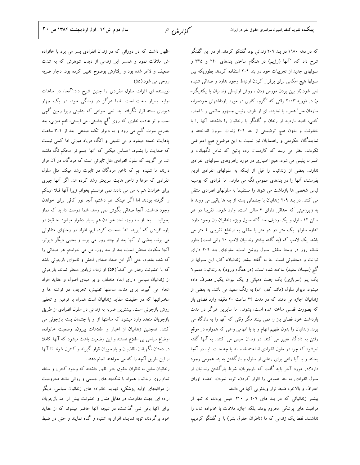که در دهه ۱۹۸۰ در بند ۲۰۹ زندانی بود گفتکو کردند. او در این گفتگو شرح داد که: "آنها (رژیم) در هنگام ساختن بندهای ۲۴۰ و ۳۲۵ و سلولهای جدید از تجربیات خود در بند ۲۰۹ استفاده کردند، بطوریکه بین سلولها هيچ امکاني براي برقرار کردن ارتباط وجود ندارد و صدائي شنيده نمی شود.(از بین بردن مورس زدن ، روش ارتباطی زندانیان با یکدیگر-م) در فوریه ۲۰۰۳ وقتی که "گروه کاری در مورد بازداشتهای خودسرانه سازمان مللٌ همراه با نماینده ای از طرف رئیس جمهور خاتمی و با اجازه کتبی، قصد بازدید از زندان و گفتگو با زندانیان را داشتند، آنها را با خشونت و بدون هیچ توضیحی از بند ۲۰۹ زندان، بیرون انداختند و نمایندگان حکومتی و راهنمایان نیز نسبت به این موضوع هیچ اعتراضی نکردند. بنظر می رسد که کارمندان رده پائین که شامل نگهبانان و افسران پلیس می شود، هیچ اختیاری در مورد راهروهای سلولهای انفرادی ندارند. بعضی از زندانیان را قبل از اینکه به سلولهای انفرادی اوین بفرستند، آنها را در بندهای عمومی نگه می دارند. اما افرادی که بوسیله لباس شخصی ها بازداشت می شوند را مستقیما به سلولهای انفرادی منتقل می کنند. در بند ۲۰۹ زندانیان با چشمانی بسته از پله ها پائین می روند تا به زیرزمینی که حداقل دارای ۴ سالن است، وارد شوند. تقریبا در هر سالن ۱۲ سلول و یک ردیف جداگانه سلول ویژه زندانیان زن وجود دارد. اندازه سلولها یک متر در دو متر با سقفی به ارتفاع تقریبی ۴ متر می باشد. یک لامپ که (به گفته بیشتر زندانیان لامپ ۴۰ واتی است) بطور شبانه روز در وسط سقف سلول روشن است. سلولهای بند ۲۰۹ دارای توالت و دستشوئی است. بنا به گفته بیشتر زندانیان، کف این سلولها از گچ (سیمان سفید) ساخته شده است. (در هنگام ورود) به زندانیان معمولا یک پتو (سربازی) یک جفت دمپائی و یک لیوان یکبار مصرف داده میشود. دیوار سلول (مانند کف آن) به رنگ سفید می باشد. به بعضی از زندانیان اجازه می دهند که در مدت ۲۴ ساعت ۲۰ دقیقه وارد فضای باز که بصورت قفسی ساخته شده است، بشوند. اما سایرین هرگز در مدت بازداشت خود فضای باز را نمی بینند مگر وقتی که آنها را به دادگاه می برند. زندانیان را بدون تفهیم اتهام و یا با اتهامی واهی که همواره در موقع رفتن به دادگاه تغییر می کند، در زندان حبس می کنند. به آنها گفته نمیشود که چرا در سلول انفرادی انداخته شده اند یا چه مدت باید در آنجا بمانند و یا آیا راهی برای رهائی از سلول و بازگشتن به بند عمومی وجود دارد؟در مورد آخر باید گفت که بازجویان، شرط بازگشتن زندانیان از سلول انفرادی به بند عمومی را اقرار کردن، توبه نمودن، امضاء اوراق اعتراف و بالاخره ضبط نوار ويدئويي آنها مي دانند.

بیشتر زندانیانی که در بند های ۲۰۹ و ۲۴۰ حبس بودند، نه تنها از مراقبت های پزشکی محروم بودند بلکه اجازه ملاقات با خانواده شان را نداشتند. فقط یک زندانی که ما (ناظران حقوق بشر) با او گفتگو کردیم،

اظهار داشت که در دورانی که در زندان انفرادی بسر می برد با خانواده اش ملاقات نمود و همسر این زندانی از دیدن شوهرش که به شدت ضعیف و لاغر شده بود و رفتارش بوضوح تغییر کرده بود، دچار ضربه روحي مي شود.(۵۵)

نویسنده ای اثرات سلول انفرادی را چنین شرح داد:"آنجا، در ساعات اولیه، بسیار سخت است. شما هرگز در زندگی خود، در یک چهار دیواری بسته قرار نگرفته اید، نمی خواهی که بنشینی زیرا زمین گچی است و تو عادت نداری که روی گچ بنشینی، می ایستی، قدم میزنی، بعد بتدریج سرت گیج می رود و به دیوار تکیه میدهی. بعد از ۴-۳ ساعت پاهایت خسته میشود و می نشینی و آنگاه فریاد میزنی اما کسی نیست که صدایت را بشنود. احساس میکنی که آنها جسم ترا محکم نگه داشته اند. می گویند که سلول انفرادی مثل تابوتی است که مردگان در آن قرار دارند، ما شنیده ایم که ناخن مردگان در تابوت رشد میکند مثل سلول انفرادی که موها و ناخن هایت سریعتر رشد کرده اند. اگر آنها چیزی برای خواندن هم به من می دادند نمی توانستم بخوانم زیرا آنها قبلا عینکم را گرفته بودند. اما اگر عینک هم داشتم، آنجا نور کافی برای خواندن وجود نداشت. آنجا صدائی بگوش نمی رسد، شما دوست دارید که نماز بخوانید … بعد از سه روز، نماز خواندن هم بسیار دشوار میشود. ما قبلا در باره افرادی که "بریده اند" صحبت کرده ایم، افراد در زمانهای متفاوتی می برند، بعضی از آنها بعد از چند روز می برند و بعصی دیگر دیرتر. آنجا سکوت محض است، بعد از سه روز، من می خواستم هر صدائی را که شده بشنوم، حتی اگر این صدا، صدای فحش و ناسزای بازجوئی باشد که با خشونت رفتار می کند."(۵۶) او زمان زیادی منتظر نماند. بازجوئی از زندانیان سیاسی دارای ابعاد مختلف و بر مبنای اصول و عقاید افراد انجام می گیرد. برای مثال، ساعتها تفتیش، تحریف در نوشته ها و سخنرانیها که در حقیقت عقاید زندانیان است همراه با توهین و تحقیر روش بازجوئی است. بیشترین ضربه به زندانی در سلول انفرادی از طریق بازجویان متعدد وارد میشود که ساعتها از او با چشمان بسته بازجوئی می كنند. همچنين زندانيان از اخبار و اطلاعات بيرون، وضعيت خانواده، اوضاع سیاسی بی اطلاع هستند و این وضعیت باعث میشود که آنها کاملا در دستان نگهبانان، قاضیان و بازجویان قرار گیرند و کنترل شوند تا آنها از این طریق آنچه را که می خواهند انجام دهند.

زندانیان سابق به ناظران حقوق بشر اظهار داشتند که وجود کنترل و سلطه تمام روی زندانیان همراه با شکنجه های جسمی و روانی مانند محرومیت از مراقبتهای اولیه پزشکی، تهدید خانواده های زندانیان سیاسی، دیگر اراده ای جهت مقاومت در مقابل فشار و خشونت بیش از حد بازجویان برای آنها باقی نمی گذاشت، در نتیجه آنها حاضر میشوند که از عقاید خود برگردند، توبه نمایند، اقرار به اشتباه و گناه نمایند و حتی در ضبط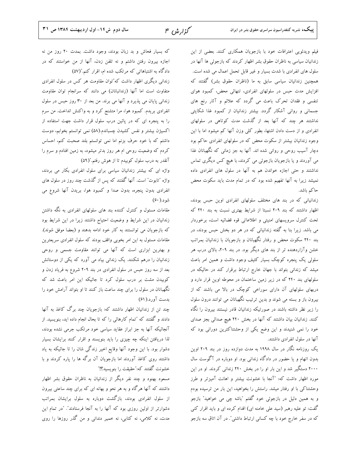فیلم ویدئویی اعترافات خود با بازجویان همکاری کنند. بعضی از این زندانیان سیاسی به ناظران حقوق بشر اظهار کردند که بازجوئی ها آنها در سلول های انفرادی با شدت بسیار و غیر قابل تحمل اعمال می شده است. همچنین زندانیان سیاسی سابق به ما (ناظران حقوق بشر) گفتند که افزایش مدت حبس در سلولهای انفرادی، تنهائی محض، کمبود هوای تنفسی و فقدان تحرک باعث می گردد که علائم و آثار رنج های جسمانی و روانی آشکار گردد. بیشتر زندانیان از کمبود غذا شکایتی نداشتند هر چند که آنها بعد از گذشت مدت کوتاهی در سلولهای انفرادی و از دست دادن اشتها، بطور کلی وزن آنها کم میشود اما با این وجود زندانیان بیشتر از سکوت محض که در سلولهای انفرادی حاکم بود دچار آسیب روحی و روانی شده اند. آنها به جز زمانی که نگهبانان غذا می آوردند و یا بازجویان بازجوئی می کردند، با هیچ کس دیگری تماس نداشتند و حتی اجازه خواندن هم به آنها در سلول های انفرادی داده نمیشد زیرا به آنها تفهیم شده بود که در تمام مدت باید سکوت محض حاكم باشد.

زندانیانی که در بند های مختلف سلولهای انفرادی اوین حبس بودند، اظهار داشتند که بند ٢٠٩ نسبتا از شرايط بهتري نسبت به بند ٢۴٠ که تحت کنترل سرویسهای امنیتی و اطلاعاتی قوه قضائیه است، برخوردار می باشد. زیرا بنا به گفته زندانیانی که در هر دو بخش حبس بودند، در بند ۲۴۰ سکوت محض و رفتار نگهبانان و بازجویان با زندانیان بمراتب خشن وآزاردهنده تر از بند های دیگر بود. در بند ۲۰۹، بالای درب هر سلولی یک پنجره کوچک بسیار کثیف وجود داشت و همین امر باعث میشد که زندانی بتواند با جهان خارج ارتباط برقرار کند در حالیکه در سلولهای بند ۲۴۰ که در زیر زمین ساختمان در محوطه اوین قرار دارد و دربهای سلولهای آن دارای سوراخی کوچک در بالا می باشند که از بیرون باز و بسته می شوند و بدین ترتیب نگهبانان می توانند درون سلول را زیر نظر داشته باشند در صورتیکه زندانیان قادر نیستند بیرون را نگاه کنند. زندانیان بیان داشتند که آنها در بخش ۲۴۰ هیچ صدائی بجز صدای خود را نمی شنیدند و این وضع یکی از وحشتناکترین دورانی بود که آنها در سلول انفرادی داشتند.

یک روزنامه نگار در سال ۱۹۹۸ به مدت دوازده روز در بند ۲۰۹ اوین بدون اتهام و یا حضور در دادگاه زندانی بود. او دوباره در آگوست سال ۲۰۰۰ دستگیر شد و این بار او را در بخش ۲۴۰ زندانی کردند. او در این مورد اظهار داشت كه: "آنجا با خشونت بیشتر و اهانت آمیزتر و طرز وحشتناکی با او رفتار میشد. راستش را بخواهید، این بار من ترسیده بودم و به همین دلیل در بازجوئی خود گفتم "باشه چی می خواهید" بازجو گفت: تو علیه رهبر (سید علی خامنه ای) اقدام کرده ای و باید اقرار کنی که در سفر خارج خود با چه کسانی ارتباط داشتی". در آن اتاق سه بازجو

که بسیار فحاش و بد زبان بودند، وجود داشت. بمدت ۲۰ روز من نه اجازه بیرون رفتن داشتم و نه تلفن زدن، آنها از من خواستند که در دادگاه به اشتباهاتی که مرتکب شده ام، اقرار کنم."(۵۷)

زندانی دیگری اظهار داشت که"توان مقاومت هر کس در سلول انفرادی متفاوت است اما آنها (زندانبانان) می دانند که سرانجام توان مقاومت زندانی پایان می پذیرد و آنها می برند. من بعد از ۳۰ روز حبس در سلول انفرادی بریدم. کمبود هوا، مرا متشنج کرد و به واکنش انداخت. من سرم را به پنجره ای که در پائین درب سلول قرار داشت جهت استفاده از اکسیژن بیشتر و نفس کشیدن چسباندم.(۵۸) نمی توانستم بخوابم، دوست داشتم که با خود حرف بزنم اما نمی توانستم بلند صحبت کنم، احساس کردم که وضعیت روحی ام هر روز بدتر میشود، به زمین افتادم و سرم را آنقدر به درب سلول کوبیدم تا از هوش رفتم."(۵۹)

واژه ای که بیشتر زندانیان سیاسی برای سلول انفرادی بکار می بردند، واژه "تابوت" است. آنها گفتند که پس از گذشت چند روز در سلول های انفرادی بدون پنجره، بدون صدا و کمبود هوا، بریدن آنها شروع می شو د.( ۶۰)

مقامات مسئول و کنترل کننده بند های سلولهای انفرادی به نگه داشتن زندانیان در این شرایط و وضعیت احتیاج داشتند زیرا در این شرایط بود که بازجویان می توانستند به کار خود ادامه بدهند و (بعضا موفق شوند). مقامات مسئول به این امر بخوبی واقف بودند که سلول انفرادی سریعترین و بهترین ابزاری است که آنها می توانند مقاومت جسمی و روحی زندانیان را درهم شکنند. یک زندانی بیاد می آورد که یکی از دوستانش بعد از سه روز حبس در سلول انفرادی در بند ۲۰۹ شروع به فریاد زدن و کوبیدن مشت بر درب سلول کرد تا جائیکه این امر باعث شد که نگهبانان در سلول را برای چند ساعت باز کنند تا او بتواند آرامش خود را بدست آورد.(۶۱)

چند تن از زندانیان اظهار داشتند که: بازجویان چند برگ کاغذ به آنها دادند و گفتند که "تمام کارهائی را که تا بحال انجام داده اید، بنویسید. از آنجائیکه آنها به جز ابراز عقاید سیاسی خود مرتکب جرمی نشده بودند، لذا دریافتن اینکه چه چیزی را باید بنویسند و اقرار کنند برایشان بسیار دشوار بود. با این وجود آنها وقایع اخیر زندگی شان را تا جائیکه به یاد داشتند روی کاغذ آوردند اما بازجویان آن برگه ها را پاره کردند و با خشونت گفتند كه:"حقيقت را بنويسيد؟!"

مسعود بهنود و چند نفر دیگر از زندانیان به ناظران حقوق بشر اظهار داشتند که آنها هرگاه و به هر نحو و بهانه ای که برای چند ساعتی بیرون از سلول انفرادی بودند، بازگشت دوباره به سلول برایشان بمراتب دشوارتر از اولین روزی بود که آنها را به آنجا فرستادند". "در تمام این مدت، نه کلامی، نه کتابی، نه خمیر دندانی و من گذر روزها را روی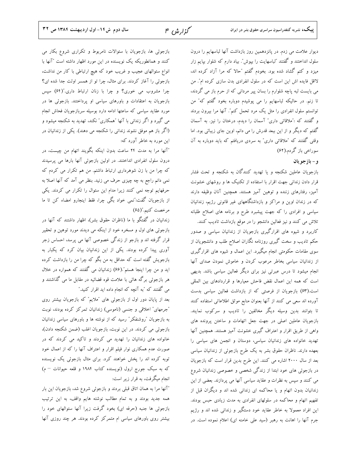سال دوم ش١٤- اول ارديبهشت ١٣٨٤ ص ٣٢

گزارش ۱۴

بازجوئی ها، بازجویان با سئوالات نامربوط و تکراری شروع بکار می کنند و همانطوریکه یک نویسنده در این مورد اظهار داشته است "آنها با انواع سئوالهای عجیب و غریب خود که هیچ ارتباطی با کار من نداشت، بازجوئی را آغاز کردند. برای مثال، چرا تو از همسر اولت جدا شده ای؟ چرا مشروب می خوری؟ و چرا با زنان ارتباط داری."(۶۴) سپس بازجویان به اعتقادات و باورهای سیاسی او پرداختند. بازجوئی ها در مورد عقاید سیاسی که ساعتها ادامه دارد بوسیله سربازجویان فحاش انجام می گیرد و اگر زندانی با آنها "همکاری" نکند، تهدید به شکنجه میشود و .<br>(اگر باز هم موفق نشوند زندانی را شکنجه می دهند). یکی از زندانیان در این مورد به خاطر آورد که:

"آنها مرا به مدت ۲۴ ساعت بدون اینکه بگویند اتهام من چیست، در درون سلول انفرادی انداختند. در اولین بازجوئی آنها بارها می پرسیدند که چرا من با زن شوهرداری ارتباط داشتم. من هم تکرار می کردم که نمی دانم راجع به چه چیزی حرف می زنید. بنظر می آمد که آنها اصلا به حرفهایم توجه نمی کنند زیرا مدام این سئوال را تکرار می کردند. یکی از بازجویان گفت:"نمی خواد بگی چرا، فقط اینجارو امضاء کن تا ما مرخصت كنيم."(۶۵)

زندانیان در گفتگو با ما (ناظران حقوق بشر)، اظهار داشتند که آنها در بازجوئی های اول و مسخره خود از اینکه می دیدند مورد توهین و تحقیر قرار گرفته اند و بازجو از زندگی خصوصی آنها می پرسد، احساس زجر آوری پیدا کرده بودند. یکی از این زندانیان بیان کرد که یکبار به بازجویش گفته است که حداقل به من بگو که چرا من را بازداشت کرده اید و من چرا اینجا هستم".(۶۶) زندانیان می گفتند که همواره در خلال هر بازجوئی برگه هائی با علامت قوه قضائیه در مقابل ما می گذاشتند و می گفتند که "به آنچه که انجام داده اید اقرار کنید."

بعد از پایان دور اول از بازجوئی های "ملایم" که بازجویان بیشتر روی "جرمهای" اخلاقی و جنسی (ناموسی) زندانیان تمرکز کرده بودند، نوبت به بازجویان "روشنفکر" رسید که از نوشته ها و باورهای سیاسی زندانیان بازجوئی می کردند. در این نوبت، بازجویان اغلب (ضمن شکنجه دادن)، خانواده های زندانیان را تهدید می کردند و تاکید می کردند که در صورت عدم همکاری نوار فیلم اقرار و اعتراف آنها را که از اعمال خود .<br>توبه کرده اند را پخش خواهند کرد. برای مثال بازجوئی یک نویسنده که به سبک جورج ارول (نویسنده کتاب ۱۹۸۴ و قلعه حیوانات - م) انجام میگرفت، به قرار زیر است:

"آنها مرا به همان اتاق قبلی بردند و بازجوئی شروع شد، بازجویان این بار همه جدید بودند و به تمام مطالب نوشته هایم واقف، به این ترتیب بازجوئی ها جنبه (حرفه ای) بخود گرفت زیرا آنها سئوالهای خود را بیشتر روی باورهای سیاسی ام متمرکز کرده بودند. هر چند روزی آنها

دیوار علامت می زدم. در پانزدهمین روز بازداشت آنها لباسهایم را درون سلول انداختند و گفتند "لباسهایت را بپوش". بیاد دارم که شلوار بپایم زار میزد و کتم گشاد شده بود. بخودم گفتم "حالا که مرا آزاد کرده اند، لااقل فایده اش این است که در سلول انفرادی بدن سازی کرده ام". من می بایست لبه پاچه شلوارم را بسان پیر مردانی که از حرم باز می گردند، تا زنم. در حالیکه لباسهایم را می پوشیدم دوباره بخود گفتم که" من .<br>توانستم سلول انفرادی را مثل یک مرد تحمل کنم". آنها مرا بیرون بردند و گفتند که :"ملاقاتی داری" آسمان را دیدم، درختان را نیز. به آسمان گفتم که دیگر و از این ببعد قدرش را می دانم، اوین جای زیبائی بود. اما وقتی گفتند که "ملاقاتی داری" به سردی دریافتم که باید دوباره به آن سوراخي باز گردم.(۶۲)

### و – بازجو يان

بازجویان عاملین شکنجه و یا تهدید کنندگان به شکنجه و تحت فشار قرار دادن زندانی جهت اقرار با استفاده از تکنیک ها و روشهای خشونت آمیز، رفتارهای زننده و توهین آمیز هستند. همچنین آنان وظیفه دارند که در زندان اوین و مراکز و بازداشتگاههای غیر قانونی رژیم، زندانیان .<br>سیاسی و افرادی را که جهت پیشبرد طرح و برنامه های اصلاح طلبانه تلاش می کنند و نیز فعالین دانشجو را در موقع بازداشت تادیب کنند. کاربرد و شیوه های اقرارگیری بازجویان از زندانیان سیاسی و صدور حکم تادیب و سخت گیری روزنامه نگاران اصلاح طلب و دانشجویان از سوی مقامات حکومتی انجام میگیرد. این اعمال و شیوه های اقرارگیری از زندانیان سیاسی بخاطر مرعوب کردن و خاموش نمودن صدای آنها انجام میشود تا درس عبرتی نیز برای دیگر فعالین سیاسی باشد. بدیهی است که همه این اعمال نقض فاحش معیارها و قراردادهای بین المللی است.(۶۳) بازجویان از فرصتی که از بازداشت فعالین سیاسی بدست آورده اند سعی می کنند از آنها بعنوان منابع موثق اطلاعاتی استفاده کنند تا بتوانند بدین وسیله دیگر مخالفین را تادیب و سرکوب نمایند. بازجویان عاملین اصلی در جهت جعل اتهامات و ساختن پرونده های واهی از طریق اقرار و اعتراف گیری خشونت آمیز هستند. همچنین آنها تهدید خانواده های زندانیان سیاسی، دوستان و انجمن های سیاسی را بعهده دارند. ناظران حقوق بشر به یک طرح بازجوئی از زندانیان سیاسی بعد از سال ۲۰۰۰ اشاره می کنند. این طرح بدین قرار است که بازجویان در بازجوئی های خود ابتدا از زندگی شخصی و خصوصی زندانیان شروع می کنند و سپس به نظرات و عقاید سیاسی آنها می پردازند. بعضی از این زندانیان بدون اتهام و یا محاکمه ای زندانی شده اند و دیگران قبل از تفهیم اتهام و محاکمه در سلولهای انفرادی به مدت زیادی حبس بودند. این افراد معمولا به خاطر عقاید خود دستگیر و زندانی شده اند و رژیم جرم آنها را اهانت به رهبر (سید علی خامنه ای) اعلام نموده است. در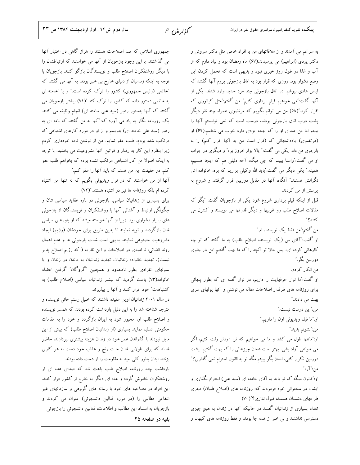جمهوری اسلامی که ضد اصلاحات هستند را هراز گاهی در اختیار آنها می گذاشتند، با این وجود بازجویان از آنها می خواستند که ارتباطشان را با دیگر روشنفکران اصلاح طلب و نویسندگان بازگو کنند. بازجویان با توجه به اینکه زندانیان از دنیای خارج بی خبر بودند به آنها می گفتند که "خاتمی (رئیس جمهوری) کشور را ترک کرده است." و یا "خامنه ای به خاتمی دستور داده که کشور را ترک کند."(۷۱) بیشتر بازجویان می گفتند که آنها بدستور رهبر (سید علی خامنه ای) انجام وظیفه می کنند. یک روزنامه نگار به یاد می آورد که:"آنها به من گفتند که نامه ای به رهبر (سید علی خامنه ای) بنویسم و از او در مورد کارهای اشتباهی که مرتکب شده بودم، طلب عفو نمایم. من از نوشتن نامه خودداری کردم زیرا بنظرم این کار به رفتار و قوانین آنها مشروعیت می بخشید. با توجه به اینکه اصولا من کار اشتباهی مرتکب نشده بودم که بخواهم طلب عفو كنم. در حقيقت اين من هستم كه بايد آنها را عفو كنم."

آنها از من خواستند که در نوار ویدیوئی بگویم که نه تنها من اشتباه کرده ام بلکه روزنامه ها نیز در اشتباه هستند."(۷۲)

برای بسیاری از زندانیان سیاسی، بازجوئی در باره عقاید سیاسی شان و چگونگی ارتباط و آشنائی آنها با روشنفکران و نویسندگان از بازجوئی های بسیار دشواری بود. زیرا از آنها خواسته میشد که از باورهای سیاسی شان بازگردند و توبه نمایند تا بدین طریق برای خودشان (رژیم) ایجاد مشروعیت مصنوعی نمایند. بدیهی است شدت بازجوئی ها و عدم اعمال روند قضائی، نا امیدی در اصلاحات و این نظریه ( که رژیم اصلاح پذیر نیست)، تهدید خانواده زندانیان، تهدید زندانیان به ماندن در زندان و یا سلولهای انفرادی بطور نامحدود و همچنین "گروگان" گرفتن اعضاء خانواده(٧٣) باعث گردید که بیشتر زندانیان سیاسی (اصلاح طلب) به "اشتباهات" خود اقرار كنند و آنها را بپذیرند.

در سال ۲۰۰۱ زندانیان اوین عقیده داشتند که خلیل رستم خانی نویسنده و مترجم شناخته شد را به این دلیل بازداشت کرده بودند که همسر نویسنده و اصلاح طلب او، مجبور شود به ایران بازگردد و خود را به مقامات حکومتی تسلیم نماید. بسیاری (از زندانیان اصلاح طلب) که بیش از این مایل نبودند با گذراندن عمر خود در زندان هزینه بیشتری بپردازند، حاضر شدند که برای طولانی شدن مدت رنج و عذاب خود دست به هر کاری بزنند. اینان بطور کلی امید به مقاومت را از دست داده بودند.

بازداشت چند روزنامه اصلاح طلب باعث شد که صدای عده ای از روشنفکران خاموش گردد و عده ای دیگر به خارج از کشور فرار کنند. این افراد در مصاحبه های خود با رسانه های گروهی و سازمانهای غیر انتفاعی مطالبی را (در مورد فعالین دانشجوئی) عنوان می کردند و بازجويان به استناد اين مطالب و اطلاعات، فعالين دانشجوئي را بازجوئي

بقیه در صفحه ۲۵

به سراغم می آمدند و از ملاقاتهای من با افراد خاص مثل دکتر سروش و دکتر یزدی (ابراهیم) می پرسیدند.(۶۷) ماه رمضان بود و بیاد دارم که از آب و غذا در طول روز خبری نبود و بدیهی است که تحمل کردن این وضع دشوار بود. روزی که قرار بود به اتاق بازجوئی بروم آنها گفتند که لباس عادی بپوشم. در اتاق بازجوئی چند مرد جدید وارد شدند، یکی از آنها گفت:"می خواهیم فیلم برداری کنیم" من گفتم:"مثل کیانوری که اقرار کرد."(۶۸) من می توانم بگویم که مرتضوی همراه چند نفر دیگر پشت درب اتاق بازجوئی بودند، درست است که نمی توانستم آنها را ببینم اما من صدای او را که لهجه یزدی دارد خوب می شناسم.(۶۹) او (مرتضوی) یادداشتهائی که (قرار است من به آنها اقرار کنم) را به بازجوی من داد. یکی می گفت:" یالا بزار امروز بره" و دیگری در جواب او می گفت:"واستا ببینم که چی میگه، آخه دلیلی هم که اینجا هستیم، همینه." یکی دیگر می گفت:"باید الله وکیلی بزاریم که بره، خانواده اش نگرانش هستند." آنگاه، آنها در مقابل دوربین قرار گرفتند و شروع به پرسش از من کردند. قبل از اینکه فیلم برداری شروع شود یکی از بازجویان گفت: "بگو که مقالات اصلاح طلب رو غربیها و دیگر قدرتها می نویسند و کنترل می كنند؟" من گفتم:″من فقط یک نویسنده ام.″ او گفت:"آقای س (یک نویسنده اصلاح طلب) به ما گفته که تو چه کارهائی کرده ای، پس حالا تو آنچه را که ما بهت گفتیم این بار جلوی دوربين بگو.″

من انکار کردم.

او گفت:"ما نوار حرفهایت را داریم، در نوار گفته ای که بطور پنهانی برای روزنامه های طرفدار اصلاحات مقاله می نوشتی و آنها پولهای سری بهت می دادند."

من:″این درست نیست.″

او:"ما فيلم ويديوئي اون را داريم."

من:"نشونم بديد."

او:"ماهها طول می کشد و ما می خواهیم که ترا زودتر ولت کنیم، اگر می خواهی آزاد بشی، بهتر است همان چیزهائی را که بهت گفتیم، پشت دوربین تکرار کنی، اصلا بگو ببینم مگه تو به قانون احترام نمی گذاری؟" من:"آره"

او:"قانون میگه که تو باید به آقای خامنه ای (سید علی) احترام بگذاری و ایشان در سخنرانی خود فرمودند که: روزنامه های (اصلاح طلبان) مجری طرحهای دشمنان هستند، قبول نداری؟"( ۷۰)

تعداد بسیاری از زندانیان گفتند در حالیکه آنها در زندان به هیچ چیزی دسترسی نداشتند و بی خبر از همه جا بودند و فقط روزنامه های کیهان و